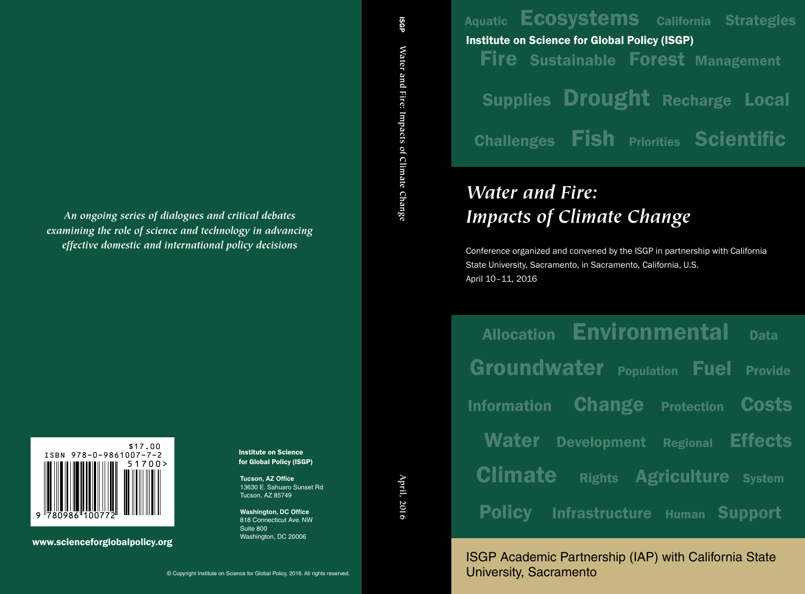Aquatic **ECOSYStems** California Strategies Fire Sustainable Forest Management Supplies Drought Recharge Local Challenges Fish Priorities Scientific Institute on Science for Global Policy (ISGP)

# *Water and Fire: Impacts of Climate Change*

Conference organized and convened by the ISGP in partnership with California State University, Sacramento, in Sacramento, California, U.S. April 10–11, 2016

| <b>Allocation</b>  |                       | <b>Environmental</b>             | <b>Data</b>    |
|--------------------|-----------------------|----------------------------------|----------------|
| Groundwater        |                       | <b>Fuel</b><br><b>Population</b> | <b>Provide</b> |
| <b>Information</b> | <b>Change</b>         | <b>Protection</b>                | <b>Costs</b>   |
| <b>Water</b>       | <b>Development</b>    | <b>Regional</b>                  | <b>Effects</b> |
| <b>Climate</b>     | <b>Rights</b>         | <b>Agriculture</b>               | <b>System</b>  |
| <b>Policy</b>      | <b>Infrastructure</b> | <b>Human</b>                     | <b>Support</b> |

ISGP Academic Partnership (IAP) with California State University, Sacramento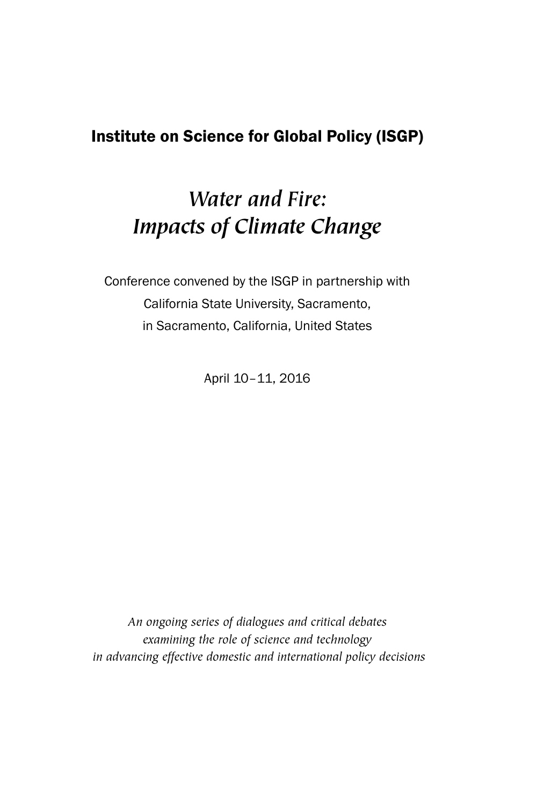## Institute on Science for Global Policy (ISGP)

## *Water and Fire: Impacts of Climate Change*

Conference convened by the ISGP in partnership with California State University, Sacramento, in Sacramento, California, United States

April 10–11, 2016

*An ongoing series of dialogues and critical debates examining the role of science and technology in advancing effective domestic and international policy decisions*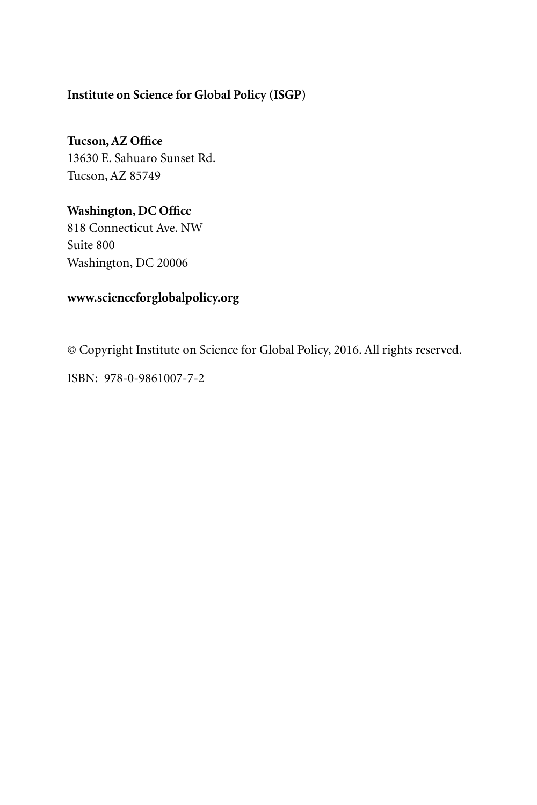#### **Institute on Science for Global Policy (ISGP)**

**Tucson, AZ Office** 13630 E. Sahuaro Sunset Rd. Tucson, AZ 85749

**Washington, DC Office** 818 Connecticut Ave. NW Suite 800 Washington, DC 20006

## **www.scienceforglobalpolicy.org**

© Copyright Institute on Science for Global Policy, 2016. All rights reserved.

ISBN: 978-0-9861007-7-2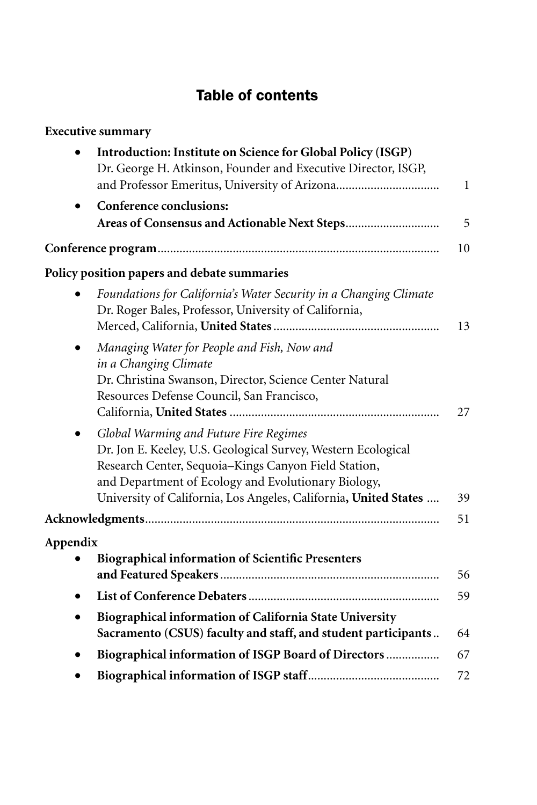## Table of contents

| <b>Executive summary</b>                                                                                                                                                                                                                                                                   |              |
|--------------------------------------------------------------------------------------------------------------------------------------------------------------------------------------------------------------------------------------------------------------------------------------------|--------------|
| Introduction: Institute on Science for Global Policy (ISGP)                                                                                                                                                                                                                                |              |
| Dr. George H. Atkinson, Founder and Executive Director, ISGP,                                                                                                                                                                                                                              |              |
|                                                                                                                                                                                                                                                                                            | $\mathbf{1}$ |
| Conference conclusions:                                                                                                                                                                                                                                                                    |              |
|                                                                                                                                                                                                                                                                                            | 5            |
|                                                                                                                                                                                                                                                                                            | 10           |
| Policy position papers and debate summaries                                                                                                                                                                                                                                                |              |
| Foundations for California's Water Security in a Changing Climate<br>Dr. Roger Bales, Professor, University of California,                                                                                                                                                                 | 13           |
| Managing Water for People and Fish, Now and<br>in a Changing Climate<br>Dr. Christina Swanson, Director, Science Center Natural<br>Resources Defense Council, San Francisco,                                                                                                               | 27           |
| Global Warming and Future Fire Regimes<br>Dr. Jon E. Keeley, U.S. Geological Survey, Western Ecological<br>Research Center, Sequoia-Kings Canyon Field Station,<br>and Department of Ecology and Evolutionary Biology,<br>University of California, Los Angeles, California, United States | 39           |
|                                                                                                                                                                                                                                                                                            | 51           |
| Appendix                                                                                                                                                                                                                                                                                   |              |
| <b>Biographical information of Scientific Presenters</b>                                                                                                                                                                                                                                   | 56           |
|                                                                                                                                                                                                                                                                                            | 59           |
| Biographical information of California State University<br>Sacramento (CSUS) faculty and staff, and student participants                                                                                                                                                                   | 64           |
| Biographical information of ISGP Board of Directors                                                                                                                                                                                                                                        | 67           |
|                                                                                                                                                                                                                                                                                            | 72           |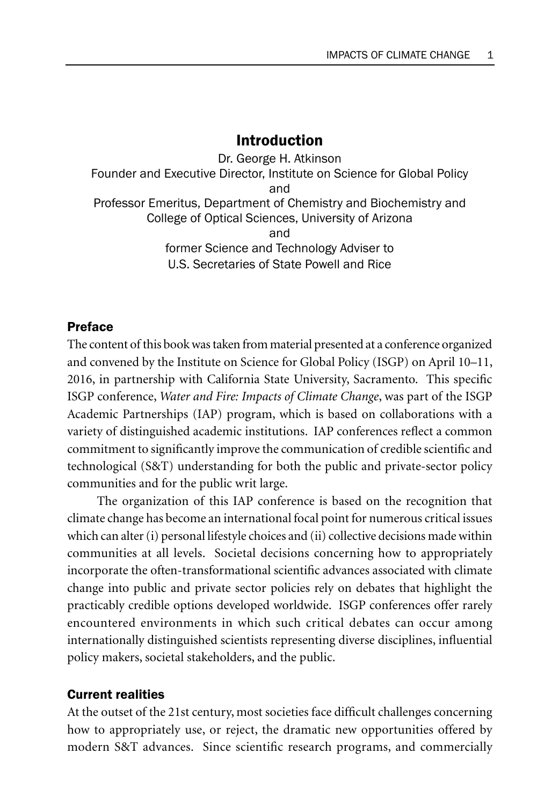#### Introduction

Dr. George H. Atkinson Founder and Executive Director, Institute on Science for Global Policy and Professor Emeritus, Department of Chemistry and Biochemistry and College of Optical Sciences, University of Arizona and former Science and Technology Adviser to U.S. Secretaries of State Powell and Rice

#### Preface

The content of this book was taken from material presented at a conference organized and convened by the Institute on Science for Global Policy (ISGP) on April 10–11, 2016, in partnership with California State University, Sacramento. This specific ISGP conference, *Water and Fire: Impacts of Climate Change*, was part of the ISGP Academic Partnerships (IAP) program, which is based on collaborations with a variety of distinguished academic institutions. IAP conferences reflect a common commitment to significantly improve the communication of credible scientific and technological (S&T) understanding for both the public and private-sector policy communities and for the public writ large.

The organization of this IAP conference is based on the recognition that climate change has become an international focal point for numerous critical issues which can alter (i) personal lifestyle choices and (ii) collective decisions made within communities at all levels. Societal decisions concerning how to appropriately incorporate the often-transformational scientific advances associated with climate change into public and private sector policies rely on debates that highlight the practicably credible options developed worldwide. ISGP conferences offer rarely encountered environments in which such critical debates can occur among internationally distinguished scientists representing diverse disciplines, influential policy makers, societal stakeholders, and the public.

#### Current realities

At the outset of the 21st century, most societies face difficult challenges concerning how to appropriately use, or reject, the dramatic new opportunities offered by modern S&T advances. Since scientific research programs, and commercially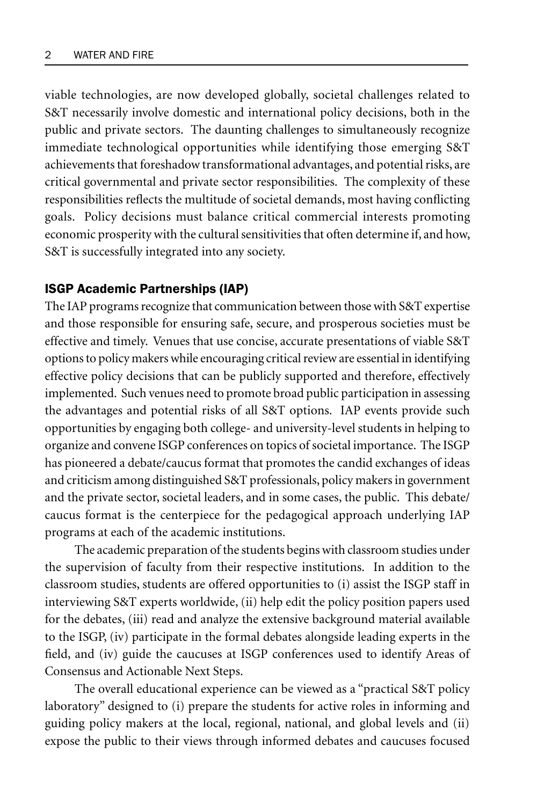viable technologies, are now developed globally, societal challenges related to S&T necessarily involve domestic and international policy decisions, both in the public and private sectors. The daunting challenges to simultaneously recognize immediate technological opportunities while identifying those emerging S&T achievements that foreshadow transformational advantages, and potential risks, are critical governmental and private sector responsibilities. The complexity of these responsibilities reflects the multitude of societal demands, most having conflicting goals. Policy decisions must balance critical commercial interests promoting economic prosperity with the cultural sensitivities that often determine if, and how, S&T is successfully integrated into any society.

#### ISGP Academic Partnerships (IAP)

The IAP programs recognize that communication between those with S&T expertise and those responsible for ensuring safe, secure, and prosperous societies must be effective and timely. Venues that use concise, accurate presentations of viable S&T options to policy makers while encouraging critical review are essential in identifying effective policy decisions that can be publicly supported and therefore, effectively implemented. Such venues need to promote broad public participation in assessing the advantages and potential risks of all S&T options. IAP events provide such opportunities by engaging both college- and university-level students in helping to organize and convene ISGP conferences on topics of societal importance. The ISGP has pioneered a debate/caucus format that promotes the candid exchanges of ideas and criticism among distinguished S&T professionals, policy makers in government and the private sector, societal leaders, and in some cases, the public. This debate/ caucus format is the centerpiece for the pedagogical approach underlying IAP programs at each of the academic institutions.

The academic preparation of the students begins with classroom studies under the supervision of faculty from their respective institutions. In addition to the classroom studies, students are offered opportunities to (i) assist the ISGP staff in interviewing S&T experts worldwide, (ii) help edit the policy position papers used for the debates, (iii) read and analyze the extensive background material available to the ISGP, (iv) participate in the formal debates alongside leading experts in the field, and (iv) guide the caucuses at ISGP conferences used to identify Areas of Consensus and Actionable Next Steps.

The overall educational experience can be viewed as a "practical S&T policy laboratory" designed to (i) prepare the students for active roles in informing and guiding policy makers at the local, regional, national, and global levels and (ii) expose the public to their views through informed debates and caucuses focused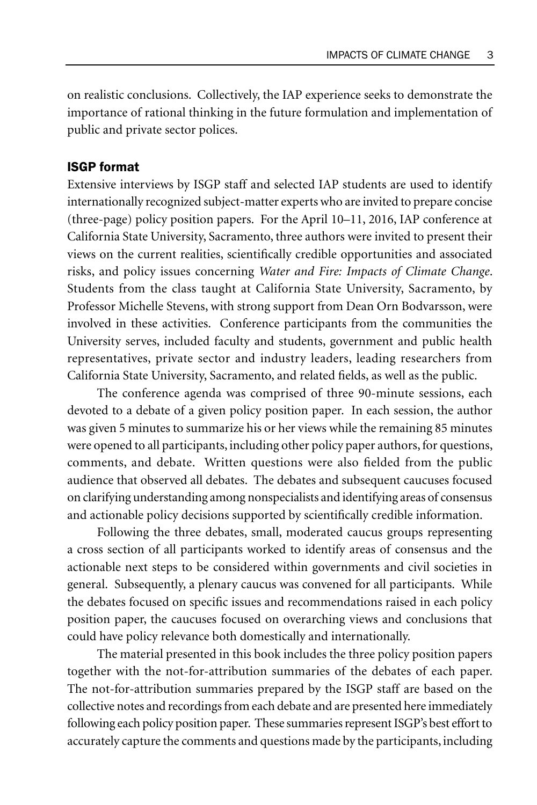on realistic conclusions. Collectively, the IAP experience seeks to demonstrate the importance of rational thinking in the future formulation and implementation of public and private sector polices.

#### ISGP format

Extensive interviews by ISGP staff and selected IAP students are used to identify internationally recognized subject-matter experts who are invited to prepare concise (three-page) policy position papers. For the April 10–11, 2016, IAP conference at California State University, Sacramento, three authors were invited to present their views on the current realities, scientifically credible opportunities and associated risks, and policy issues concerning *Water and Fire: Impacts of Climate Change*. Students from the class taught at California State University, Sacramento, by Professor Michelle Stevens, with strong support from Dean Orn Bodvarsson, were involved in these activities. Conference participants from the communities the University serves, included faculty and students, government and public health representatives, private sector and industry leaders, leading researchers from California State University, Sacramento, and related fields, as well as the public.

The conference agenda was comprised of three 90-minute sessions, each devoted to a debate of a given policy position paper. In each session, the author was given 5 minutes to summarize his or her views while the remaining 85 minutes were opened to all participants, including other policy paper authors, for questions, comments, and debate. Written questions were also fielded from the public audience that observed all debates. The debates and subsequent caucuses focused on clarifying understanding among nonspecialists and identifying areas of consensus and actionable policy decisions supported by scientifically credible information.

Following the three debates, small, moderated caucus groups representing a cross section of all participants worked to identify areas of consensus and the actionable next steps to be considered within governments and civil societies in general. Subsequently, a plenary caucus was convened for all participants. While the debates focused on specific issues and recommendations raised in each policy position paper, the caucuses focused on overarching views and conclusions that could have policy relevance both domestically and internationally.

The material presented in this book includes the three policy position papers together with the not-for-attribution summaries of the debates of each paper. The not-for-attribution summaries prepared by the ISGP staff are based on the collective notes and recordings from each debate and are presented here immediately following each policy position paper. These summaries represent ISGP's best effort to accurately capture the comments and questions made by the participants, including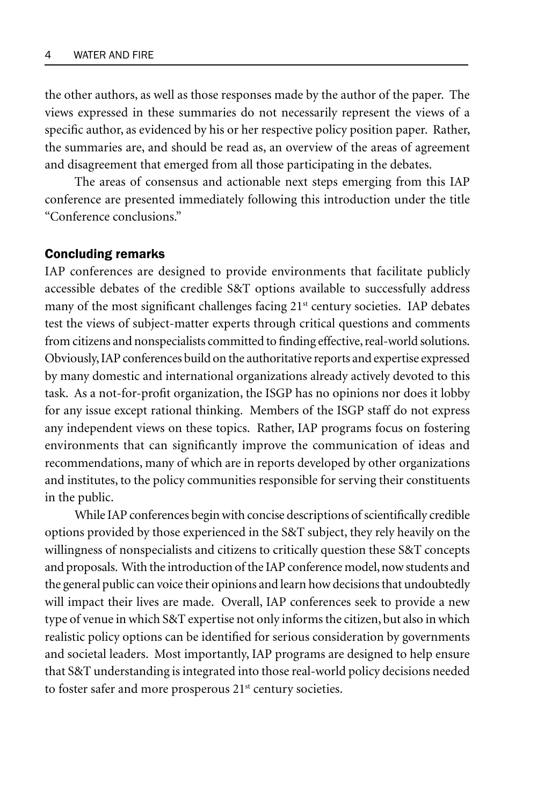the other authors, as well as those responses made by the author of the paper. The views expressed in these summaries do not necessarily represent the views of a specific author, as evidenced by his or her respective policy position paper. Rather, the summaries are, and should be read as, an overview of the areas of agreement and disagreement that emerged from all those participating in the debates.

The areas of consensus and actionable next steps emerging from this IAP conference are presented immediately following this introduction under the title "Conference conclusions."

#### Concluding remarks

IAP conferences are designed to provide environments that facilitate publicly accessible debates of the credible S&T options available to successfully address many of the most significant challenges facing 21<sup>st</sup> century societies. IAP debates test the views of subject-matter experts through critical questions and comments from citizens and nonspecialists committed to finding effective, real-world solutions. Obviously, IAP conferences build on the authoritative reports and expertise expressed by many domestic and international organizations already actively devoted to this task. As a not-for-profit organization, the ISGP has no opinions nor does it lobby for any issue except rational thinking. Members of the ISGP staff do not express any independent views on these topics. Rather, IAP programs focus on fostering environments that can significantly improve the communication of ideas and recommendations, many of which are in reports developed by other organizations and institutes, to the policy communities responsible for serving their constituents in the public.

While IAP conferences begin with concise descriptions of scientifically credible options provided by those experienced in the S&T subject, they rely heavily on the willingness of nonspecialists and citizens to critically question these S&T concepts and proposals. With the introduction of the IAP conference model, now students and the general public can voice their opinions and learn how decisions that undoubtedly will impact their lives are made. Overall, IAP conferences seek to provide a new type of venue in which S&T expertise not only informs the citizen, but also in which realistic policy options can be identified for serious consideration by governments and societal leaders. Most importantly, IAP programs are designed to help ensure that S&T understanding is integrated into those real-world policy decisions needed to foster safer and more prosperous  $21<sup>st</sup>$  century societies.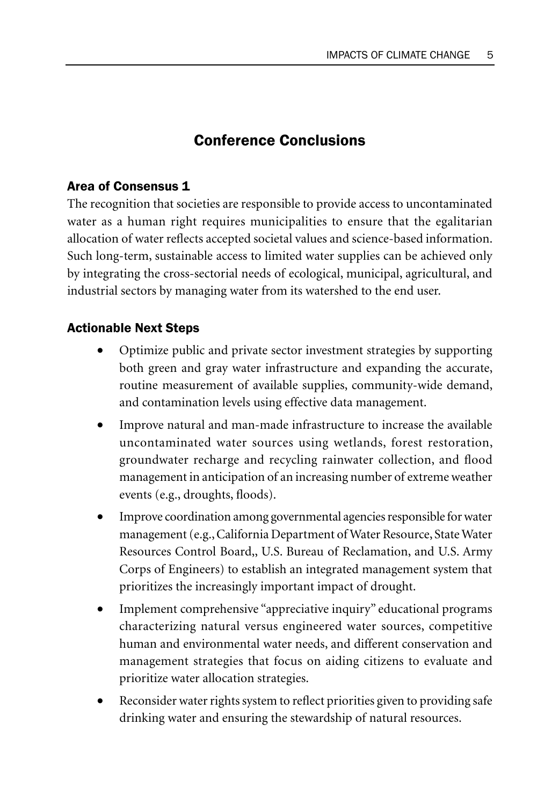## Conference Conclusions

#### Area of Consensus 1

The recognition that societies are responsible to provide access to uncontaminated water as a human right requires municipalities to ensure that the egalitarian allocation of water reflects accepted societal values and science-based information. Such long-term, sustainable access to limited water supplies can be achieved only by integrating the cross-sectorial needs of ecological, municipal, agricultural, and industrial sectors by managing water from its watershed to the end user.

#### Actionable Next Steps

- Optimize public and private sector investment strategies by supporting both green and gray water infrastructure and expanding the accurate, routine measurement of available supplies, community-wide demand, and contamination levels using effective data management.
- Improve natural and man-made infrastructure to increase the available uncontaminated water sources using wetlands, forest restoration, groundwater recharge and recycling rainwater collection, and flood management in anticipation of an increasing number of extreme weather events (e.g., droughts, floods).
- Improve coordination among governmental agencies responsible for water management (e.g., California Department of Water Resource, State Water Resources Control Board,, U.S. Bureau of Reclamation, and U.S. Army Corps of Engineers) to establish an integrated management system that prioritizes the increasingly important impact of drought.
- Implement comprehensive "appreciative inquiry" educational programs characterizing natural versus engineered water sources, competitive human and environmental water needs, and different conservation and management strategies that focus on aiding citizens to evaluate and prioritize water allocation strategies.
- Reconsider water rights system to reflect priorities given to providing safe drinking water and ensuring the stewardship of natural resources.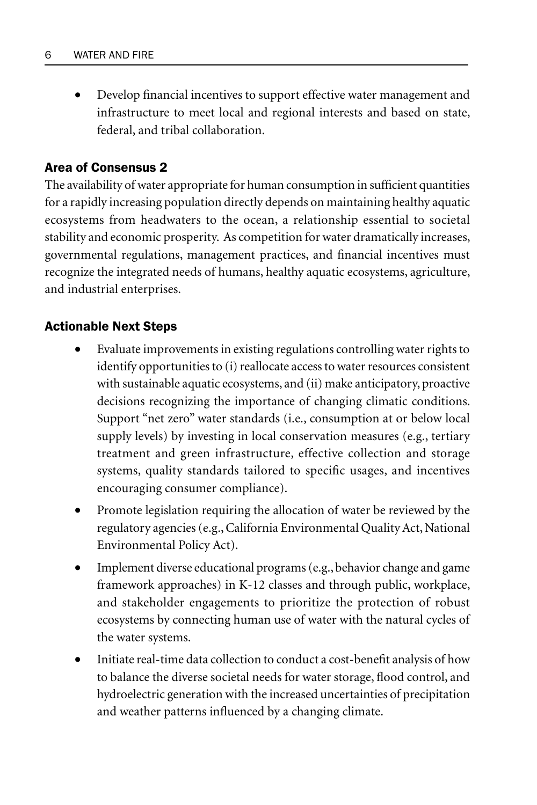• Develop financial incentives to support effective water management and infrastructure to meet local and regional interests and based on state, federal, and tribal collaboration.

#### Area of Consensus 2

The availability of water appropriate for human consumption in sufficient quantities for a rapidly increasing population directly depends on maintaining healthy aquatic ecosystems from headwaters to the ocean, a relationship essential to societal stability and economic prosperity. As competition for water dramatically increases, governmental regulations, management practices, and financial incentives must recognize the integrated needs of humans, healthy aquatic ecosystems, agriculture, and industrial enterprises.

#### Actionable Next Steps

- Evaluate improvements in existing regulations controlling water rights to identify opportunities to (i) reallocate access to water resources consistent with sustainable aquatic ecosystems, and (ii) make anticipatory, proactive decisions recognizing the importance of changing climatic conditions. Support "net zero" water standards (i.e., consumption at or below local supply levels) by investing in local conservation measures (e.g., tertiary treatment and green infrastructure, effective collection and storage systems, quality standards tailored to specific usages, and incentives encouraging consumer compliance).
- Promote legislation requiring the allocation of water be reviewed by the regulatory agencies (e.g., California Environmental Quality Act, National Environmental Policy Act).
- Implement diverse educational programs (e.g., behavior change and game framework approaches) in K-12 classes and through public, workplace, and stakeholder engagements to prioritize the protection of robust ecosystems by connecting human use of water with the natural cycles of the water systems.
- Initiate real-time data collection to conduct a cost-benefit analysis of how to balance the diverse societal needs for water storage, flood control, and hydroelectric generation with the increased uncertainties of precipitation and weather patterns influenced by a changing climate.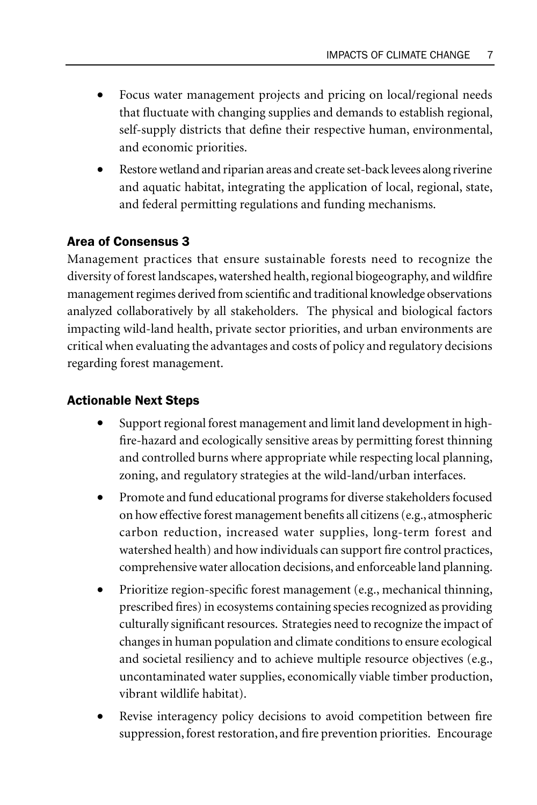- Focus water management projects and pricing on local/regional needs that fluctuate with changing supplies and demands to establish regional, self-supply districts that define their respective human, environmental, and economic priorities.
- Restore wetland and riparian areas and create set-back levees along riverine and aquatic habitat, integrating the application of local, regional, state, and federal permitting regulations and funding mechanisms.

## Area of Consensus 3

Management practices that ensure sustainable forests need to recognize the diversity of forest landscapes, watershed health, regional biogeography, and wildfire management regimes derived from scientific and traditional knowledge observations analyzed collaboratively by all stakeholders. The physical and biological factors impacting wild-land health, private sector priorities, and urban environments are critical when evaluating the advantages and costs of policy and regulatory decisions regarding forest management.

### Actionable Next Steps

- Support regional forest management and limit land development in highfire-hazard and ecologically sensitive areas by permitting forest thinning and controlled burns where appropriate while respecting local planning, zoning, and regulatory strategies at the wild-land/urban interfaces.
- Promote and fund educational programs for diverse stakeholders focused on how effective forest management benefits all citizens (e.g., atmospheric carbon reduction, increased water supplies, long-term forest and watershed health) and how individuals can support fire control practices, comprehensive water allocation decisions, and enforceable land planning.
- Prioritize region-specific forest management (e.g., mechanical thinning, prescribed fires) in ecosystems containing species recognized as providing culturally significant resources. Strategies need to recognize the impact of changes in human population and climate conditions to ensure ecological and societal resiliency and to achieve multiple resource objectives (e.g., uncontaminated water supplies, economically viable timber production, vibrant wildlife habitat).
- Revise interagency policy decisions to avoid competition between fire suppression, forest restoration, and fire prevention priorities. Encourage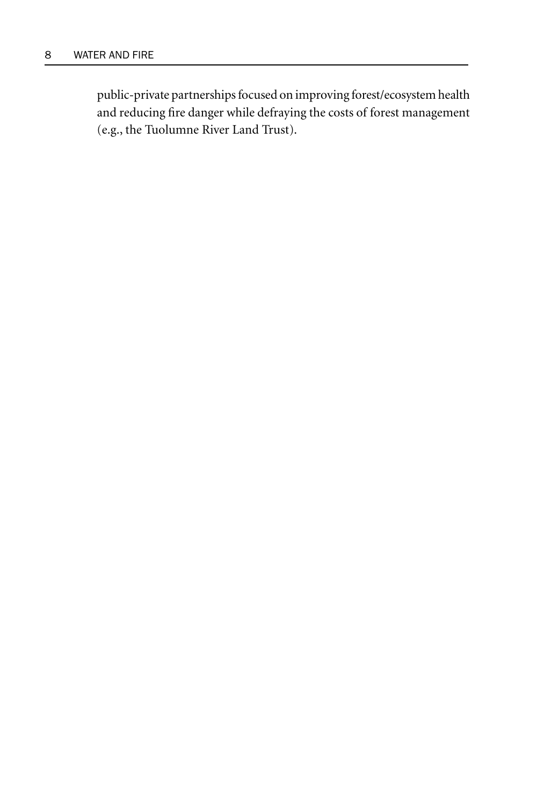public-private partnerships focused on improving forest/ecosystem health and reducing fire danger while defraying the costs of forest management (e.g., the Tuolumne River Land Trust).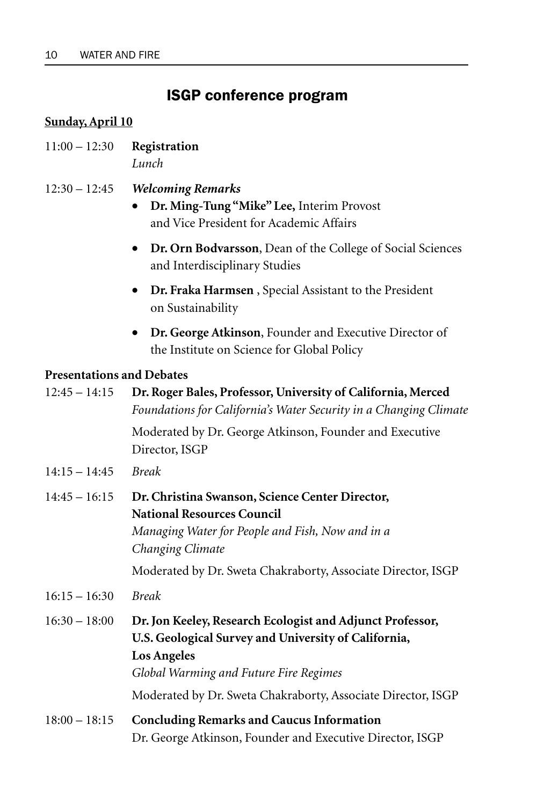## ISGP conference program

#### **Sunday, April 10**

- 11:00 12:30 **Registration** *Lunch*
- 12:30 12:45 *Welcoming Remarks*
	- **Dr. Ming-Tung "Mike" Lee,** Interim Provost and Vice President for Academic Affairs
	- **Dr. Orn Bodvarsson**, Dean of the College of Social Sciences and Interdisciplinary Studies
	- **Dr. Fraka Harmsen** , Special Assistant to the President on Sustainability
	- **Dr. George Atkinson**, Founder and Executive Director of the Institute on Science for Global Policy

#### **Presentations and Debates**

| $12:45 - 14:15$ | Dr. Roger Bales, Professor, University of California, Merced<br>Foundations for California's Water Security in a Changing Climate                                                 |
|-----------------|-----------------------------------------------------------------------------------------------------------------------------------------------------------------------------------|
|                 | Moderated by Dr. George Atkinson, Founder and Executive<br>Director, ISGP                                                                                                         |
| $14:15 - 14:45$ | <b>Break</b>                                                                                                                                                                      |
| $14:45 - 16:15$ | Dr. Christina Swanson, Science Center Director,<br><b>National Resources Council</b><br>Managing Water for People and Fish, Now and in a<br>Changing Climate                      |
|                 | Moderated by Dr. Sweta Chakraborty, Associate Director, ISGP                                                                                                                      |
| $16:15 - 16:30$ | <b>Break</b>                                                                                                                                                                      |
| $16:30 - 18:00$ | Dr. Jon Keeley, Research Ecologist and Adjunct Professor,<br>U.S. Geological Survey and University of California,<br><b>Los Angeles</b><br>Global Warming and Future Fire Regimes |
|                 | Moderated by Dr. Sweta Chakraborty, Associate Director, ISGP                                                                                                                      |
| $18:00 - 18:15$ | <b>Concluding Remarks and Caucus Information</b><br>Dr. George Atkinson, Founder and Executive Director, ISGP                                                                     |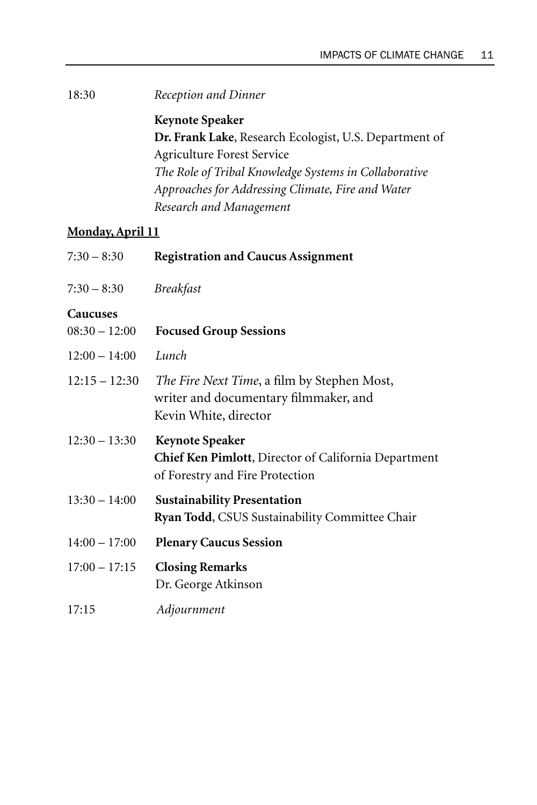18:30 *Reception and Dinner*

**Keynote Speaker Dr. Frank Lake**, Research Ecologist, U.S. Department of Agriculture Forest Service *The Role of Tribal Knowledge Systems in Collaborative Approaches for Addressing Climate, Fire and Water Research and Management*

#### **Monday, April 11**

| $7:30 - 8:30$   | <b>Registration and Caucus Assignment</b>                                                                         |
|-----------------|-------------------------------------------------------------------------------------------------------------------|
| $7:30 - 8:30$   | <b>Breakfast</b>                                                                                                  |
| <b>Caucuses</b> |                                                                                                                   |
| $08:30 - 12:00$ | <b>Focused Group Sessions</b>                                                                                     |
| $12:00 - 14:00$ | Lunch                                                                                                             |
| $12:15 - 12:30$ | The Fire Next Time, a film by Stephen Most,<br>writer and documentary filmmaker, and<br>Kevin White, director     |
| $12:30 - 13:30$ | <b>Keynote Speaker</b><br>Chief Ken Pimlott, Director of California Department<br>of Forestry and Fire Protection |
| $13:30 - 14:00$ | <b>Sustainability Presentation</b><br>Ryan Todd, CSUS Sustainability Committee Chair                              |
| $14:00 - 17:00$ | <b>Plenary Caucus Session</b>                                                                                     |
| $17:00 - 17:15$ | <b>Closing Remarks</b><br>Dr. George Atkinson                                                                     |
| 17:15           | Adjournment                                                                                                       |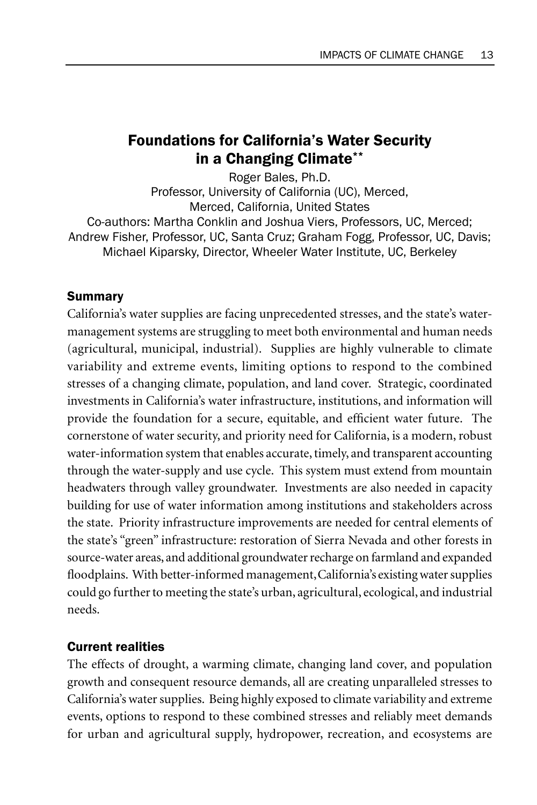## Foundations for California's Water Security in a Changing Climate\*\*

Roger Bales, Ph.D. Professor, University of California (UC), Merced, Merced, California, United States Co-authors: Martha Conklin and Joshua Viers, Professors, UC, Merced; Andrew Fisher, Professor, UC, Santa Cruz; Graham Fogg, Professor, UC, Davis; Michael Kiparsky, Director, Wheeler Water Institute, UC, Berkeley

#### Summary

California's water supplies are facing unprecedented stresses, and the state's watermanagement systems are struggling to meet both environmental and human needs (agricultural, municipal, industrial). Supplies are highly vulnerable to climate variability and extreme events, limiting options to respond to the combined stresses of a changing climate, population, and land cover. Strategic, coordinated investments in California's water infrastructure, institutions, and information will provide the foundation for a secure, equitable, and efficient water future. The cornerstone of water security, and priority need for California, is a modern, robust water-information system that enables accurate, timely, and transparent accounting through the water-supply and use cycle. This system must extend from mountain headwaters through valley groundwater. Investments are also needed in capacity building for use of water information among institutions and stakeholders across the state. Priority infrastructure improvements are needed for central elements of the state's "green" infrastructure: restoration of Sierra Nevada and other forests in source-water areas, and additional groundwater recharge on farmland and expanded floodplains. With better-informed management, California's existing water supplies could go further to meeting the state's urban, agricultural, ecological, and industrial needs.

#### Current realities

The effects of drought, a warming climate, changing land cover, and population growth and consequent resource demands, all are creating unparalleled stresses to California's water supplies. Being highly exposed to climate variability and extreme events, options to respond to these combined stresses and reliably meet demands for urban and agricultural supply, hydropower, recreation, and ecosystems are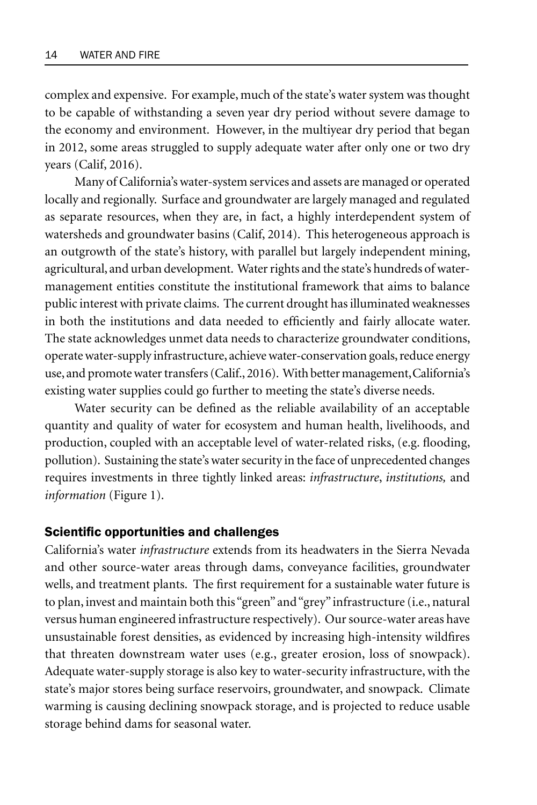complex and expensive. For example, much of the state's water system was thought to be capable of withstanding a sevenyear dry period without severe damage to the economy and environment. However, in the multiyear dry period that began in 2012, some areas struggled to supply adequate water after only one or two dry years (Calif, 2016).

Many of California's water-system services and assets are managed or operated locally and regionally. Surface and groundwater are largely managed and regulated as separate resources, when they are, in fact, a highly interdependent system of watersheds and groundwater basins (Calif, 2014). This heterogeneous approach is an outgrowth of the state's history, with parallel but largely independent mining, agricultural, and urban development. Water rights and the state's hundreds of watermanagement entities constitute the institutional framework that aims to balance public interest with private claims. The current drought has illuminated weaknesses in both the institutions and data needed to efficiently and fairly allocate water. The state acknowledges unmet data needs to characterize groundwater conditions, operate water-supply infrastructure, achieve water-conservation goals, reduce energy use, and promote water transfers (Calif., 2016). With better management, California's existing water supplies could go further to meeting the state's diverse needs.

Water security can be defined as the reliable availability of an acceptable quantity and quality of water for ecosystem and human health, livelihoods, and production, coupled with an acceptable level of water-related risks, (e.g. flooding, pollution). Sustaining the state's water security in the face of unprecedented changes requires investments in three tightly linked areas: *infrastructure*, *institutions,* and *information* (Figure 1).

#### Scientific opportunities and challenges

California's water *infrastructure* extends from its headwaters in the Sierra Nevada and other source-water areas through dams, conveyance facilities, groundwater wells, and treatment plants. The first requirement for a sustainable water future is to plan, invest and maintain both this "green" and "grey" infrastructure (i.e., natural versus human engineered infrastructure respectively). Our source-water areas have unsustainable forest densities, as evidenced by increasing high-intensity wildfires that threaten downstream water uses (e.g., greater erosion, loss of snowpack). Adequate water-supply storage is also key to water-security infrastructure, with the state's major stores being surface reservoirs, groundwater, and snowpack. Climate warming is causing declining snowpack storage, and is projected to reduce usable storage behind dams for seasonal water.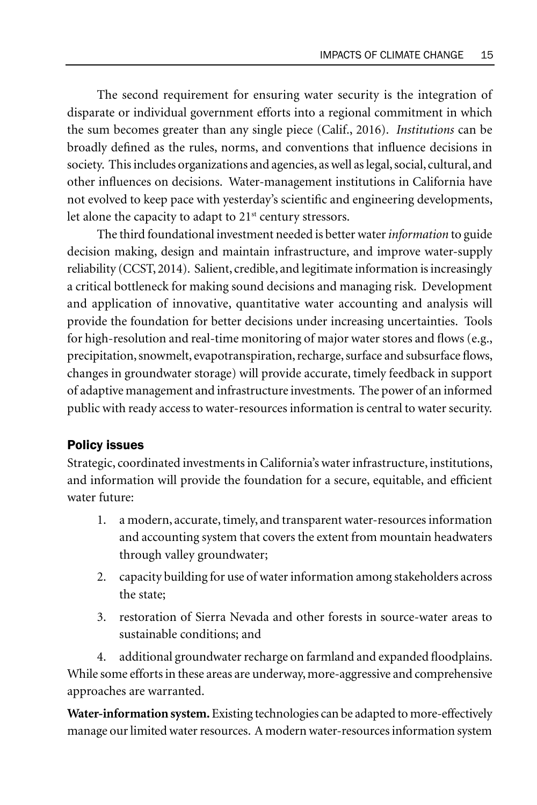The second requirement for ensuring water security is the integration of disparate or individual government efforts into a regional commitment in which the sum becomes greater than any single piece (Calif., 2016). *Institutions* can be broadly defined as the rules, norms, and conventions that influence decisions in society. This includes organizations and agencies, as well as legal, social, cultural, and other influences on decisions. Water-management institutions in California have not evolved to keep pace with yesterday's scientific and engineering developments, let alone the capacity to adapt to 21<sup>st</sup> century stressors.

The third foundational investment needed is better water *information* to guide decision making, design and maintain infrastructure, and improve water-supply reliability (CCST, 2014). Salient, credible, and legitimate information is increasingly a critical bottleneck for making sound decisions and managing risk. Development and application of innovative, quantitative water accounting and analysis will provide the foundation for better decisions under increasing uncertainties. Tools for high-resolution and real-time monitoring of major water stores and flows (e.g., precipitation, snowmelt, evapotranspiration, recharge, surface and subsurface flows, changes in groundwater storage) will provide accurate, timely feedback in support of adaptive management and infrastructure investments. The power of an informed public with ready access to water-resources information is central to water security.

#### Policy issues

Strategic, coordinated investments in California's water infrastructure, institutions, and information will provide the foundation for a secure, equitable, and efficient water future:

- 1. a modern, accurate, timely, and transparent water-resources information and accounting system that covers the extent from mountain headwaters through valley groundwater;
- 2. capacity building for use of water information among stakeholders across the state;
- 3. restoration of Sierra Nevada and other forests in source-water areas to sustainable conditions; and

4. additional groundwater recharge on farmland and expanded floodplains. While some efforts in these areas are underway, more-aggressive and comprehensive approaches are warranted.

**Water-information system.** Existing technologies can be adapted to more-effectively manage our limited water resources. A modern water-resources information system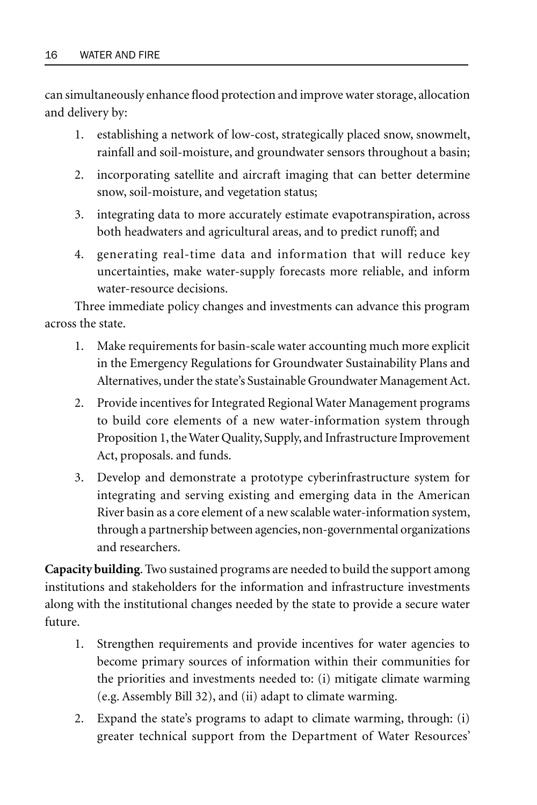can simultaneously enhance flood protection and improve water storage, allocation and delivery by:

- 1. establishing a network of low-cost, strategically placed snow, snowmelt, rainfall and soil-moisture, and groundwater sensors throughout a basin;
- 2. incorporating satellite and aircraft imaging that can better determine snow, soil-moisture, and vegetation status;
- 3. integrating data to more accurately estimate evapotranspiration, across both headwaters and agricultural areas, and to predict runoff; and
- 4. generating real-time data and information that will reduce key uncertainties, make water-supply forecasts more reliable, and inform water-resource decisions.

Three immediate policy changes and investments can advance this program across the state.

- 1. Make requirements for basin-scale water accounting much more explicit in the Emergency Regulations for Groundwater Sustainability Plans and Alternatives, under the state's Sustainable Groundwater Management Act.
- 2. Provide incentives for Integrated Regional Water Management programs to build core elements of a new water-information system through Proposition 1, the Water Quality, Supply, and Infrastructure Improvement Act, proposals. and funds.
- 3. Develop and demonstrate a prototype cyberinfrastructure system for integrating and serving existing and emerging data in the American River basin as a core element of a new scalable water-information system, through a partnership between agencies, non-governmental organizations and researchers.

**Capacity building**. Two sustained programs are needed to build the support among institutions and stakeholders for the information and infrastructure investments along with the institutional changes needed by the state to provide a secure water future.

- 1. Strengthen requirements and provide incentives for water agencies to become primary sources of information within their communities for the priorities and investments needed to: (i) mitigate climate warming (e.g. Assembly Bill 32), and (ii) adapt to climate warming.
- 2. Expand the state's programs to adapt to climate warming, through: (i) greater technical support from the Department of Water Resources'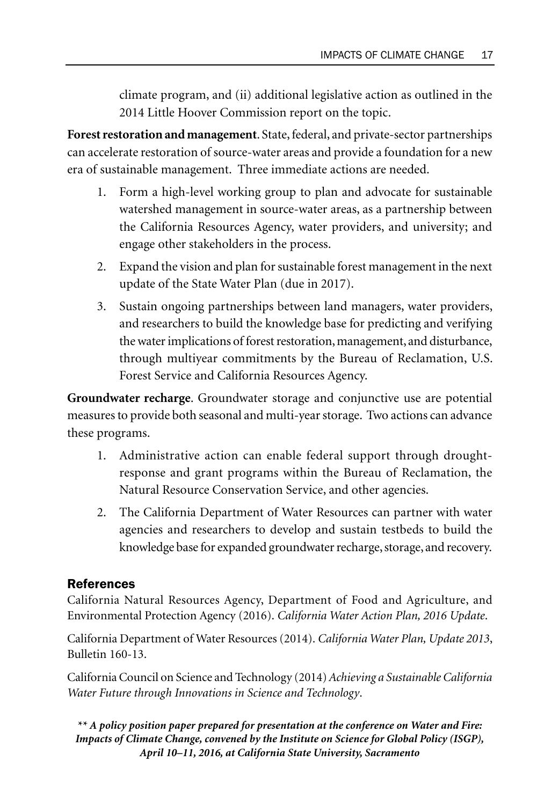climate program, and (ii) additional legislative action as outlined in the 2014 Little Hoover Commission report on the topic.

**Forest restoration and management**. State, federal, and private-sector partnerships can accelerate restoration of source-water areas and provide a foundation for a new era of sustainable management. Three immediate actions are needed.

- 1. Form a high-level working group to plan and advocate for sustainable watershed management in source-water areas, as a partnership between the California Resources Agency, water providers, and university; and engage other stakeholders in the process.
- 2. Expand the vision and plan for sustainable forest management in the next update of the State Water Plan (due in 2017).
- 3. Sustain ongoing partnerships between land managers, water providers, and researchers to build the knowledge base for predicting and verifying the water implications of forest restoration, management, and disturbance, through multiyear commitments by the Bureau of Reclamation, U.S. Forest Service and California Resources Agency.

**Groundwater recharge**. Groundwater storage and conjunctive use are potential measures to provide both seasonal and multi-year storage. Two actions can advance these programs.

- 1. Administrative action can enable federal support through droughtresponse and grant programs within the Bureau of Reclamation, the Natural Resource Conservation Service, and other agencies.
- 2. The California Department of Water Resources can partner with water agencies and researchers to develop and sustain testbeds to build the knowledge base for expanded groundwater recharge, storage, and recovery.

#### References

California Natural Resources Agency, Department of Food and Agriculture, and Environmental Protection Agency (2016). *California Water Action Plan, 2016 Update*.

California Department of Water Resources (2014). *California Water Plan, Update 2013*, Bulletin 160-13.

California Council on Science and Technology (2014) *Achieving a Sustainable California Water Future through Innovations in Science and Technology*.

*\*\* A policy position paper prepared for presentation at the conference on Water and Fire: Impacts of Climate Change, convened by the Institute on Science for Global Policy (ISGP), April 10–11, 2016, at California State University, Sacramento*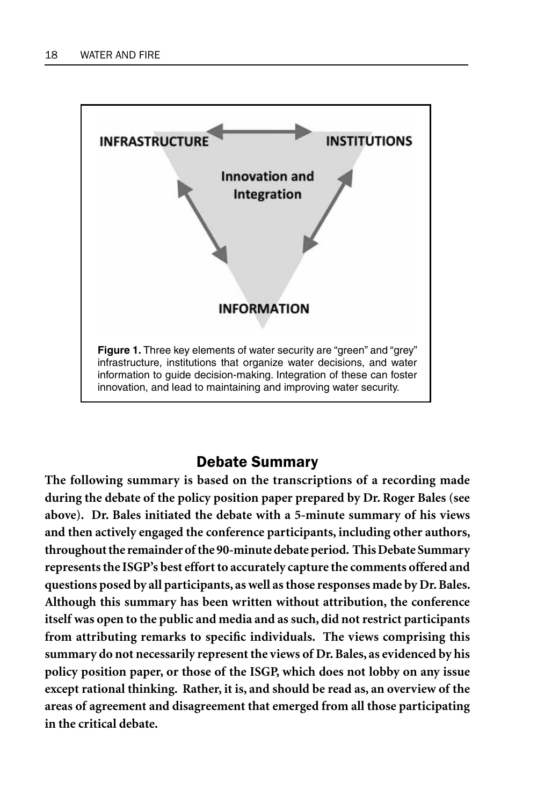

## Debate Summary

**The following summary is based on the transcriptions of a recording made during the debate of the policy position paper prepared by Dr. Roger Bales (see above). Dr. Bales initiated the debate with a 5-minute summary of his views and then actively engaged the conference participants, including other authors, throughout the remainder of the 90-minute debate period. This Debate Summary represents the ISGP's best effort to accurately capture the comments offered and questions posed by all participants, as well as those responses made by Dr. Bales. Although this summary has been written without attribution, the conference itself was open to the public and media and as such, did not restrict participants from attributing remarks to specific individuals. The views comprising this summary do not necessarily represent the views of Dr. Bales, as evidenced by his policy position paper, or those of the ISGP, which does not lobby on any issue except rational thinking. Rather, it is, and should be read as, an overview of the areas of agreement and disagreement that emerged from all those participating in the critical debate.**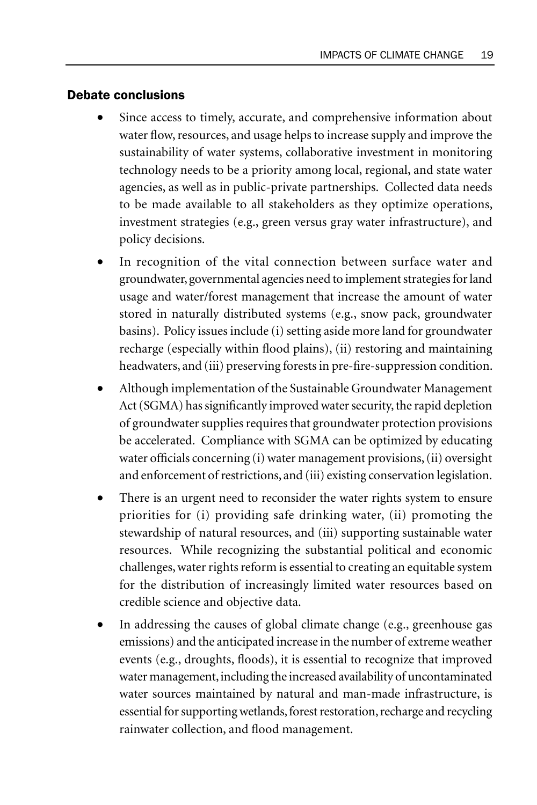#### Debate conclusions

- Since access to timely, accurate, and comprehensive information about water flow, resources, and usage helps to increase supply and improve the sustainability of water systems, collaborative investment in monitoring technology needs to be a priority among local, regional, and state water agencies, as well as in public-private partnerships. Collected data needs to be made available to all stakeholders as they optimize operations, investment strategies (e.g., green versus gray water infrastructure), and policy decisions.
- In recognition of the vital connection between surface water and groundwater, governmental agencies need to implement strategies for land usage and water/forest management that increase the amount of water stored in naturally distributed systems (e.g., snow pack, groundwater basins). Policy issues include (i) setting aside more land for groundwater recharge (especially within flood plains), (ii) restoring and maintaining headwaters, and (iii) preserving forests in pre-fire-suppression condition.
- Although implementation of the Sustainable Groundwater Management Act (SGMA) has significantly improved water security, the rapid depletion of groundwater supplies requires that groundwater protection provisions be accelerated. Compliance with SGMA can be optimized by educating water officials concerning (i) water management provisions, (ii) oversight and enforcement of restrictions, and (iii) existing conservation legislation.
- There is an urgent need to reconsider the water rights system to ensure priorities for (i) providing safe drinking water, (ii) promoting the stewardship of natural resources, and (iii) supporting sustainable water resources. While recognizing the substantial political and economic challenges, water rights reform is essential to creating an equitable system for the distribution of increasingly limited water resources based on credible science and objective data.
- In addressing the causes of global climate change (e.g., greenhouse gas emissions) and the anticipated increase in the number of extreme weather events (e.g., droughts, floods), it is essential to recognize that improved water management, including the increased availability of uncontaminated water sources maintained by natural and man-made infrastructure, is essential for supporting wetlands, forest restoration, recharge and recycling rainwater collection, and flood management.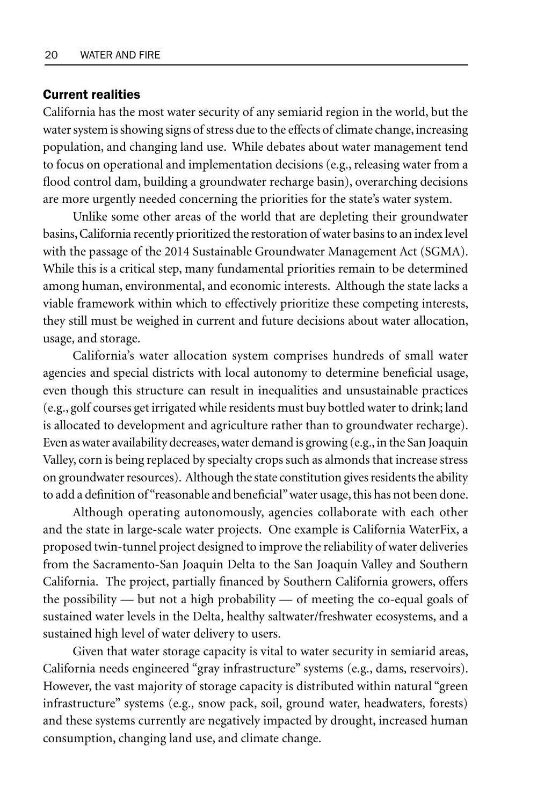#### Current realities

California has the most water security of any semiarid region in the world, but the water system is showing signs of stress due to the effects of climate change, increasing population, and changing land use. While debates about water management tend to focus on operational and implementation decisions (e.g., releasing water from a flood control dam, building a groundwater recharge basin), overarching decisions are more urgently needed concerning the priorities for the state's water system.

Unlike some other areas of the world that are depleting their groundwater basins, California recently prioritized the restoration of water basins to an index level with the passage of the 2014 Sustainable Groundwater Management Act (SGMA). While this is a critical step, many fundamental priorities remain to be determined among human, environmental, and economic interests. Although the state lacks a viable framework within which to effectively prioritize these competing interests, they still must be weighed in current and future decisions about water allocation, usage, and storage.

California's water allocation system comprises hundreds of small water agencies and special districts with local autonomy to determine beneficial usage, even though this structure can result in inequalities and unsustainable practices (e.g., golf courses get irrigated while residents must buy bottled water to drink; land is allocated to development and agriculture rather than to groundwater recharge). Even as water availability decreases, water demand is growing (e.g., in the San Joaquin Valley, corn is being replaced by specialty crops such as almonds that increase stress on groundwater resources). Although the state constitution gives residents the ability to add a definition of "reasonable and beneficial" water usage, this has not been done.

Although operating autonomously, agencies collaborate with each other and the state in large-scale water projects. One example is California WaterFix, a proposed twin-tunnel project designed to improve the reliability of water deliveries from the Sacramento-San Joaquin Delta to the San Joaquin Valley and Southern California. The project, partially financed by Southern California growers, offers the possibility — but not a high probability — of meeting the co-equal goals of sustained water levels in the Delta, healthy saltwater/freshwater ecosystems, and a sustained high level of water delivery to users.

Given that water storage capacity is vital to water security in semiarid areas, California needs engineered "gray infrastructure" systems (e.g., dams, reservoirs). However, the vast majority of storage capacity is distributed within natural "green infrastructure" systems (e.g., snow pack, soil, ground water, headwaters, forests) and these systems currently are negatively impacted by drought, increased human consumption, changing land use, and climate change.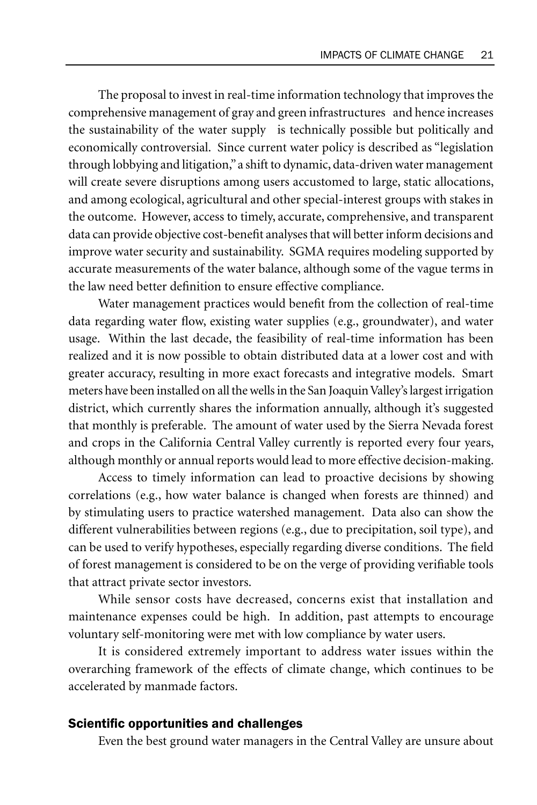The proposal to invest in real-time information technology that improves the comprehensive management of gray and green infrastructures and hence increases the sustainability of the water supply is technically possible but politically and economically controversial. Since current water policy is described as "legislation through lobbying and litigation," a shift to dynamic, data-driven water management will create severe disruptions among users accustomed to large, static allocations, and among ecological, agricultural and other special-interest groups with stakes in the outcome. However, access to timely, accurate, comprehensive, and transparent data can provide objective cost-benefit analyses that will better inform decisions and improve water security and sustainability. SGMA requires modeling supported by accurate measurements of the water balance, although some of the vague terms in the law need better definition to ensure effective compliance.

Water management practices would benefit from the collection of real-time data regarding water flow, existing water supplies (e.g., groundwater), and water usage. Within the last decade, the feasibility of real-time information has been realized and it is now possible to obtain distributed data at a lower cost and with greater accuracy, resulting in more exact forecasts and integrative models. Smart meters have been installed on all the wells in the San Joaquin Valley's largest irrigation district, which currently shares the information annually, although it's suggested that monthly is preferable. The amount of water used by the Sierra Nevada forest and crops in the California Central Valley currently is reported every four years, although monthly or annual reports would lead to more effective decision-making.

Access to timely information can lead to proactive decisions by showing correlations (e.g., how water balance is changed when forests are thinned) and by stimulating users to practice watershed management. Data also can show the different vulnerabilities between regions (e.g., due to precipitation, soil type), and can be used to verify hypotheses, especially regarding diverse conditions. The field of forest management is considered to be on the verge of providing verifiable tools that attract private sector investors.

While sensor costs have decreased, concerns exist that installation and maintenance expenses could be high. In addition, past attempts to encourage voluntary self-monitoring were met with low compliance by water users.

It is considered extremely important to address water issues within the overarching framework of the effects of climate change, which continues to be accelerated by manmade factors.

#### Scientific opportunities and challenges

Even the best ground water managers in the Central Valley are unsure about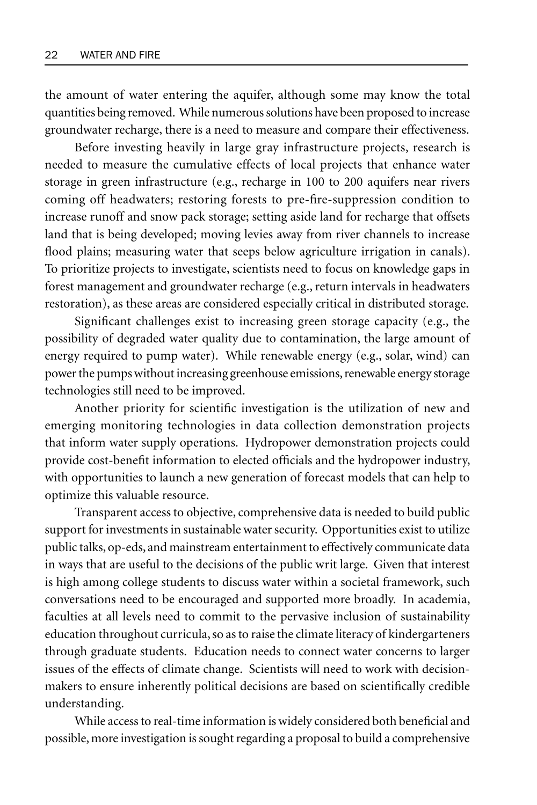the amount of water entering the aquifer, although some may know the total quantities being removed. While numerous solutions have been proposed to increase groundwater recharge, there is a need to measure and compare their effectiveness.

Before investing heavily in large gray infrastructure projects, research is needed to measure the cumulative effects of local projects that enhance water storage in green infrastructure (e.g., recharge in 100 to 200 aquifers near rivers coming off headwaters; restoring forests to pre-fire-suppression condition to increase runoff and snow pack storage; setting aside land for recharge that offsets land that is being developed; moving levies away from river channels to increase flood plains; measuring water that seeps below agriculture irrigation in canals). To prioritize projects to investigate, scientists need to focus on knowledge gaps in forest management and groundwater recharge (e.g., return intervals in headwaters restoration), as these areas are considered especially critical in distributed storage.

Significant challenges exist to increasing green storage capacity (e.g., the possibility of degraded water quality due to contamination, the large amount of energy required to pump water). While renewable energy (e.g., solar, wind) can power the pumps without increasing greenhouse emissions, renewable energy storage technologies still need to be improved.

Another priority for scientific investigation is the utilization of new and emerging monitoring technologies in data collection demonstration projects that inform water supply operations. Hydropower demonstration projects could provide cost-benefit information to elected officials and the hydropower industry, with opportunities to launch a new generation of forecast models that can help to optimize this valuable resource.

Transparent access to objective, comprehensive data is needed to build public support for investments in sustainable water security. Opportunities exist to utilize public talks, op-eds, and mainstream entertainment to effectively communicate data in ways that are useful to the decisions of the public writ large. Given that interest is high among college students to discuss water within a societal framework, such conversations need to be encouraged and supported more broadly. In academia, faculties at all levels need to commit to the pervasive inclusion of sustainability education throughout curricula, so as to raise the climate literacy of kindergarteners through graduate students. Education needs to connect water concerns to larger issues of the effects of climate change. Scientists will need to work with decisionmakers to ensure inherently political decisions are based on scientifically credible understanding.

While access to real-time information is widely considered both beneficial and possible, more investigation is sought regarding a proposal to build a comprehensive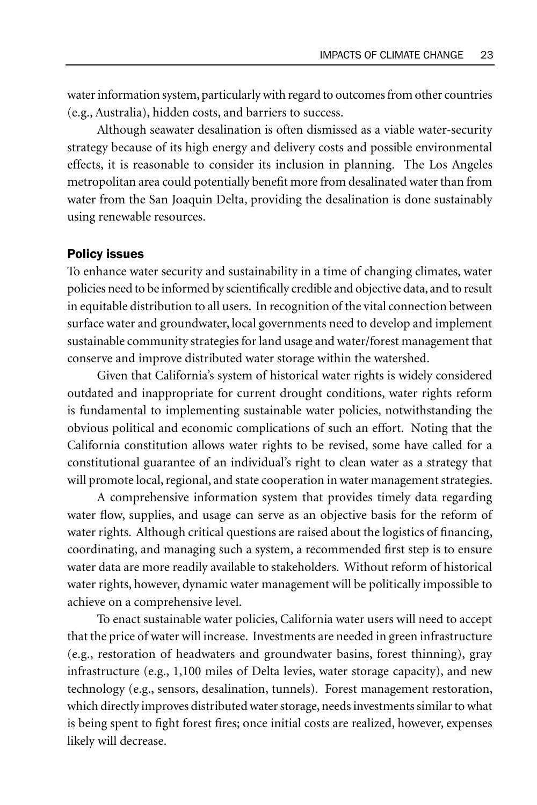water information system, particularly with regard to outcomes from other countries (e.g., Australia), hidden costs, and barriers to success.

Although seawater desalination is often dismissed as a viable water-security strategy because of its high energy and delivery costs and possible environmental effects, it is reasonable to consider its inclusion in planning. The Los Angeles metropolitan area could potentially benefit more from desalinated water than from water from the San Joaquin Delta, providing the desalination is done sustainably using renewable resources.

#### Policy issues

To enhance water security and sustainability in a time of changing climates, water policies need to be informed by scientifically credible and objective data, and to result in equitable distribution to all users. In recognition of the vital connection between surface water and groundwater, local governments need to develop and implement sustainable community strategies for land usage and water/forest management that conserve and improve distributed water storage within the watershed.

Given that California's system of historical water rights is widely considered outdated and inappropriate for current drought conditions, water rights reform is fundamental to implementing sustainable water policies, notwithstanding the obvious political and economic complications of such an effort. Noting that the California constitution allows water rights to be revised, some have called for a constitutional guarantee of an individual's right to clean water as a strategy that will promote local, regional, and state cooperation in water management strategies.

A comprehensive information system that provides timely data regarding water flow, supplies, and usage can serve as an objective basis for the reform of water rights. Although critical questions are raised about the logistics of financing, coordinating, and managing such a system, a recommended first step is to ensure water data are more readily available to stakeholders. Without reform of historical water rights, however, dynamic water management will be politically impossible to achieve on a comprehensive level.

To enact sustainable water policies, California water users will need to accept that the price of water will increase. Investments are needed in green infrastructure (e.g., restoration of headwaters and groundwater basins, forest thinning), gray infrastructure (e.g., 1,100 miles of Delta levies, water storage capacity), and new technology (e.g., sensors, desalination, tunnels). Forest management restoration, which directly improves distributed water storage, needs investments similar to what is being spent to fight forest fires; once initial costs are realized, however, expenses likely will decrease.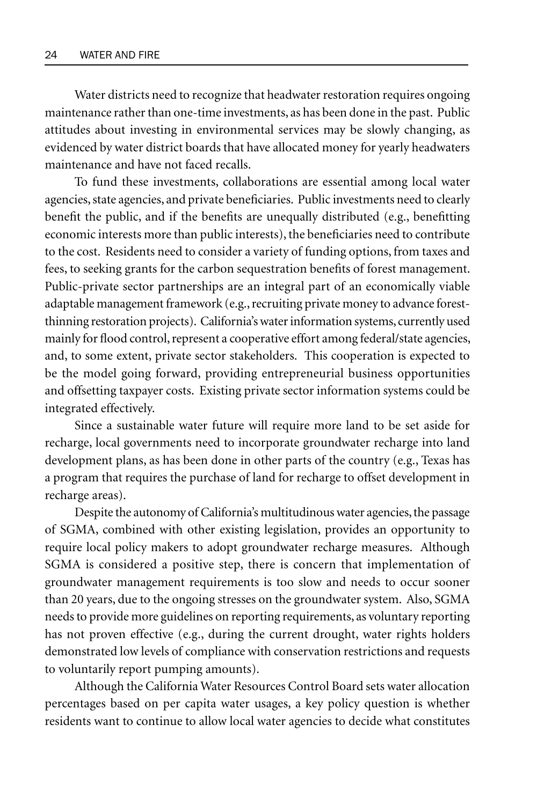Water districts need to recognize that headwater restoration requires ongoing maintenance rather than one-time investments, as has been done in the past. Public attitudes about investing in environmental services may be slowly changing, as evidenced by water district boards that have allocated money for yearly headwaters maintenance and have not faced recalls.

To fund these investments, collaborations are essential among local water agencies, state agencies, and private beneficiaries. Public investments need to clearly benefit the public, and if the benefits are unequally distributed (e.g., benefitting economic interests more than public interests), the beneficiaries need to contribute to the cost. Residents need to consider a variety of funding options, from taxes and fees, to seeking grants for the carbon sequestration benefits of forest management. Public-private sector partnerships are an integral part of an economically viable adaptable management framework (e.g., recruiting private money to advance forestthinning restoration projects). California's water information systems, currently used mainly for flood control, represent a cooperative effort among federal/state agencies, and, to some extent, private sector stakeholders. This cooperation is expected to be the model going forward, providing entrepreneurial business opportunities and offsetting taxpayer costs. Existing private sector information systems could be integrated effectively.

Since a sustainable water future will require more land to be set aside for recharge, local governments need to incorporate groundwater recharge into land development plans, as has been done in other parts of the country (e.g., Texas has a program that requires the purchase of land for recharge to offset development in recharge areas).

Despite the autonomy of California's multitudinous water agencies, the passage of SGMA, combined with other existing legislation, provides an opportunity to require local policy makers to adopt groundwater recharge measures. Although SGMA is considered a positive step, there is concern that implementation of groundwater management requirements is too slow and needs to occur sooner than 20 years, due to the ongoing stresses on the groundwater system. Also, SGMA needs to provide more guidelines on reporting requirements, as voluntary reporting has not proven effective (e.g., during the current drought, water rights holders demonstrated low levels of compliance with conservation restrictions and requests to voluntarily report pumping amounts).

Although the California Water Resources Control Board sets water allocation percentages based on per capita water usages, a key policy question is whether residents want to continue to allow local water agencies to decide what constitutes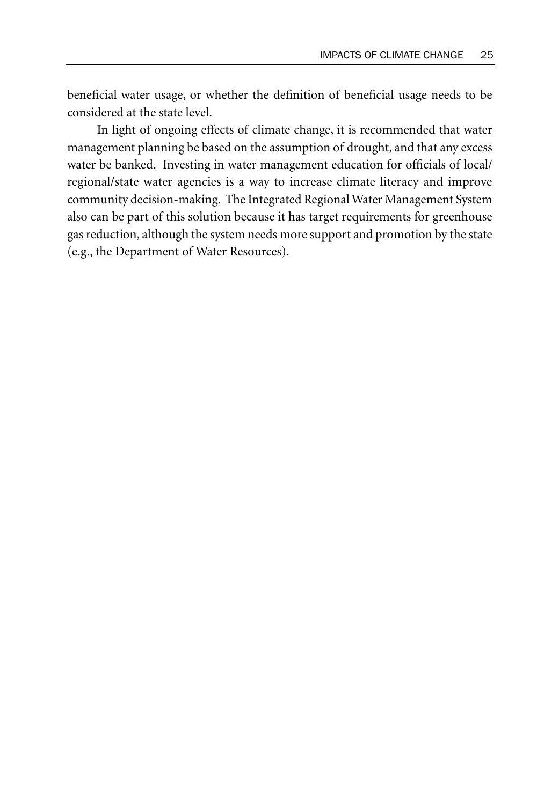beneficial water usage, or whether the definition of beneficial usage needs to be considered at the state level.

In light of ongoing effects of climate change, it is recommended that water management planning be based on the assumption of drought, and that any excess water be banked. Investing in water management education for officials of local/ regional/state water agencies is a way to increase climate literacy and improve community decision-making. The Integrated Regional Water Management System also can be part of this solution because it has target requirements for greenhouse gas reduction, although the system needs more support and promotion by the state (e.g., the Department of Water Resources).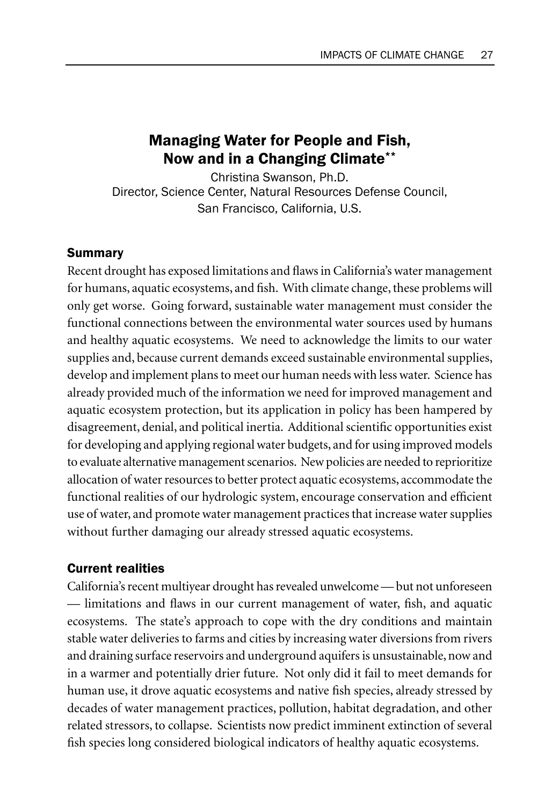## Managing Water for People and Fish, Now and in a Changing Climate\*\*

Christina Swanson, Ph.D. Director, Science Center, Natural Resources Defense Council, San Francisco, California, U.S.

#### Summary

Recent drought has exposed limitations and flaws in California's water management for humans, aquatic ecosystems, and fish. With climate change, these problems will only get worse. Going forward, sustainable water management must consider the functional connections between the environmental water sources used by humans and healthy aquatic ecosystems. We need to acknowledge the limits to our water supplies and, because current demands exceed sustainable environmental supplies, develop and implement plans to meet our human needs with less water. Science has already provided much of the information we need for improved management and aquatic ecosystem protection, but its application in policy has been hampered by disagreement, denial, and political inertia. Additional scientific opportunities exist for developing and applying regional water budgets, and for using improved models to evaluate alternative management scenarios. New policies are needed to reprioritize allocation of water resources to better protect aquatic ecosystems, accommodate the functional realities of our hydrologic system, encourage conservation and efficient use of water, and promote water management practices that increase water supplies without further damaging our already stressed aquatic ecosystems.

#### Current realities

California's recent multiyear drought has revealed unwelcome — but not unforeseen — limitations and flaws in our current management of water, fish, and aquatic ecosystems. The state's approach to cope with the dry conditions and maintain stable water deliveries to farms and cities by increasing water diversions from rivers and draining surface reservoirs and underground aquifers is unsustainable, now and in a warmer and potentially drier future. Not only did it fail to meet demands for human use, it drove aquatic ecosystems and native fish species, already stressed by decades of water management practices, pollution, habitat degradation, and other related stressors, to collapse. Scientists now predict imminent extinction of several fish species long considered biological indicators of healthy aquatic ecosystems.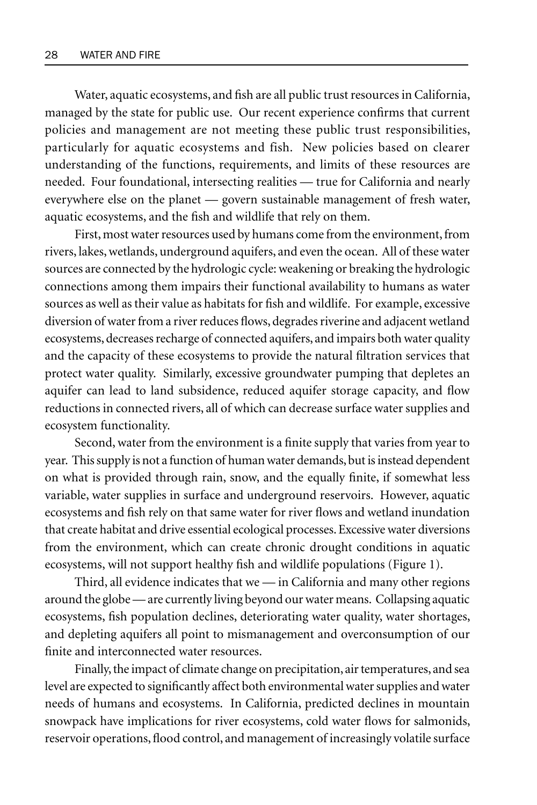Water, aquatic ecosystems, and fish are all public trust resources in California, managed by the state for public use. Our recent experience confirms that current policies and management are not meeting these public trust responsibilities, particularly for aquatic ecosystems and fish. New policies based on clearer understanding of the functions, requirements, and limits of these resources are needed. Four foundational, intersecting realities — true for California and nearly everywhere else on the planet — govern sustainable management of fresh water, aquatic ecosystems, and the fish and wildlife that rely on them.

First, most water resources used by humans come from the environment, from rivers, lakes, wetlands, underground aquifers, and even the ocean. All of these water sources are connected by the hydrologic cycle: weakening or breaking the hydrologic connections among them impairs their functional availability to humans as water sources as well as their value as habitats for fish and wildlife. For example, excessive diversion of water from a river reduces flows, degrades riverine and adjacent wetland ecosystems, decreases recharge of connected aquifers, and impairs both water quality and the capacity of these ecosystems to provide the natural filtration services that protect water quality. Similarly, excessive groundwater pumping that depletes an aquifer can lead to land subsidence, reduced aquifer storage capacity, and flow reductions in connected rivers, all of which can decrease surface water supplies and ecosystem functionality.

Second, water from the environment is a finite supply that varies from year to year. This supply is not a function of human water demands, but is instead dependent on what is provided through rain, snow, and the equally finite, if somewhat less variable, water supplies in surface and underground reservoirs. However, aquatic ecosystems and fish rely on that same water for river flows and wetland inundation that create habitat and drive essential ecological processes. Excessive water diversions from the environment, which can create chronic drought conditions in aquatic ecosystems, will not support healthy fish and wildlife populations (Figure 1).

Third, all evidence indicates that we — in California and many other regions around the globe — are currently living beyond our water means. Collapsing aquatic ecosystems, fish population declines, deteriorating water quality, water shortages, and depleting aquifers all point to mismanagement and overconsumption of our finite and interconnected water resources.

Finally, the impact of climate change on precipitation, air temperatures, and sea level are expected to significantly affect both environmental water supplies and water needs of humans and ecosystems. In California, predicted declines in mountain snowpack have implications for river ecosystems, cold water flows for salmonids, reservoir operations, flood control, and management of increasingly volatile surface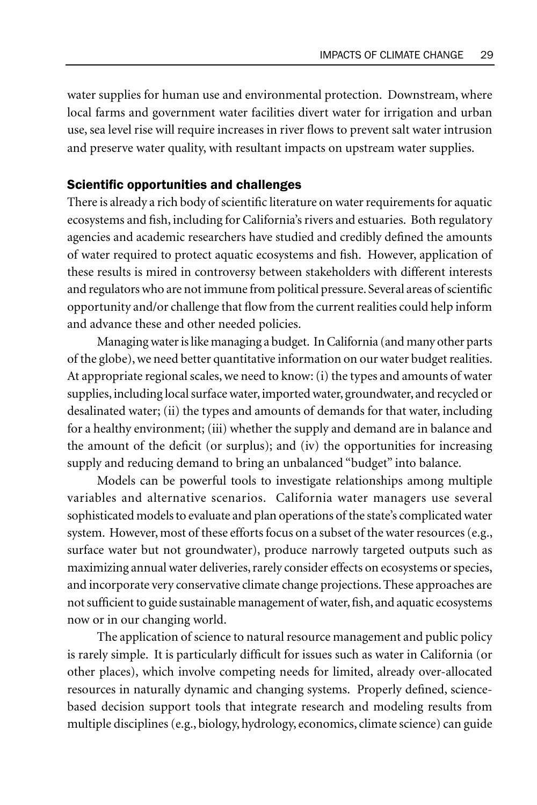water supplies for human use and environmental protection. Downstream, where local farms and government water facilities divert water for irrigation and urban use, sea level rise will require increases in river flows to prevent salt water intrusion and preserve water quality, with resultant impacts on upstream water supplies.

#### Scientific opportunities and challenges

There is already a rich body of scientific literature on water requirements for aquatic ecosystems and fish, including for California's rivers and estuaries. Both regulatory agencies and academic researchers have studied and credibly defined the amounts of water required to protect aquatic ecosystems and fish. However, application of these results is mired in controversy between stakeholders with different interests and regulators who are not immune from political pressure. Several areas of scientific opportunity and/or challenge that flow from the current realities could help inform and advance these and other needed policies.

Managing water is like managing a budget. In California (and many other parts of the globe), we need better quantitative information on our water budget realities. At appropriate regional scales, we need to know: (i) the types and amounts of water supplies, including local surface water, imported water, groundwater, and recycled or desalinated water; (ii) the types and amounts of demands for that water, including for a healthy environment; (iii) whether the supply and demand are in balance and the amount of the deficit (or surplus); and (iv) the opportunities for increasing supply and reducing demand to bring an unbalanced "budget" into balance.

Models can be powerful tools to investigate relationships among multiple variables and alternative scenarios. California water managers use several sophisticated models to evaluate and plan operations of the state's complicated water system. However, most of these efforts focus on a subset of the water resources (e.g., surface water but not groundwater), produce narrowly targeted outputs such as maximizing annual water deliveries, rarely consider effects on ecosystems or species, and incorporate very conservative climate change projections. These approaches are not sufficient to guide sustainable management of water, fish, and aquatic ecosystems now or in our changing world.

The application of science to natural resource management and public policy is rarely simple. It is particularly difficult for issues such as water in California (or other places), which involve competing needs for limited, already over-allocated resources in naturally dynamic and changing systems. Properly defined, sciencebased decision support tools that integrate research and modeling results from multiple disciplines (e.g., biology, hydrology, economics, climate science) can guide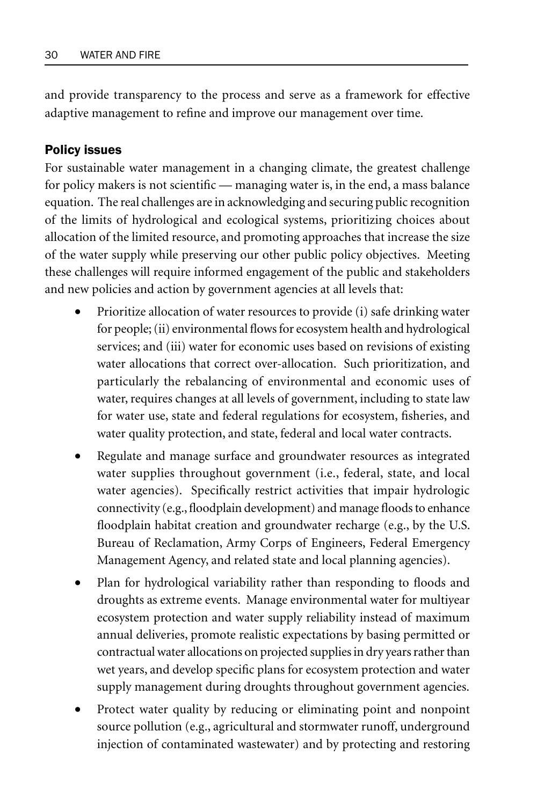and provide transparency to the process and serve as a framework for effective adaptive management to refine and improve our management over time.

#### Policy issues

For sustainable water management in a changing climate, the greatest challenge for policy makers is not scientific — managing water is, in the end, a mass balance equation. The real challenges are in acknowledging and securing public recognition of the limits of hydrological and ecological systems, prioritizing choices about allocation of the limited resource, and promoting approaches that increase the size of the water supply while preserving our other public policy objectives. Meeting these challenges will require informed engagement of the public and stakeholders and new policies and action by government agencies at all levels that:

- Prioritize allocation of water resources to provide (i) safe drinking water for people; (ii) environmental flows for ecosystem health and hydrological services; and (iii) water for economic uses based on revisions of existing water allocations that correct over-allocation. Such prioritization, and particularly the rebalancing of environmental and economic uses of water, requires changes at all levels of government, including to state law for water use, state and federal regulations for ecosystem, fisheries, and water quality protection, and state, federal and local water contracts.
- Regulate and manage surface and groundwater resources as integrated water supplies throughout government (i.e., federal, state, and local water agencies). Specifically restrict activities that impair hydrologic connectivity (e.g., floodplain development) and manage floods to enhance floodplain habitat creation and groundwater recharge (e.g., by the U.S. Bureau of Reclamation, Army Corps of Engineers, Federal Emergency Management Agency, and related state and local planning agencies).
- Plan for hydrological variability rather than responding to floods and droughts as extreme events. Manage environmental water for multiyear ecosystem protection and water supply reliability instead of maximum annual deliveries, promote realistic expectations by basing permitted or contractual water allocations on projected supplies in dry years rather than wet years, and develop specific plans for ecosystem protection and water supply management during droughts throughout government agencies.
- Protect water quality by reducing or eliminating point and nonpoint source pollution (e.g., agricultural and stormwater runoff, underground injection of contaminated wastewater) and by protecting and restoring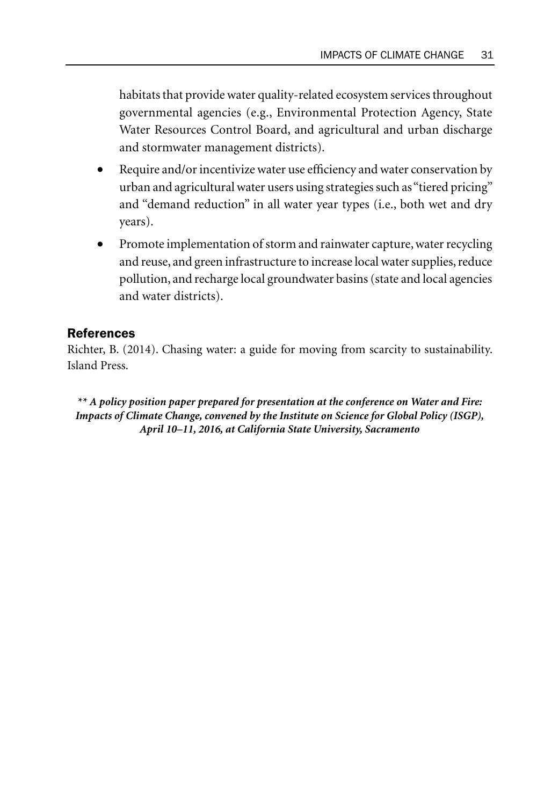habitats that provide water quality-related ecosystem services throughout governmental agencies (e.g., Environmental Protection Agency, State Water Resources Control Board, and agricultural and urban discharge and stormwater management districts).

- Require and/or incentivize water use efficiency and water conservation by urban and agricultural water users using strategies such as "tiered pricing" and "demand reduction" in all water year types (i.e., both wet and dry years).
- Promote implementation of storm and rainwater capture, water recycling and reuse, and green infrastructure to increase local water supplies, reduce pollution, and recharge local groundwater basins (state and local agencies and water districts).

#### References

Richter, B. (2014). Chasing water: a guide for moving from scarcity to sustainability. Island Press.

*\*\* A policy position paper prepared for presentation at the conference on Water and Fire: Impacts of Climate Change, convened by the Institute on Science for Global Policy (ISGP), April 10–11, 2016, at California State University, Sacramento*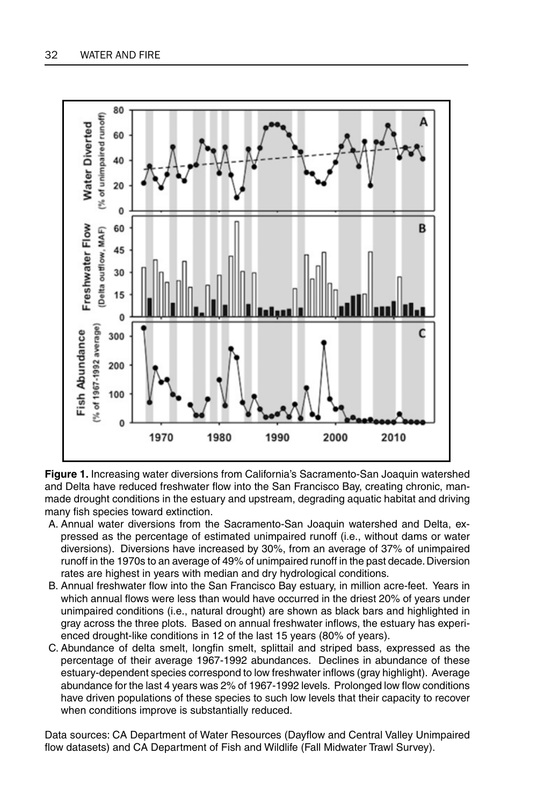

**Figure 1.** Increasing water diversions from California's Sacramento-San Joaquin watershed and Delta have reduced freshwater flow into the San Francisco Bay, creating chronic, manmade drought conditions in the estuary and upstream, degrading aquatic habitat and driving many fish species toward extinction.

- A. Annual water diversions from the Sacramento-San Joaquin watershed and Delta, expressed as the percentage of estimated unimpaired runoff (i.e., without dams or water diversions). Diversions have increased by 30%, from an average of 37% of unimpaired runoff in the 1970s to an average of 49% of unimpaired runoff in the past decade. Diversion rates are highest in years with median and dry hydrological conditions.
- B. Annual freshwater flow into the San Francisco Bay estuary, in million acre-feet. Years in which annual flows were less than would have occurred in the driest 20% of years under unimpaired conditions (i.e., natural drought) are shown as black bars and highlighted in gray across the three plots. Based on annual freshwater inflows, the estuary has experienced drought-like conditions in 12 of the last 15 years (80% of years).
- C. Abundance of delta smelt, longfin smelt, splittail and striped bass, expressed as the percentage of their average 1967-1992 abundances. Declines in abundance of these estuary-dependent species correspond to low freshwater inflows (gray highlight). Average abundance for the last 4 years was 2% of 1967-1992 levels. Prolonged low flow conditions have driven populations of these species to such low levels that their capacity to recover when conditions improve is substantially reduced.

Data sources: CA Department of Water Resources (Dayflow and Central Valley Unimpaired flow datasets) and CA Department of Fish and Wildlife (Fall Midwater Trawl Survey).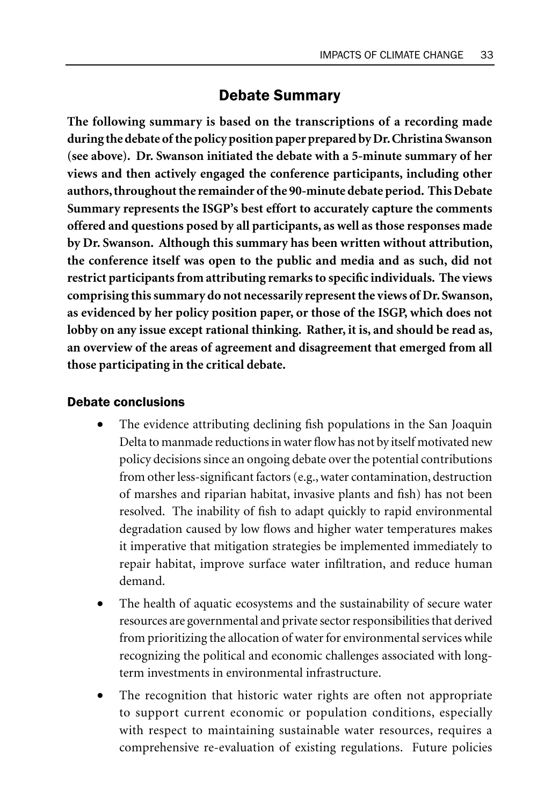# Debate Summary

**The following summary is based on the transcriptions of a recording made during the debate of the policy position paper prepared by Dr. Christina Swanson (see above). Dr. Swanson initiated the debate with a 5-minute summary of her views and then actively engaged the conference participants, including other authors, throughout the remainder of the 90-minute debate period. This Debate Summary represents the ISGP's best effort to accurately capture the comments offered and questions posed by all participants, as well as those responses made by Dr. Swanson. Although this summary has been written without attribution, the conference itself was open to the public and media and as such, did not restrict participants from attributing remarks to specific individuals. The views comprising this summary do not necessarily represent the views of Dr. Swanson, as evidenced by her policy position paper, or those of the ISGP, which does not lobby on any issue except rational thinking. Rather, it is, and should be read as, an overview of the areas of agreement and disagreement that emerged from all those participating in the critical debate.**

## Debate conclusions

- The evidence attributing declining fish populations in the San Joaquin Delta to manmade reductions in water flow has not by itself motivated new policy decisions since an ongoing debate over the potential contributions from other less-significant factors (e.g., water contamination, destruction of marshes and riparian habitat, invasive plants and fish) has not been resolved. The inability of fish to adapt quickly to rapid environmental degradation caused by low flows and higher water temperatures makes it imperative that mitigation strategies be implemented immediately to repair habitat, improve surface water infiltration, and reduce human demand.
- The health of aquatic ecosystems and the sustainability of secure water resources are governmental and private sector responsibilities that derived from prioritizing the allocation of water for environmental services while recognizing the political and economic challenges associated with longterm investments in environmental infrastructure.
- The recognition that historic water rights are often not appropriate to support current economic or population conditions, especially with respect to maintaining sustainable water resources, requires a comprehensive re-evaluation of existing regulations. Future policies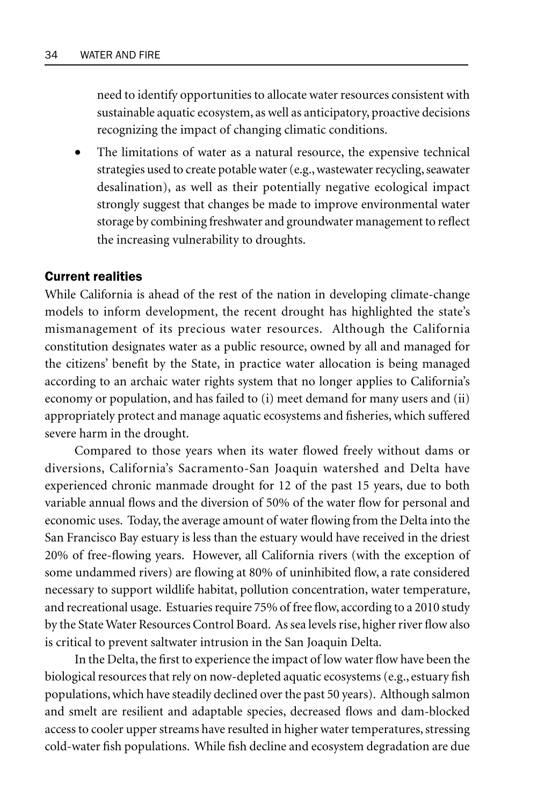need to identify opportunities to allocate water resources consistent with sustainable aquatic ecosystem, as well as anticipatory, proactive decisions recognizing the impact of changing climatic conditions.

The limitations of water as a natural resource, the expensive technical strategies used to create potable water (e.g., wastewater recycling, seawater desalination), as well as their potentially negative ecological impact strongly suggest that changes be made to improve environmental water storage by combining freshwater and groundwater management to reflect the increasing vulnerability to droughts.

#### Current realities

While California is ahead of the rest of the nation in developing climate-change models to inform development, the recent drought has highlighted the state's mismanagement of its precious water resources. Although the California constitution designates water as a public resource, owned by all and managed for the citizens' benefit by the State, in practice water allocation is being managed according to an archaic water rights system that no longer applies to California's economy or population, and has failed to (i) meet demand for many users and (ii) appropriately protect and manage aquatic ecosystems and fisheries, which suffered severe harm in the drought.

Compared to those years when its water flowed freely without dams or diversions, California's Sacramento-San Joaquin watershed and Delta have experienced chronic manmade drought for 12 of the past 15 years, due to both variable annual flows and the diversion of 50% of the water flow for personal and economic uses. Today, the average amount of water flowing from the Delta into the San Francisco Bay estuary is less than the estuary would have received in the driest 20% of free-flowing years. However, all California rivers (with the exception of some undammed rivers) are flowing at 80% of uninhibited flow, a rate considered necessary to support wildlife habitat, pollution concentration, water temperature, and recreational usage. Estuaries require 75% of free flow, according to a 2010 study by the State Water Resources Control Board. As sea levels rise, higher river flow also is critical to prevent saltwater intrusion in the San Joaquin Delta.

In the Delta, the first to experience the impact of low water flow have been the biological resources that rely on now-depleted aquatic ecosystems (e.g., estuary fish populations, which have steadily declined over the past 50 years). Although salmon and smelt are resilient and adaptable species, decreased flows and dam-blocked access to cooler upper streams have resulted in higher water temperatures, stressing cold-water fish populations. While fish decline and ecosystem degradation are due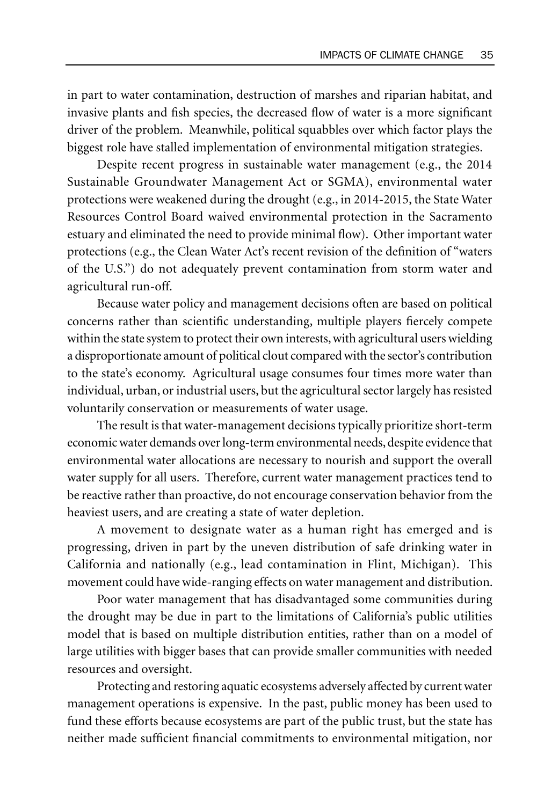in part to water contamination, destruction of marshes and riparian habitat, and invasive plants and fish species, the decreased flow of water is a more significant driver of the problem. Meanwhile, political squabbles over which factor plays the biggest role have stalled implementation of environmental mitigation strategies.

Despite recent progress in sustainable water management (e.g., the 2014 Sustainable Groundwater Management Act or SGMA), environmental water protections were weakened during the drought (e.g., in 2014-2015, the State Water Resources Control Board waived environmental protection in the Sacramento estuary and eliminated the need to provide minimal flow). Other important water protections (e.g., the Clean Water Act's recent revision of the definition of "waters of the U.S.") do not adequately prevent contamination from storm water and agricultural run-off.

Because water policy and management decisions often are based on political concerns rather than scientific understanding, multiple players fiercely compete within the state system to protect their own interests, with agricultural users wielding a disproportionate amount of political clout compared with the sector's contribution to the state's economy. Agricultural usage consumes four times more water than individual, urban, or industrial users, but the agricultural sector largely has resisted voluntarily conservation or measurements of water usage.

The result is that water-management decisions typically prioritize short-term economic water demands over long-term environmental needs, despite evidence that environmental water allocations are necessary to nourish and support the overall water supply for all users. Therefore, current water management practices tend to be reactive rather than proactive, do not encourage conservation behavior from the heaviest users, and are creating a state of water depletion.

A movement to designate water as a human right has emerged and is progressing, driven in part by the uneven distribution of safe drinking water in California and nationally (e.g., lead contamination in Flint, Michigan). This movement could have wide-ranging effects on water management and distribution.

Poor water management that has disadvantaged some communities during the drought may be due in part to the limitations of California's public utilities model that is based on multiple distribution entities, rather than on a model of large utilities with bigger bases that can provide smaller communities with needed resources and oversight.

Protecting and restoring aquatic ecosystems adversely affected by current water management operations is expensive. In the past, public money has been used to fund these efforts because ecosystems are part of the public trust, but the state has neither made sufficient financial commitments to environmental mitigation, nor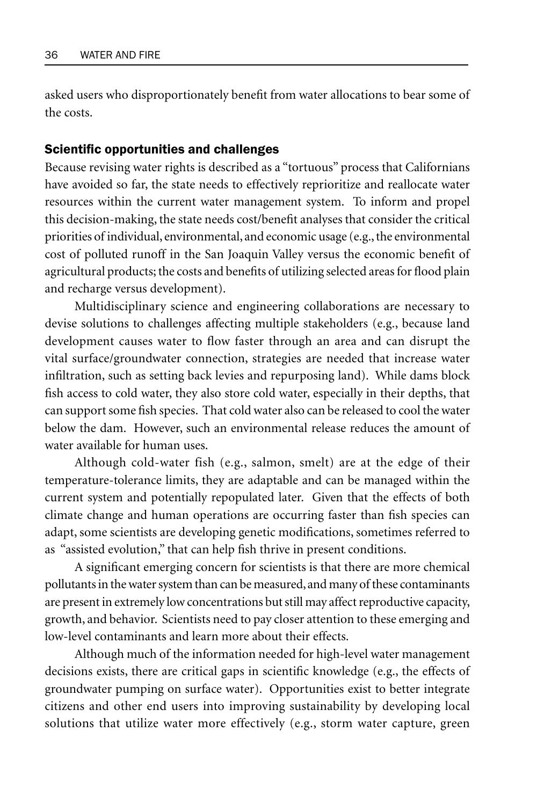asked users who disproportionately benefit from water allocations to bear some of the costs.

#### Scientific opportunities and challenges

Because revising water rights is described as a "tortuous" process that Californians have avoided so far, the state needs to effectively reprioritize and reallocate water resources within the current water management system. To inform and propel this decision-making, the state needs cost/benefit analyses that consider the critical priorities of individual, environmental, and economic usage (e.g., the environmental cost of polluted runoff in the San Joaquin Valley versus the economic benefit of agricultural products; the costs and benefits of utilizing selected areas for flood plain and recharge versus development).

Multidisciplinary science and engineering collaborations are necessary to devise solutions to challenges affecting multiple stakeholders (e.g., because land development causes water to flow faster through an area and can disrupt the vital surface/groundwater connection, strategies are needed that increase water infiltration, such as setting back levies and repurposing land). While dams block fish access to cold water, they also store cold water, especially in their depths, that can support some fish species. That cold water also can be released to cool the water below the dam. However, such an environmental release reduces the amount of water available for human uses.

Although cold-water fish (e.g., salmon, smelt) are at the edge of their temperature-tolerance limits, they are adaptable and can be managed within the current system and potentially repopulated later. Given that the effects of both climate change and human operations are occurring faster than fish species can adapt, some scientists are developing genetic modifications, sometimes referred to as "assisted evolution," that can help fish thrive in present conditions.

A significant emerging concern for scientists is that there are more chemical pollutants in the water system than can be measured, and many of these contaminants are present in extremely low concentrations but still may affect reproductive capacity, growth, and behavior. Scientists need to pay closer attention to these emerging and low-level contaminants and learn more about their effects.

Although much of the information needed for high-level water management decisions exists, there are critical gaps in scientific knowledge (e.g., the effects of groundwater pumping on surface water). Opportunities exist to better integrate citizens and other end users into improving sustainability by developing local solutions that utilize water more effectively (e.g., storm water capture, green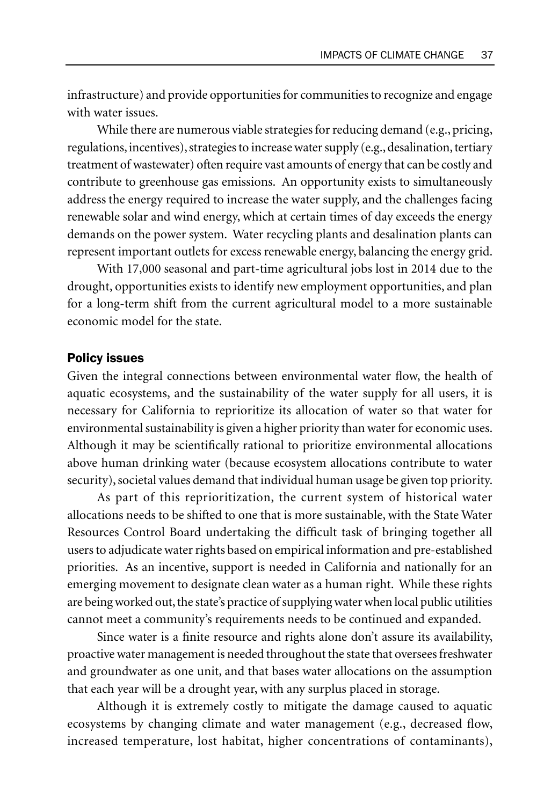infrastructure) and provide opportunities for communities to recognize and engage with water issues.

While there are numerous viable strategies for reducing demand (e.g., pricing, regulations, incentives), strategies to increase water supply (e.g., desalination, tertiary treatment of wastewater) often require vast amounts of energy that can be costly and contribute to greenhouse gas emissions. An opportunity exists to simultaneously address the energy required to increase the water supply, and the challenges facing renewable solar and wind energy, which at certain times of day exceeds the energy demands on the power system. Water recycling plants and desalination plants can represent important outlets for excess renewable energy, balancing the energy grid.

With 17,000 seasonal and part-time agricultural jobs lost in 2014 due to the drought, opportunities exists to identify new employment opportunities, and plan for a long-term shift from the current agricultural model to a more sustainable economic model for the state.

#### Policy issues

Given the integral connections between environmental water flow, the health of aquatic ecosystems, and the sustainability of the water supply for all users, it is necessary for California to reprioritize its allocation of water so that water for environmental sustainability is given a higher priority than water for economic uses. Although it may be scientifically rational to prioritize environmental allocations above human drinking water (because ecosystem allocations contribute to water security), societal values demand that individual human usage be given top priority.

As part of this reprioritization, the current system of historical water allocations needs to be shifted to one that is more sustainable, with the State Water Resources Control Board undertaking the difficult task of bringing together all users to adjudicate water rights based on empirical information and pre-established priorities. As an incentive, support is needed in California and nationally for an emerging movement to designate clean water as a human right. While these rights are being worked out, the state's practice of supplying water when local public utilities cannot meet a community's requirements needs to be continued and expanded.

Since water is a finite resource and rights alone don't assure its availability, proactive water management is needed throughout the state that oversees freshwater and groundwater as one unit, and that bases water allocations on the assumption that each year will be a drought year, with any surplus placed in storage.

Although it is extremely costly to mitigate the damage caused to aquatic ecosystems by changing climate and water management (e.g., decreased flow, increased temperature, lost habitat, higher concentrations of contaminants),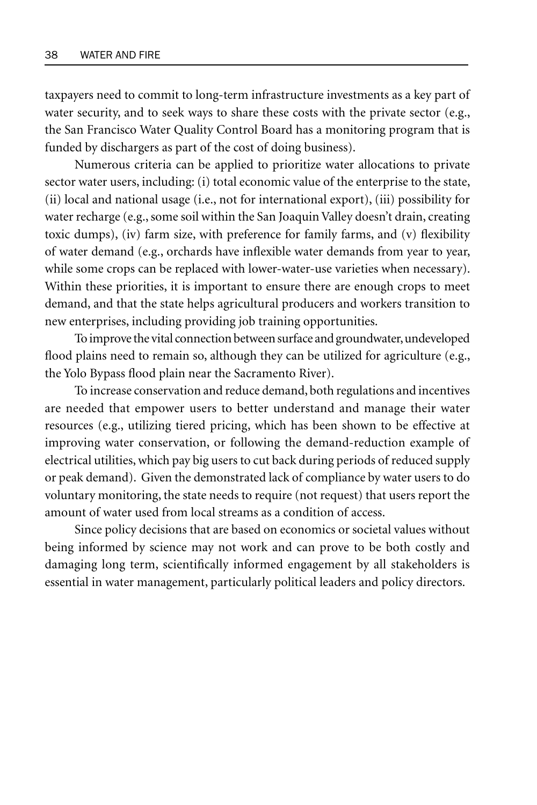taxpayers need to commit to long-term infrastructure investments as a key part of water security, and to seek ways to share these costs with the private sector (e.g., the San Francisco Water Quality Control Board has a monitoring program that is funded by dischargers as part of the cost of doing business).

Numerous criteria can be applied to prioritize water allocations to private sector water users, including: (i) total economic value of the enterprise to the state, (ii) local and national usage (i.e., not for international export), (iii) possibility for water recharge (e.g., some soil within the San Joaquin Valley doesn't drain, creating toxic dumps), (iv) farm size, with preference for family farms, and (v) flexibility of water demand (e.g., orchards have inflexible water demands from year to year, while some crops can be replaced with lower-water-use varieties when necessary). Within these priorities, it is important to ensure there are enough crops to meet demand, and that the state helps agricultural producers and workers transition to new enterprises, including providing job training opportunities.

To improve the vital connection between surface and groundwater, undeveloped flood plains need to remain so, although they can be utilized for agriculture (e.g., the Yolo Bypass flood plain near the Sacramento River).

To increase conservation and reduce demand, both regulations and incentives are needed that empower users to better understand and manage their water resources (e.g., utilizing tiered pricing, which has been shown to be effective at improving water conservation, or following the demand-reduction example of electrical utilities, which pay big users to cut back during periods of reduced supply or peak demand). Given the demonstrated lack of compliance by water users to do voluntary monitoring, the state needs to require (not request) that users report the amount of water used from local streams as a condition of access.

Since policy decisions that are based on economics or societal values without being informed by science may not work and can prove to be both costly and damaging long term, scientifically informed engagement by all stakeholders is essential in water management, particularly political leaders and policy directors.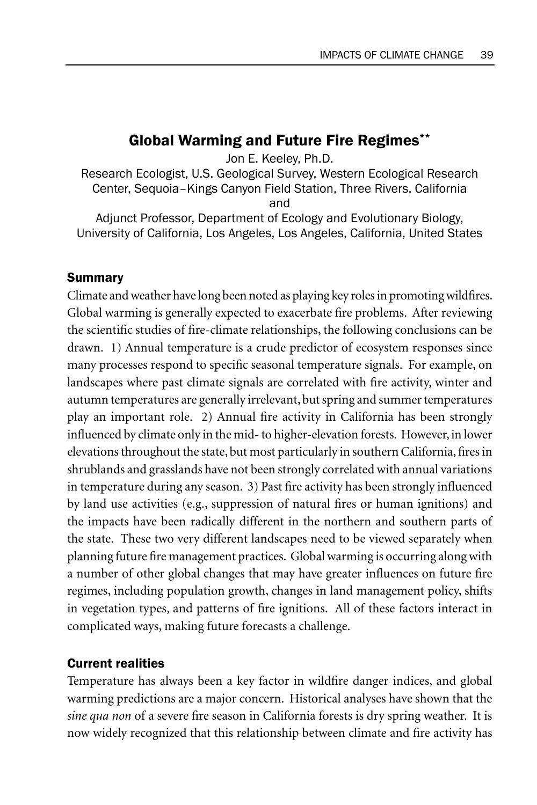# Global Warming and Future Fire Regimes\*\*

Jon E. Keeley, Ph.D.

Research Ecologist, U.S. Geological Survey, Western Ecological Research Center, Sequoia–Kings Canyon Field Station, Three Rivers, California and

Adjunct Professor, Department of Ecology and Evolutionary Biology, University of California, Los Angeles, Los Angeles, California, United States

## Summary

Climate and weather have long been noted as playing key roles in promoting wildfires. Global warming is generally expected to exacerbate fire problems. After reviewing the scientific studies of fire-climate relationships, the following conclusions can be drawn. 1) Annual temperature is a crude predictor of ecosystem responses since many processes respond to specific seasonal temperature signals. For example, on landscapes where past climate signals are correlated with fire activity, winter and autumn temperatures are generally irrelevant, but spring and summer temperatures play an important role. 2) Annual fire activity in California has been strongly influenced by climate only in the mid- to higher-elevation forests. However, in lower elevations throughout the state, but most particularly in southern California, fires in shrublands and grasslands have not been strongly correlated with annual variations in temperature during any season. 3) Past fire activity has been strongly influenced by land use activities (e.g., suppression of natural fires or human ignitions) and the impacts have been radically different in the northern and southern parts of the state. These two very different landscapes need to be viewed separately when planning future fire management practices. Global warming is occurring along with a number of other global changes that may have greater influences on future fire regimes, including population growth, changes in land management policy, shifts in vegetation types, and patterns of fire ignitions. All of these factors interact in complicated ways, making future forecasts a challenge.

## Current realities

Temperature has always been a key factor in wildfire danger indices, and global warming predictions are a major concern. Historical analyses have shown that the *sine qua non* of a severe fire season in California forests is dry spring weather. It is now widely recognized that this relationship between climate and fire activity has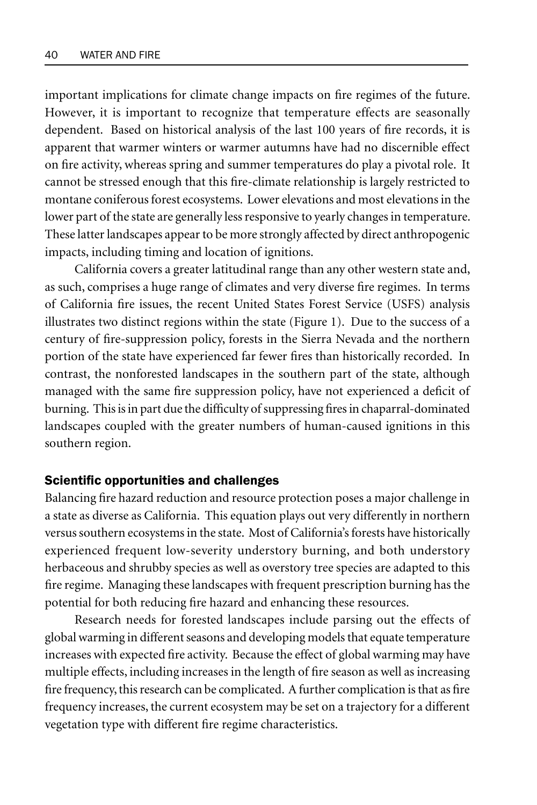important implications for climate change impacts on fire regimes of the future. However, it is important to recognize that temperature effects are seasonally dependent. Based on historical analysis of the last 100 years of fire records, it is apparent that warmer winters or warmer autumns have had no discernible effect on fire activity, whereas spring and summer temperatures do play a pivotal role. It cannot be stressed enough that this fire-climate relationship is largely restricted to montane coniferous forest ecosystems. Lower elevations and most elevations in the lower part of the state are generally less responsive to yearly changes in temperature. These latter landscapes appear to be more strongly affected by direct anthropogenic impacts, including timing and location of ignitions.

California covers a greater latitudinal range than any other western state and, as such, comprises a huge range of climates and very diverse fire regimes. In terms of California fire issues, the recent United States Forest Service (USFS) analysis illustrates two distinct regions within the state (Figure 1). Due to the success of a century of fire-suppression policy, forests in the Sierra Nevada and the northern portion of the state have experienced far fewer fires than historically recorded. In contrast, the nonforested landscapes in the southern part of the state, although managed with the same fire suppression policy, have not experienced a deficit of burning. This is in part due the difficulty of suppressing fires in chaparral-dominated landscapes coupled with the greater numbers of human-caused ignitions in this southern region.

#### Scientific opportunities and challenges

Balancing fire hazard reduction and resource protection poses a major challenge in a state as diverse as California. This equation plays out very differently in northern versus southern ecosystems in the state. Most of California's forests have historically experienced frequent low-severity understory burning, and both understory herbaceous and shrubby species as well as overstory tree species are adapted to this fire regime. Managing these landscapes with frequent prescription burning has the potential for both reducing fire hazard and enhancing these resources.

Research needs for forested landscapes include parsing out the effects of global warming in different seasons and developing models that equate temperature increases with expected fire activity. Because the effect of global warming may have multiple effects, including increases in the length of fire season as well as increasing fire frequency, this research can be complicated. A further complication is that as fire frequency increases, the current ecosystem may be set on a trajectory for a different vegetation type with different fire regime characteristics.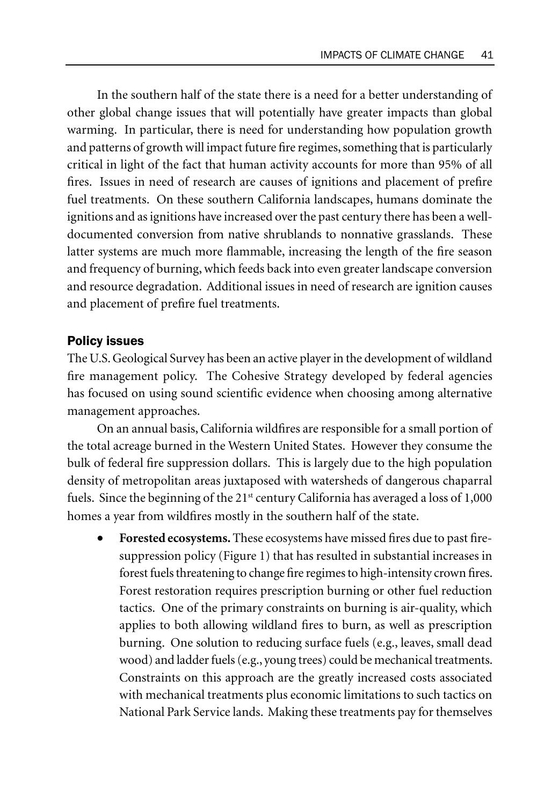In the southern half of the state there is a need for a better understanding of other global change issues that will potentially have greater impacts than global warming. In particular, there is need for understanding how population growth and patterns of growth will impact future fire regimes, something that is particularly critical in light of the fact that human activity accounts for more than 95% of all fires. Issues in need of research are causes of ignitions and placement of prefire fuel treatments. On these southern California landscapes, humans dominate the ignitions and as ignitions have increased over the past century there has been a welldocumented conversion from native shrublands to nonnative grasslands. These latter systems are much more flammable, increasing the length of the fire season and frequency of burning, which feeds back into even greater landscape conversion and resource degradation. Additional issues in need of research are ignition causes and placement of prefire fuel treatments.

#### Policy issues

The U.S. Geological Survey has been an active player in the development of wildland fire management policy. The Cohesive Strategy developed by federal agencies has focused on using sound scientific evidence when choosing among alternative management approaches.

On an annual basis, California wildfires are responsible for a small portion of the total acreage burned in the Western United States. However they consume the bulk of federal fire suppression dollars. This is largely due to the high population density of metropolitan areas juxtaposed with watersheds of dangerous chaparral fuels. Since the beginning of the  $21<sup>st</sup>$  century California has averaged a loss of  $1,000$ homes a year from wildfires mostly in the southern half of the state.

• **Forested ecosystems.** These ecosystems have missed fires due to past firesuppression policy (Figure 1) that has resulted in substantial increases in forest fuels threatening to change fire regimes to high-intensity crown fires. Forest restoration requires prescription burning or other fuel reduction tactics. One of the primary constraints on burning is air-quality, which applies to both allowing wildland fires to burn, as well as prescription burning. One solution to reducing surface fuels (e.g., leaves, small dead wood) and ladder fuels (e.g., young trees) could be mechanical treatments. Constraints on this approach are the greatly increased costs associated with mechanical treatments plus economic limitations to such tactics on National Park Service lands. Making these treatments pay for themselves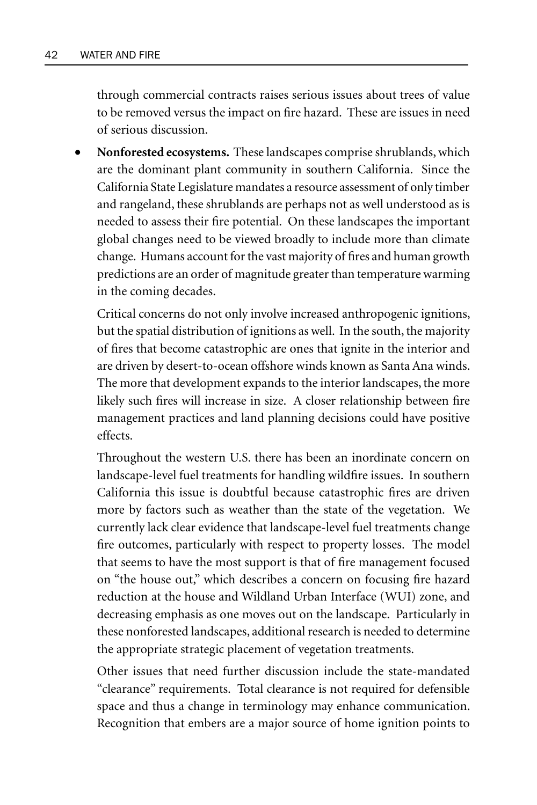through commercial contracts raises serious issues about trees of value to be removed versus the impact on fire hazard. These are issues in need of serious discussion.

• **Nonforested ecosystems.** These landscapes comprise shrublands, which are the dominant plant community in southern California. Since the California State Legislature mandates a resource assessment of only timber and rangeland, these shrublands are perhaps not as well understood as is needed to assess their fire potential. On these landscapes the important global changes need to be viewed broadly to include more than climate change. Humans account for the vast majority of fires and human growth predictions are an order of magnitude greater than temperature warming in the coming decades.

Critical concerns do not only involve increased anthropogenic ignitions, but the spatial distribution of ignitions as well. In the south, the majority of fires that become catastrophic are ones that ignite in the interior and are driven by desert-to-ocean offshore winds known as Santa Ana winds. The more that development expands to the interior landscapes, the more likely such fires will increase in size. A closer relationship between fire management practices and land planning decisions could have positive effects.

Throughout the western U.S. there has been an inordinate concern on landscape-level fuel treatments for handling wildfire issues. In southern California this issue is doubtful because catastrophic fires are driven more by factors such as weather than the state of the vegetation. We currently lack clear evidence that landscape-level fuel treatments change fire outcomes, particularly with respect to property losses. The model that seems to have the most support is that of fire management focused on "the house out," which describes a concern on focusing fire hazard reduction at the house and Wildland Urban Interface (WUI) zone, and decreasing emphasis as one moves out on the landscape. Particularly in these nonforested landscapes, additional research is needed to determine the appropriate strategic placement of vegetation treatments.

Other issues that need further discussion include the state-mandated "clearance" requirements. Total clearance is not required for defensible space and thus a change in terminology may enhance communication. Recognition that embers are a major source of home ignition points to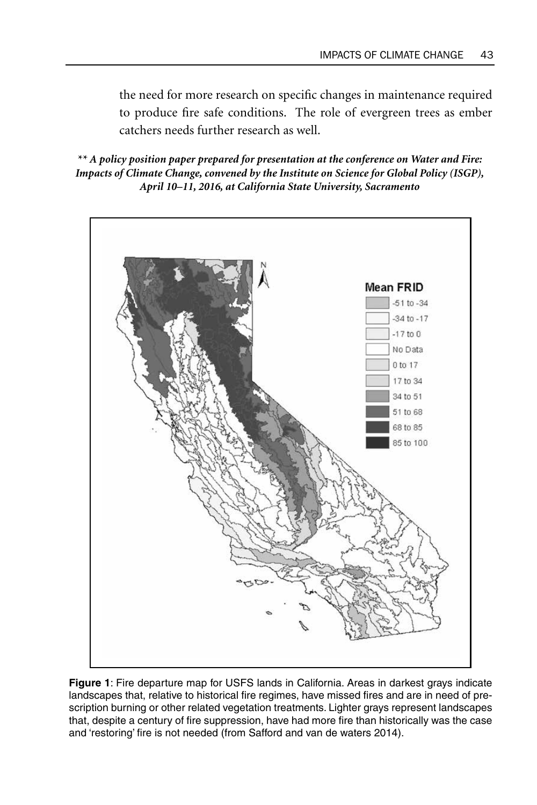the need for more research on specific changes in maintenance required to produce fire safe conditions. The role of evergreen trees as ember catchers needs further research as well.

*\*\* A policy position paper prepared for presentation at the conference on Water and Fire: Impacts of Climate Change, convened by the Institute on Science for Global Policy (ISGP), April 10–11, 2016, at California State University, Sacramento*



**Figure 1**: Fire departure map for USFS lands in California. Areas in darkest grays indicate landscapes that, relative to historical fire regimes, have missed fires and are in need of prescription burning or other related vegetation treatments. Lighter grays represent landscapes that, despite a century of fire suppression, have had more fire than historically was the case and 'restoring' fire is not needed (from Safford and van de waters 2014).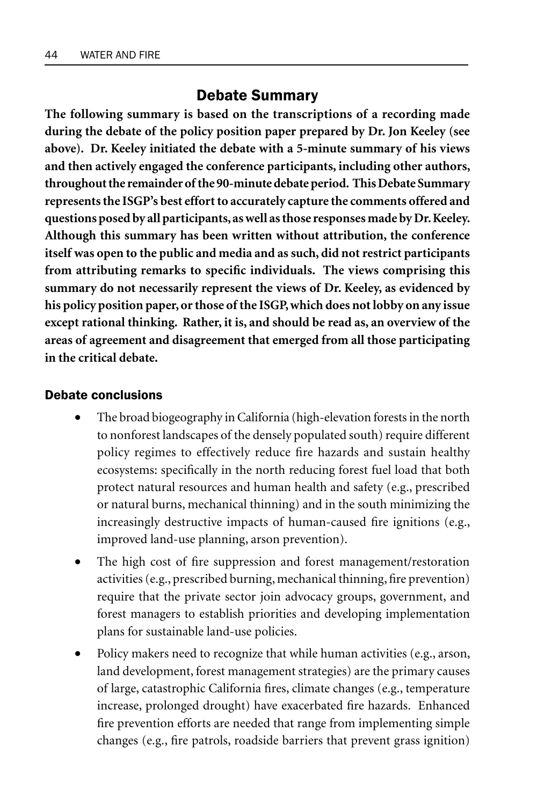## Debate Summary

**The following summary is based on the transcriptions of a recording made during the debate of the policy position paper prepared by Dr. Jon Keeley (see above). Dr. Keeley initiated the debate with a 5-minute summary of his views and then actively engaged the conference participants, including other authors, throughout the remainder of the 90-minute debate period. This Debate Summary represents the ISGP's best effort to accurately capture the comments offered and questions posed by all participants, as well as those responses made by Dr. Keeley. Although this summary has been written without attribution, the conference itself was open to the public and media and as such, did not restrict participants from attributing remarks to specific individuals. The views comprising this summary do not necessarily represent the views of Dr. Keeley, as evidenced by his policy position paper, or those of the ISGP, which does not lobby on any issue except rational thinking. Rather, it is, and should be read as, an overview of the areas of agreement and disagreement that emerged from all those participating in the critical debate.**

#### Debate conclusions

- The broad biogeography in California (high-elevation forests in the north to nonforest landscapes of the densely populated south) require different policy regimes to effectively reduce fire hazards and sustain healthy ecosystems: specifically in the north reducing forest fuel load that both protect natural resources and human health and safety (e.g., prescribed or natural burns, mechanical thinning) and in the south minimizing the increasingly destructive impacts of human-caused fire ignitions (e.g., improved land-use planning, arson prevention).
- The high cost of fire suppression and forest management/restoration activities (e.g., prescribed burning, mechanical thinning, fire prevention) require that the private sector join advocacy groups, government, and forest managers to establish priorities and developing implementation plans for sustainable land-use policies.
- Policy makers need to recognize that while human activities (e.g., arson, land development, forest management strategies) are the primary causes of large, catastrophic California fires, climate changes (e.g., temperature increase, prolonged drought) have exacerbated fire hazards. Enhanced fire prevention efforts are needed that range from implementing simple changes (e.g., fire patrols, roadside barriers that prevent grass ignition)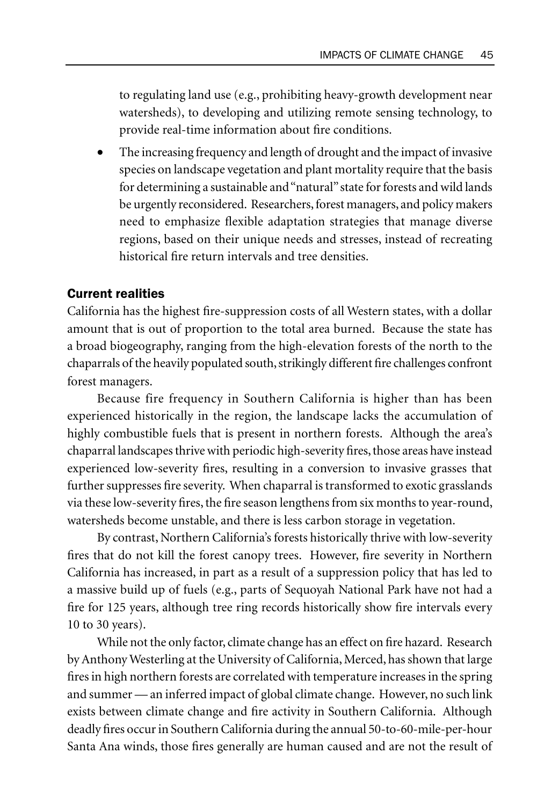to regulating land use (e.g., prohibiting heavy-growth development near watersheds), to developing and utilizing remote sensing technology, to provide real-time information about fire conditions.

The increasing frequency and length of drought and the impact of invasive species on landscape vegetation and plant mortality require that the basis for determining a sustainable and "natural" state for forests and wild lands be urgently reconsidered. Researchers, forest managers, and policy makers need to emphasize flexible adaptation strategies that manage diverse regions, based on their unique needs and stresses, instead of recreating historical fire return intervals and tree densities.

#### Current realities

California has the highest fire-suppression costs of all Western states, with a dollar amount that is out of proportion to the total area burned. Because the state has a broad biogeography, ranging from the high-elevation forests of the north to the chaparrals of the heavily populated south, strikingly different fire challenges confront forest managers.

Because fire frequency in Southern California is higher than has been experienced historically in the region, the landscape lacks the accumulation of highly combustible fuels that is present in northern forests. Although the area's chaparral landscapes thrive with periodic high-severity fires, those areas have instead experienced low-severity fires, resulting in a conversion to invasive grasses that further suppresses fire severity. When chaparral is transformed to exotic grasslands via these low-severity fires, the fire season lengthens from six months to year-round, watersheds become unstable, and there is less carbon storage in vegetation.

By contrast, Northern California's forests historically thrive with low-severity fires that do not kill the forest canopy trees. However, fire severity in Northern California has increased, in part as a result of a suppression policy that has led to a massive build up of fuels (e.g., parts of Sequoyah National Park have not had a fire for 125 years, although tree ring records historically show fire intervals every 10 to 30 years).

While not the only factor, climate change has an effect on fire hazard. Research by Anthony Westerling at the University of California, Merced, has shown that large fires in high northern forests are correlated with temperature increases in the spring and summer — an inferred impact of global climate change. However, no such link exists between climate change and fire activity in Southern California. Although deadly fires occur in Southern California during the annual 50-to-60-mile-per-hour Santa Ana winds, those fires generally are human caused and are not the result of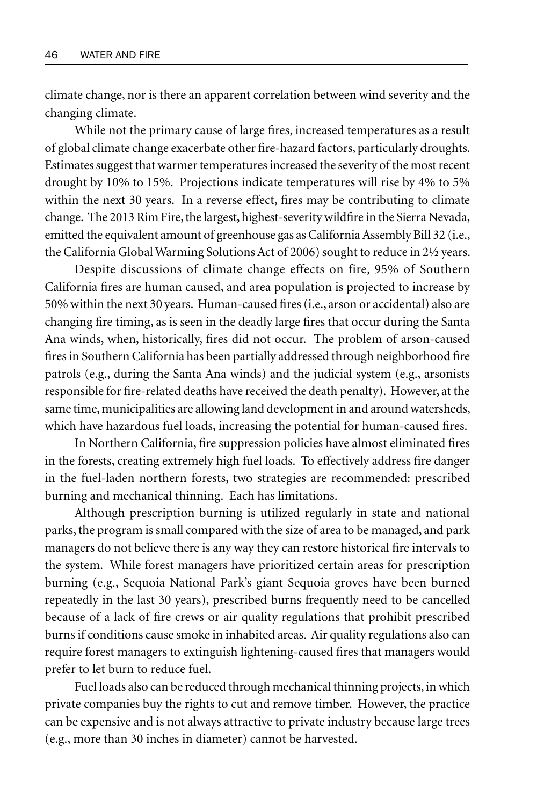climate change, nor is there an apparent correlation between wind severity and the changing climate.

While not the primary cause of large fires, increased temperatures as a result of global climate change exacerbate other fire-hazard factors, particularly droughts. Estimates suggest that warmer temperatures increased the severity of the most recent drought by 10% to 15%. Projections indicate temperatures will rise by 4% to 5% within the next 30 years. In a reverse effect, fires may be contributing to climate change. The 2013 Rim Fire, the largest, highest-severity wildfire in the Sierra Nevada, emitted the equivalent amount of greenhouse gas as California Assembly Bill 32 (i.e., the California Global Warming Solutions Act of 2006) sought to reduce in 2½ years.

Despite discussions of climate change effects on fire, 95% of Southern California fires are human caused, and area population is projected to increase by 50% within the next 30 years. Human-caused fires (i.e., arson or accidental) also are changing fire timing, as is seen in the deadly large fires that occur during the Santa Ana winds, when, historically, fires did not occur. The problem of arson-caused fires in Southern California has been partially addressed through neighborhood fire patrols (e.g., during the Santa Ana winds) and the judicial system (e.g., arsonists responsible for fire-related deaths have received the death penalty). However, at the same time, municipalities are allowing land development in and around watersheds, which have hazardous fuel loads, increasing the potential for human-caused fires.

In Northern California, fire suppression policies have almost eliminated fires in the forests, creating extremely high fuel loads. To effectively address fire danger in the fuel-laden northern forests, two strategies are recommended: prescribed burning and mechanical thinning. Each has limitations.

Although prescription burning is utilized regularly in state and national parks, the program is small compared with the size of area to be managed, and park managers do not believe there is any way they can restore historical fire intervals to the system. While forest managers have prioritized certain areas for prescription burning (e.g., Sequoia National Park's giant Sequoia groves have been burned repeatedly in the last 30 years), prescribed burns frequently need to be cancelled because of a lack of fire crews or air quality regulations that prohibit prescribed burns if conditions cause smoke in inhabited areas. Air quality regulations also can require forest managers to extinguish lightening-caused fires that managers would prefer to let burn to reduce fuel.

Fuel loads also can be reduced through mechanical thinning projects, in which private companies buy the rights to cut and remove timber. However, the practice can be expensive and is not always attractive to private industry because large trees (e.g., more than 30 inches in diameter) cannot be harvested.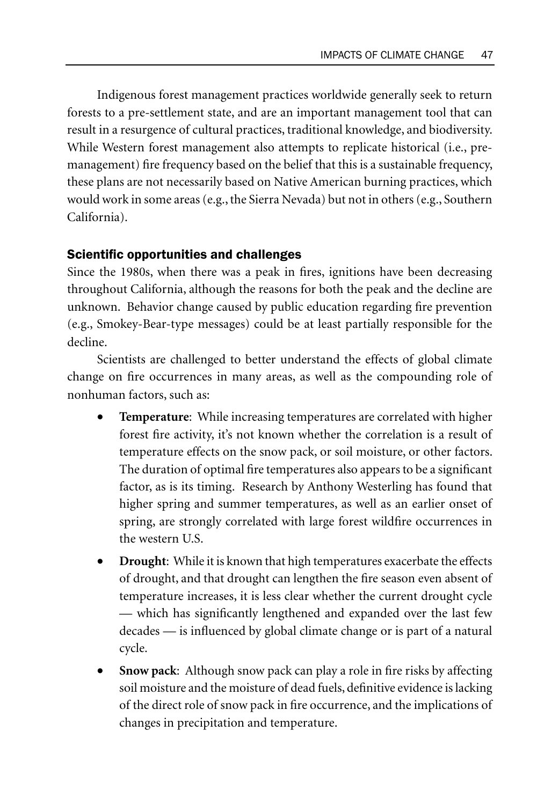Indigenous forest management practices worldwide generally seek to return forests to a pre-settlement state, and are an important management tool that can result in a resurgence of cultural practices, traditional knowledge, and biodiversity. While Western forest management also attempts to replicate historical (i.e., premanagement) fire frequency based on the belief that this is a sustainable frequency, these plans are not necessarily based on Native American burning practices, which would work in some areas (e.g., the Sierra Nevada) but not in others (e.g., Southern California).

#### Scientific opportunities and challenges

Since the 1980s, when there was a peak in fires, ignitions have been decreasing throughout California, although the reasons for both the peak and the decline are unknown. Behavior change caused by public education regarding fire prevention (e.g., Smokey-Bear-type messages) could be at least partially responsible for the decline.

Scientists are challenged to better understand the effects of global climate change on fire occurrences in many areas, as well as the compounding role of nonhuman factors, such as:

- **Temperature**: While increasing temperatures are correlated with higher forest fire activity, it's not known whether the correlation is a result of temperature effects on the snow pack, or soil moisture, or other factors. The duration of optimal fire temperatures also appears to be a significant factor, as is its timing. Research by Anthony Westerling has found that higher spring and summer temperatures, as well as an earlier onset of spring, are strongly correlated with large forest wildfire occurrences in the western U.S.
- **Drought:** While it is known that high temperatures exacerbate the effects of drought, and that drought can lengthen the fire season even absent of temperature increases, it is less clear whether the current drought cycle — which has significantly lengthened and expanded over the last few decades — is influenced by global climate change or is part of a natural cycle.
- **Snow pack**: Although snow pack can play a role in fire risks by affecting soil moisture and the moisture of dead fuels, definitive evidence is lacking of the direct role of snow pack in fire occurrence, and the implications of changes in precipitation and temperature.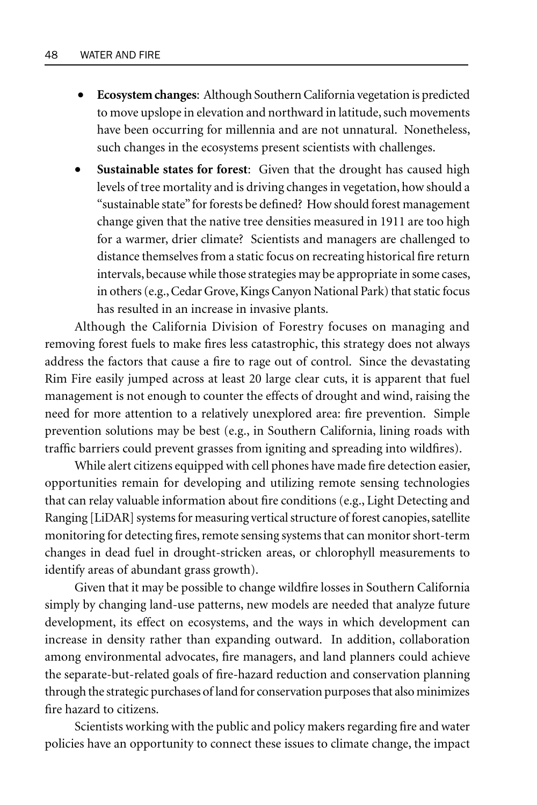- **Ecosystem changes**: Although Southern California vegetation is predicted to move upslope in elevation and northward in latitude, such movements have been occurring for millennia and are not unnatural. Nonetheless, such changes in the ecosystems present scientists with challenges.
- **Sustainable states for forest**: Given that the drought has caused high levels of tree mortality and is driving changes in vegetation, how should a "sustainable state" for forests be defined? How should forest management change given that the native tree densities measured in 1911 are too high for a warmer, drier climate? Scientists and managers are challenged to distance themselves from a static focus on recreating historical fire return intervals, because while those strategies may be appropriate in some cases, in others (e.g., Cedar Grove, Kings Canyon National Park) that static focus has resulted in an increase in invasive plants.

Although the California Division of Forestry focuses on managing and removing forest fuels to make fires less catastrophic, this strategy does not always address the factors that cause a fire to rage out of control. Since the devastating Rim Fire easily jumped across at least 20 large clear cuts, it is apparent that fuel management is not enough to counter the effects of drought and wind, raising the need for more attention to a relatively unexplored area: fire prevention. Simple prevention solutions may be best (e.g., in Southern California, lining roads with traffic barriers could prevent grasses from igniting and spreading into wildfires).

While alert citizens equipped with cell phones have made fire detection easier, opportunities remain for developing and utilizing remote sensing technologies that can relay valuable information about fire conditions (e.g., Light Detecting and Ranging [LiDAR] systems for measuring vertical structure of forest canopies, satellite monitoring for detecting fires, remote sensing systems that can monitor short-term changes in dead fuel in drought-stricken areas, or chlorophyll measurements to identify areas of abundant grass growth).

Given that it may be possible to change wildfire losses in Southern California simply by changing land-use patterns, new models are needed that analyze future development, its effect on ecosystems, and the ways in which development can increase in density rather than expanding outward. In addition, collaboration among environmental advocates, fire managers, and land planners could achieve the separate-but-related goals of fire-hazard reduction and conservation planning through the strategic purchases of land for conservation purposes that also minimizes fire hazard to citizens.

Scientists working with the public and policy makers regarding fire and water policies have an opportunity to connect these issues to climate change, the impact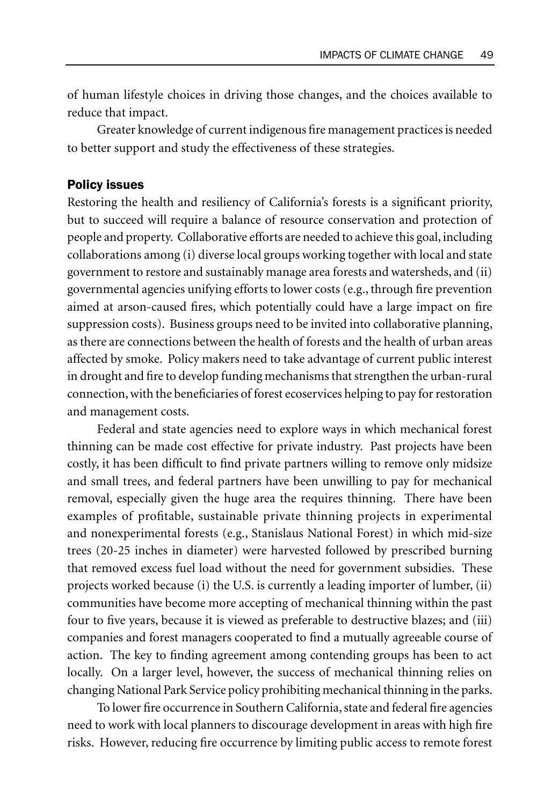of human lifestyle choices in driving those changes, and the choices available to reduce that impact.

Greater knowledge of current indigenous fire management practices is needed to better support and study the effectiveness of these strategies.

#### Policy issues

Restoring the health and resiliency of California's forests is a significant priority, but to succeed will require a balance of resource conservation and protection of people and property. Collaborative efforts are needed to achieve this goal, including collaborations among (i) diverse local groups working together with local and state government to restore and sustainably manage area forests and watersheds, and (ii) governmental agencies unifying efforts to lower costs (e.g., through fire prevention aimed at arson-caused fires, which potentially could have a large impact on fire suppression costs). Business groups need to be invited into collaborative planning, as there are connections between the health of forests and the health of urban areas affected by smoke. Policy makers need to take advantage of current public interest in drought and fire to develop funding mechanisms that strengthen the urban-rural connection, with the beneficiaries of forest ecoservices helping to pay for restoration and management costs.

Federal and state agencies need to explore ways in which mechanical forest thinning can be made cost effective for private industry. Past projects have been costly, it has been difficult to find private partners willing to remove only midsize and small trees, and federal partners have been unwilling to pay for mechanical removal, especially given the huge area the requires thinning. There have been examples of profitable, sustainable private thinning projects in experimental and nonexperimental forests (e.g., Stanislaus National Forest) in which mid-size trees (20-25 inches in diameter) were harvested followed by prescribed burning that removed excess fuel load without the need for government subsidies. These projects worked because (i) the U.S. is currently a leading importer of lumber, (ii) communities have become more accepting of mechanical thinning within the past four to five years, because it is viewed as preferable to destructive blazes; and (iii) companies and forest managers cooperated to find a mutually agreeable course of action. The key to finding agreement among contending groups has been to act locally. On a larger level, however, the success of mechanical thinning relies on changing National Park Service policy prohibiting mechanical thinning in the parks.

To lower fire occurrence in Southern California, state and federal fire agencies need to work with local planners to discourage development in areas with high fire risks. However, reducing fire occurrence by limiting public access to remote forest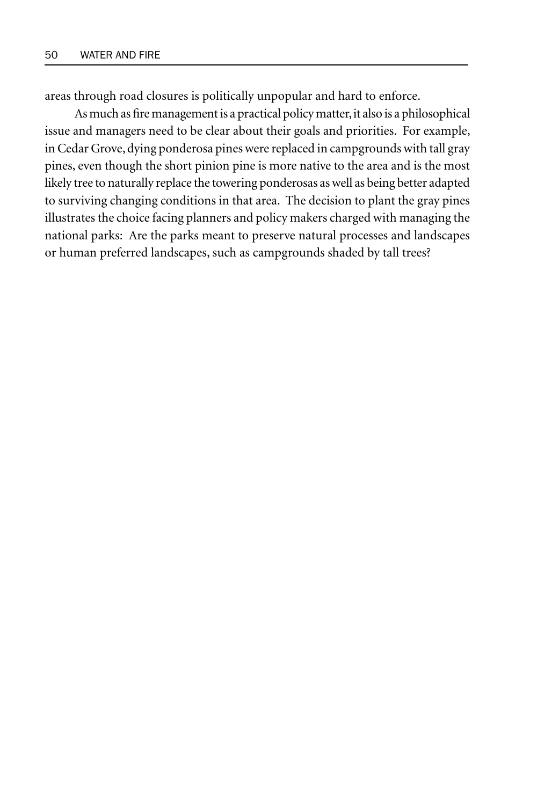areas through road closures is politically unpopular and hard to enforce.

As much as fire management is a practical policy matter, it also is a philosophical issue and managers need to be clear about their goals and priorities. For example, in Cedar Grove, dying ponderosa pines were replaced in campgrounds with tall gray pines, even though the short pinion pine is more native to the area and is the most likely tree to naturally replace the towering ponderosas as well as being better adapted to surviving changing conditions in that area. The decision to plant the gray pines illustrates the choice facing planners and policy makers charged with managing the national parks: Are the parks meant to preserve natural processes and landscapes or human preferred landscapes, such as campgrounds shaded by tall trees?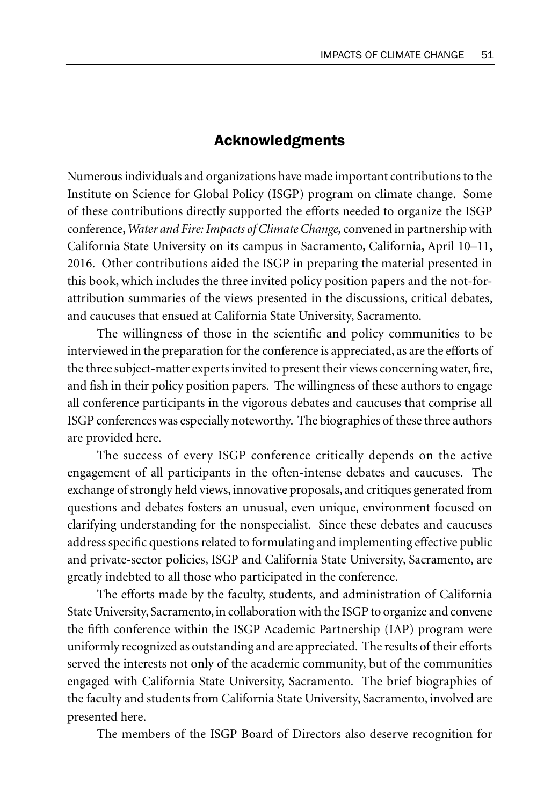## Acknowledgments

Numerous individuals and organizations have made important contributions to the Institute on Science for Global Policy (ISGP) program on climate change. Some of these contributions directly supported the efforts needed to organize the ISGP conference, *Water and Fire: Impacts of Climate Change,* convened in partnership with California State University on its campus in Sacramento, California, April 10–11, 2016. Other contributions aided the ISGP in preparing the material presented in this book, which includes the three invited policy position papers and the not-forattribution summaries of the views presented in the discussions, critical debates, and caucuses that ensued at California State University, Sacramento.

The willingness of those in the scientific and policy communities to be interviewed in the preparation for the conference is appreciated, as are the efforts of the three subject-matter experts invited to present their views concerning water, fire, and fish in their policy position papers. The willingness of these authors to engage all conference participants in the vigorous debates and caucuses that comprise all ISGP conferences was especially noteworthy. The biographies of these three authors are provided here.

The success of every ISGP conference critically depends on the active engagement of all participants in the often-intense debates and caucuses. The exchange of strongly held views, innovative proposals, and critiques generated from questions and debates fosters an unusual, even unique, environment focused on clarifying understanding for the nonspecialist. Since these debates and caucuses address specific questions related to formulating and implementing effective public and private-sector policies, ISGP and California State University, Sacramento, are greatly indebted to all those who participated in the conference.

The efforts made by the faculty, students, and administration of California State University, Sacramento, in collaboration with the ISGP to organize and convene the fifth conference within the ISGP Academic Partnership (IAP) program were uniformly recognized as outstanding and are appreciated. The results of their efforts served the interests not only of the academic community, but of the communities engaged with California State University, Sacramento. The brief biographies of the faculty and students from California State University, Sacramento, involved are presented here.

The members of the ISGP Board of Directors also deserve recognition for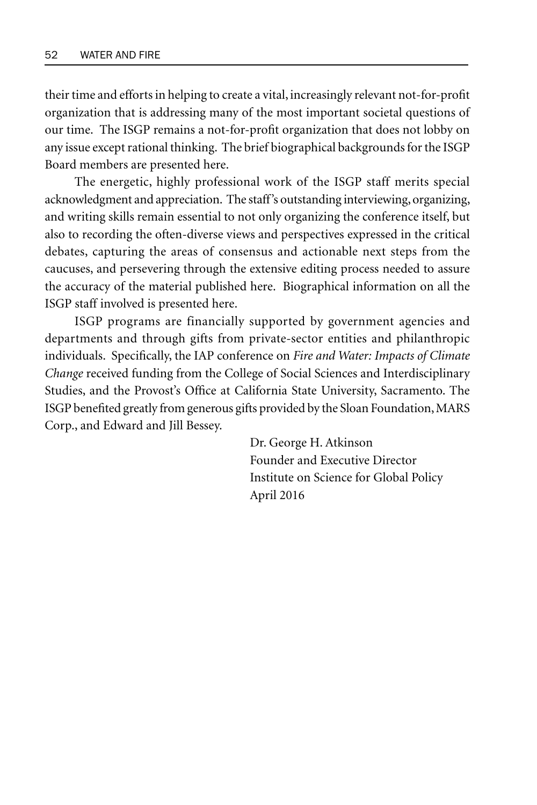their time and efforts in helping to create a vital, increasingly relevant not-for-profit organization that is addressing many of the most important societal questions of our time. The ISGP remains a not-for-profit organization that does not lobby on any issue except rational thinking. The brief biographical backgrounds for the ISGP Board members are presented here.

The energetic, highly professional work of the ISGP staff merits special acknowledgment and appreciation. The staff's outstanding interviewing, organizing, and writing skills remain essential to not only organizing the conference itself, but also to recording the often-diverse views and perspectives expressed in the critical debates, capturing the areas of consensus and actionable next steps from the caucuses, and persevering through the extensive editing process needed to assure the accuracy of the material published here. Biographical information on all the ISGP staff involved is presented here.

ISGP programs are financially supported by government agencies and departments and through gifts from private-sector entities and philanthropic individuals. Specifically, the IAP conference on *Fire and Water: Impacts of Climate Change* received funding from the College of Social Sciences and Interdisciplinary Studies, and the Provost's Office at California State University, Sacramento. The ISGP benefited greatly from generous gifts provided by the Sloan Foundation, MARS Corp., and Edward and Jill Bessey.

> Dr. George H. Atkinson Founder and Executive Director Institute on Science for Global Policy April 2016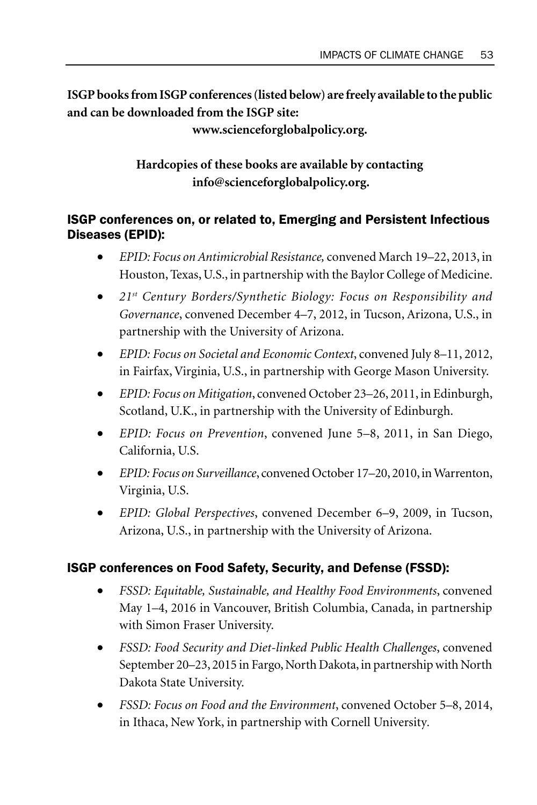**ISGP books from ISGP conferences (listed below) are freely available to the public and can be downloaded from the ISGP site:** 

**www.scienceforglobalpolicy.org.** 

**Hardcopies of these books are available by contacting info@scienceforglobalpolicy.org.**

## ISGP conferences on, or related to, Emerging and Persistent Infectious Diseases (EPID):

- *EPID: Focus on Antimicrobial Resistance,* convened March 19–22, 2013, in Houston, Texas, U.S., in partnership with the Baylor College of Medicine.
- *21st Century Borders/Synthetic Biology: Focus on Responsibility and Governance*, convened December 4–7, 2012, in Tucson, Arizona, U.S., in partnership with the University of Arizona.
- *EPID: Focus on Societal and Economic Context*, convened July 8–11, 2012, in Fairfax, Virginia, U.S., in partnership with George Mason University.
- *EPID: Focus on Mitigation*, convened October 23–26, 2011, in Edinburgh, Scotland, U.K., in partnership with the University of Edinburgh.
- *EPID: Focus on Prevention*, convened June 5–8, 2011, in San Diego, California, U.S.
- *EPID: Focus on Surveillance*, convened October 17–20, 2010, in Warrenton, Virginia, U.S.
- *EPID: Global Perspectives*, convened December 6–9, 2009, in Tucson, Arizona, U.S., in partnership with the University of Arizona.

# ISGP conferences on Food Safety, Security, and Defense (FSSD):

- *FSSD: Equitable, Sustainable, and Healthy Food Environments*, convened May 1–4, 2016 in Vancouver, British Columbia, Canada, in partnership with Simon Fraser University.
- *FSSD: Food Security and Diet-linked Public Health Challenges*, convened September 20–23, 2015 in Fargo, North Dakota, in partnership with North Dakota State University.
- *FSSD: Focus on Food and the Environment*, convened October 5–8, 2014, in Ithaca, New York, in partnership with Cornell University*.*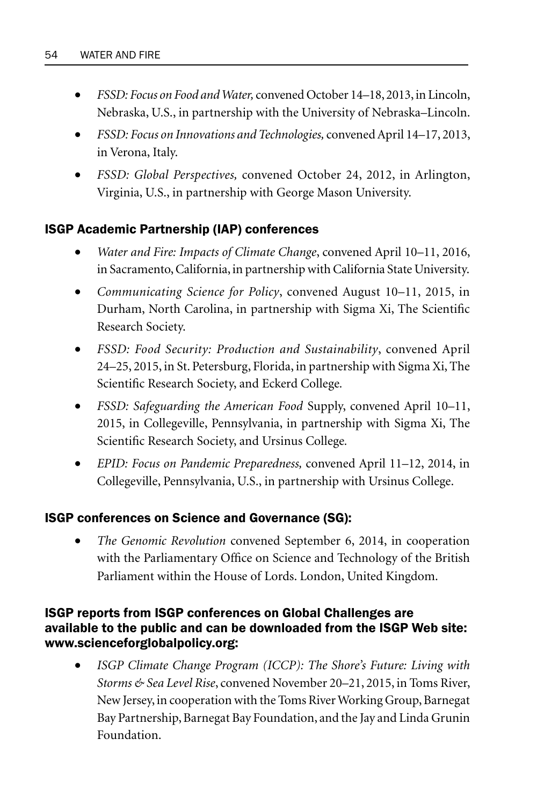- *FSSD: Focus on Food and Water,* convened October 14–18, 2013, in Lincoln, Nebraska, U.S., in partnership with the University of Nebraska–Lincoln.
- *FSSD: Focus on Innovations and Technologies,* convened April 14–17, 2013, in Verona, Italy.
- *FSSD: Global Perspectives,* convened October 24, 2012, in Arlington, Virginia, U.S., in partnership with George Mason University.

## ISGP Academic Partnership (IAP) conferences

- *Water and Fire: Impacts of Climate Change*, convened April 10–11, 2016, in Sacramento, California, in partnership with California State University.
- *Communicating Science for Policy*, convened August 10–11, 2015, in Durham, North Carolina, in partnership with Sigma Xi, The Scientific Research Society.
- *FSSD: Food Security: Production and Sustainability*, convened April 24–25, 2015, in St. Petersburg, Florida, in partnership with Sigma Xi, The Scientific Research Society, and Eckerd College*.*
- *FSSD: Safeguarding the American Food* Supply, convened April 10–11, 2015, in Collegeville, Pennsylvania, in partnership with Sigma Xi, The Scientific Research Society, and Ursinus College*.*
- *EPID: Focus on Pandemic Preparedness,* convened April 11–12, 2014, in Collegeville, Pennsylvania, U.S., in partnership with Ursinus College.

## ISGP conferences on Science and Governance (SG):

• *The Genomic Revolution* convened September 6, 2014, in cooperation with the Parliamentary Office on Science and Technology of the British Parliament within the House of Lords. London, United Kingdom.

## ISGP reports from ISGP conferences on Global Challenges are available to the public and can be downloaded from the ISGP Web site: www.scienceforglobalpolicy.org:

• *ISGP Climate Change Program (ICCP): The Shore's Future: Living with Storms & Sea Level Rise*, convened November 20–21, 2015, in Toms River, New Jersey, in cooperation with the Toms River Working Group, Barnegat Bay Partnership, Barnegat Bay Foundation, and the Jay and Linda Grunin Foundation.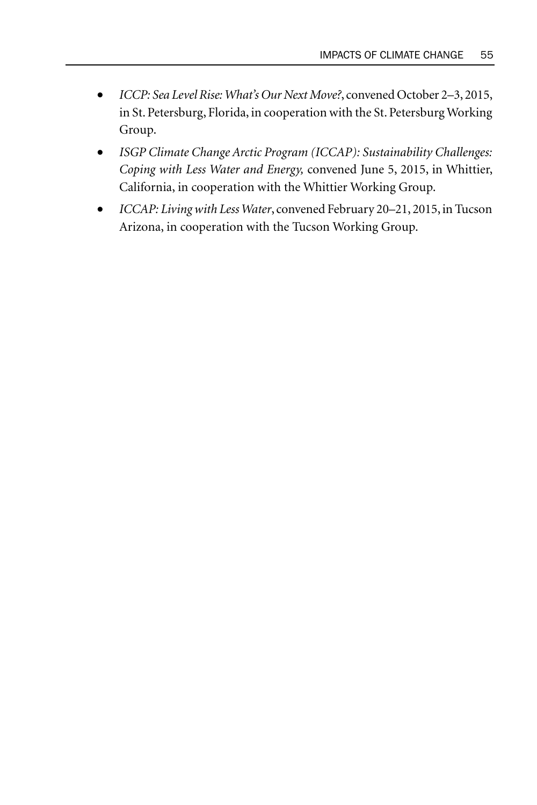- *ICCP: Sea Level Rise: What's Our Next Move?*, convened October 2–3, 2015, in St. Petersburg, Florida, in cooperation with the St. Petersburg Working Group.
- *ISGP Climate Change Arctic Program (ICCAP): Sustainability Challenges: Coping with Less Water and Energy,* convened June 5, 2015, in Whittier, California, in cooperation with the Whittier Working Group.
- *ICCAP: Living with Less Water*, convened February 20–21, 2015, in Tucson Arizona, in cooperation with the Tucson Working Group.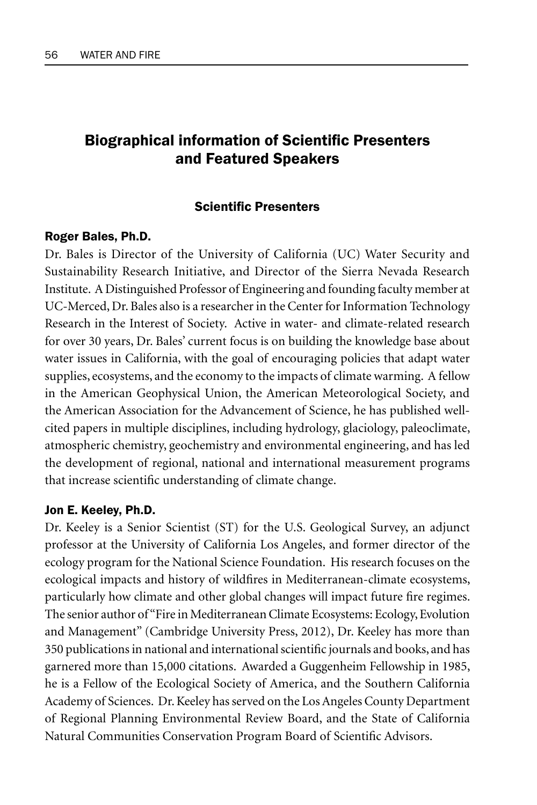# Biographical information of Scientific Presenters and Featured Speakers

#### **Scientific Presenters**

#### Roger Bales, Ph.D.

Dr. Bales is Director of the University of California (UC) Water Security and Sustainability Research Initiative, and Director of the Sierra Nevada Research Institute. A Distinguished Professor of Engineering and founding faculty member at UC-Merced, Dr. Bales also is a researcher in the Center for Information Technology Research in the Interest of Society. Active in water- and climate-related research for over 30 years, Dr. Bales' current focus is on building the knowledge base about water issues in California, with the goal of encouraging policies that adapt water supplies, ecosystems, and the economy to the impacts of climate warming. A fellow in the American Geophysical Union, the American Meteorological Society, and the American Association for the Advancement of Science, he has published wellcited papers in multiple disciplines, including hydrology, glaciology, paleoclimate, atmospheric chemistry, geochemistry and environmental engineering, and has led the development of regional, national and international measurement programs that increase scientific understanding of climate change.

#### Jon E. Keeley, Ph.D.

Dr. Keeley is a Senior Scientist (ST) for the U.S. Geological Survey, an adjunct professor at the University of California Los Angeles, and former director of the ecology program for the National Science Foundation. His research focuses on the ecological impacts and history of wildfires in Mediterranean-climate ecosystems, particularly how climate and other global changes will impact future fire regimes. The senior author of "Fire in Mediterranean Climate Ecosystems: Ecology, Evolution and Management" (Cambridge University Press, 2012), Dr. Keeley has more than 350 publications in national and international scientific journals and books, and has garnered more than 15,000 citations. Awarded a Guggenheim Fellowship in 1985, he is a Fellow of the Ecological Society of America, and the Southern California Academy of Sciences. Dr. Keeley has served on the Los Angeles County Department of Regional Planning Environmental Review Board, and the State of California Natural Communities Conservation Program Board of Scientific Advisors.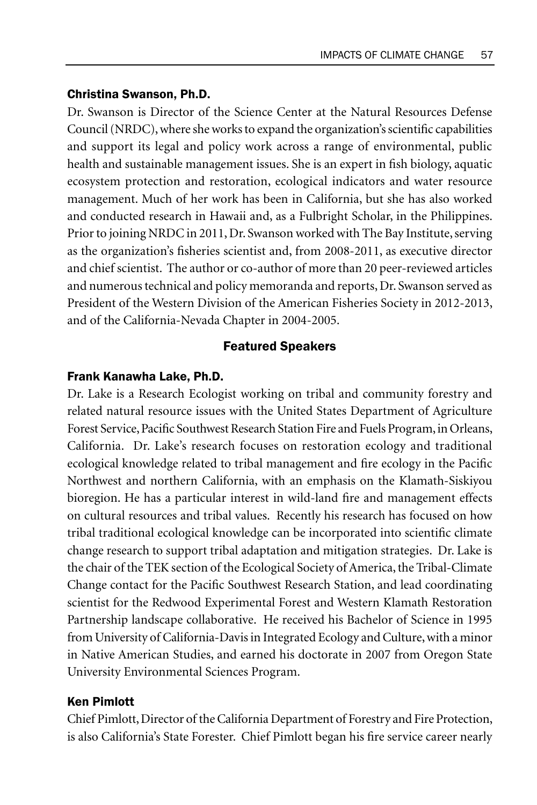## Christina Swanson, Ph.D.

Dr. Swanson is Director of the Science Center at the Natural Resources Defense Council (NRDC), where she works to expand the organization's scientific capabilities and support its legal and policy work across a range of environmental, public health and sustainable management issues. She is an expert in fish biology, aquatic ecosystem protection and restoration, ecological indicators and water resource management. Much of her work has been in California, but she has also worked and conducted research in Hawaii and, as a Fulbright Scholar, in the Philippines. Prior to joining NRDC in 2011, Dr. Swanson worked with The Bay Institute, serving as the organization's fisheries scientist and, from 2008-2011, as executive director and chief scientist. The author or co-author of more than 20 peer-reviewed articles and numerous technical and policy memoranda and reports, Dr. Swanson served as President of the Western Division of the American Fisheries Society in 2012-2013, and of the California-Nevada Chapter in 2004-2005.

## Featured Speakers

## Frank Kanawha Lake, Ph.D.

Dr. Lake is a Research Ecologist working on tribal and community forestry and related natural resource issues with the United States Department of Agriculture Forest Service, Pacific Southwest Research Station Fire and Fuels Program, in Orleans, California. Dr. Lake's research focuses on restoration ecology and traditional ecological knowledge related to tribal management and fire ecology in the Pacific Northwest and northern California, with an emphasis on the Klamath-Siskiyou bioregion. He has a particular interest in wild-land fire and management effects on cultural resources and tribal values. Recently his research has focused on how tribal traditional ecological knowledge can be incorporated into scientific climate change research to support tribal adaptation and mitigation strategies. Dr. Lake is the chair of the TEK section of the Ecological Society of America, the Tribal-Climate Change contact for the Pacific Southwest Research Station, and lead coordinating scientist for the Redwood Experimental Forest and Western Klamath Restoration Partnership landscape collaborative. He received his Bachelor of Science in 1995 from University of California-Davis in Integrated Ecology and Culture, with a minor in Native American Studies, and earned his doctorate in 2007 from Oregon State University Environmental Sciences Program.

## Ken Pimlott

Chief Pimlott, Director of the California Department of Forestry and Fire Protection, is also California's State Forester. Chief Pimlott began his fire service career nearly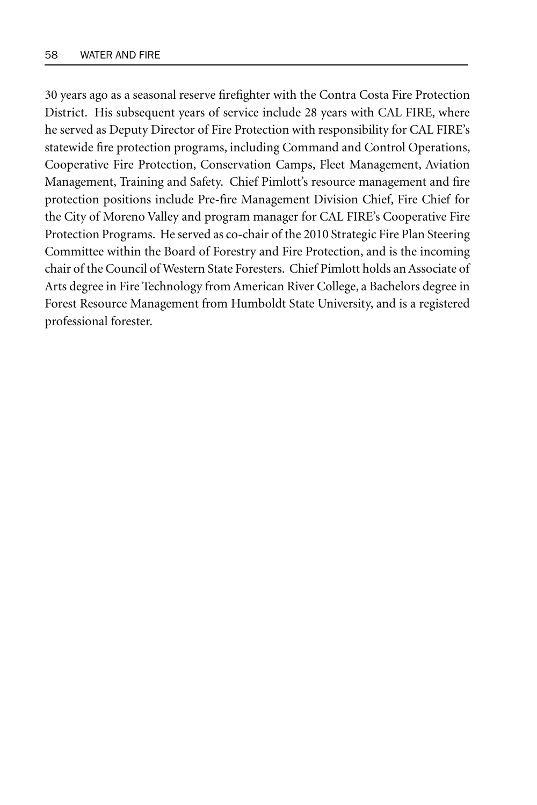30 years ago as a seasonal reserve firefighter with the Contra Costa Fire Protection District. His subsequent years of service include 28 years with CAL FIRE, where he served as Deputy Director of Fire Protection with responsibility for CAL FIRE's statewide fire protection programs, including Command and Control Operations, Cooperative Fire Protection, Conservation Camps, Fleet Management, Aviation Management, Training and Safety. Chief Pimlott's resource management and fire protection positions include Pre-fire Management Division Chief, Fire Chief for the City of Moreno Valley and program manager for CAL FIRE's Cooperative Fire Protection Programs. He served as co-chair of the 2010 Strategic Fire Plan Steering Committee within the Board of Forestry and Fire Protection, and is the incoming chair of the Council of Western State Foresters. Chief Pimlott holds an Associate of Arts degree in Fire Technology from American River College, a Bachelors degree in Forest Resource Management from Humboldt State University, and is a registered professional forester.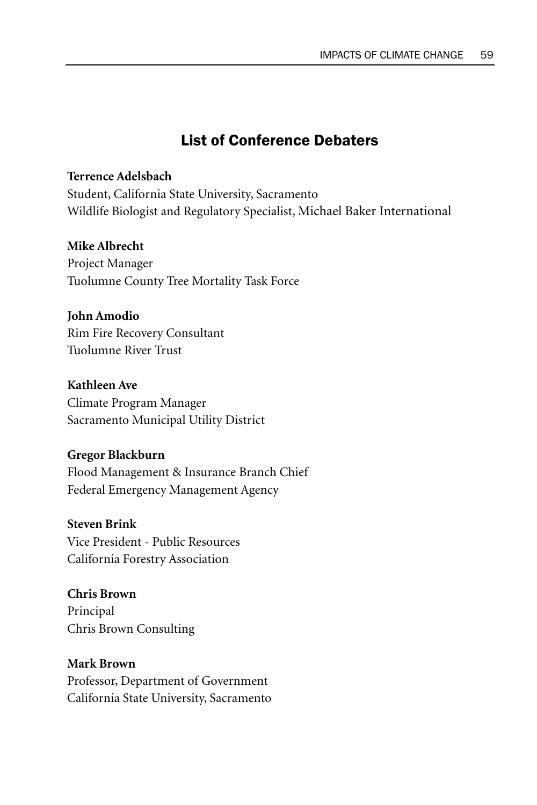# List of Conference Debaters

## **Terrence Adelsbach**

Student, California State University, Sacramento Wildlife Biologist and Regulatory Specialist, Michael Baker International

#### **Mike Albrecht**

Project Manager Tuolumne County Tree Mortality Task Force

#### **John Amodio**

Rim Fire Recovery Consultant Tuolumne River Trust

## **Kathleen Ave**

Climate Program Manager Sacramento Municipal Utility District

#### **Gregor Blackburn**

Flood Management & Insurance Branch Chief Federal Emergency Management Agency

#### **Steven Brink**

Vice President - Public Resources California Forestry Association

## **Chris Brown**

Principal Chris Brown Consulting

# **Mark Brown** Professor, Department of Government

California State University, Sacramento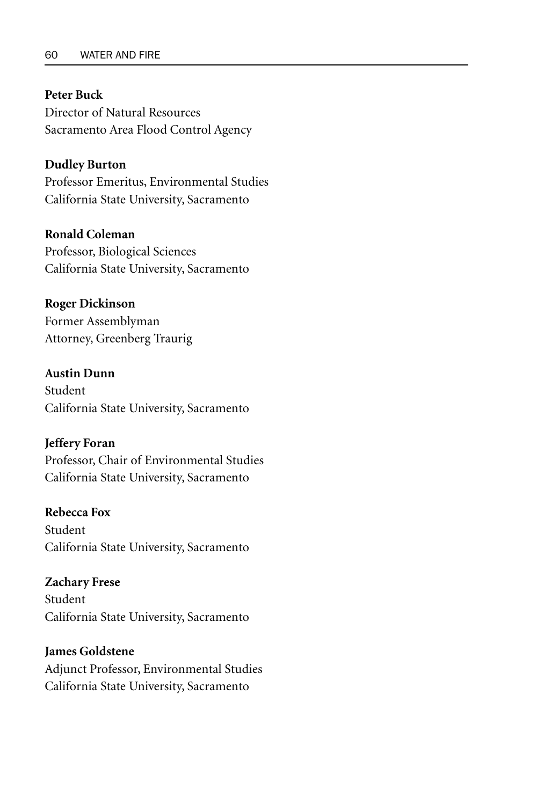#### **Peter Buck**

Director of Natural Resources Sacramento Area Flood Control Agency

#### **Dudley Burton**

Professor Emeritus, Environmental Studies California State University, Sacramento

#### **Ronald Coleman**

Professor, Biological Sciences California State University, Sacramento

#### **Roger Dickinson**

Former Assemblyman Attorney, Greenberg Traurig

## **Austin Dunn**

Student California State University, Sacramento

#### **Jeffery Foran**

Professor, Chair of Environmental Studies California State University, Sacramento

#### **Rebecca Fox**

Student California State University, Sacramento

#### **Zachary Frese**

Student California State University, Sacramento

# **James Goldstene**

Adjunct Professor, Environmental Studies California State University, Sacramento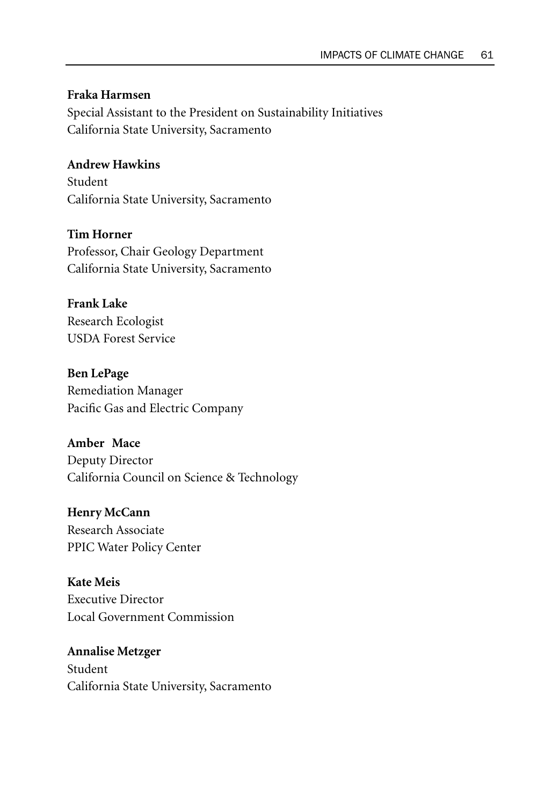## **Fraka Harmsen**

Special Assistant to the President on Sustainability Initiatives California State University, Sacramento

## **Andrew Hawkins**

Student California State University, Sacramento

#### **Tim Horner**

Professor, Chair Geology Department California State University, Sacramento

#### **Frank Lake**

Research Ecologist USDA Forest Service

**Ben LePage** Remediation Manager Pacific Gas and Electric Company

# **Amber Mace**

Deputy Director California Council on Science & Technology

# **Henry McCann**

Research Associate PPIC Water Policy Center

#### **Kate Meis**

Executive Director Local Government Commission

## **Annalise Metzger** Student California State University, Sacramento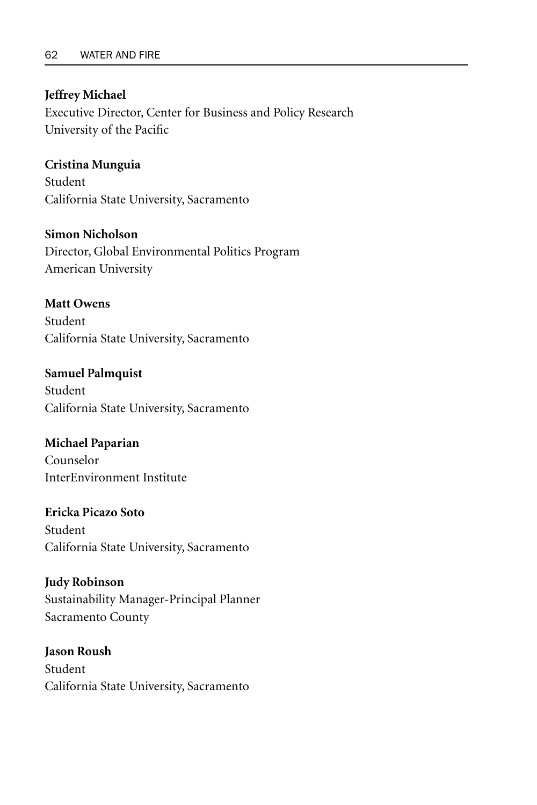#### **Jeffrey Michael**

Executive Director, Center for Business and Policy Research University of the Pacific

#### **Cristina Munguia**

Student California State University, Sacramento

## **Simon Nicholson**

Director, Global Environmental Politics Program American University

## **Matt Owens**

Student California State University, Sacramento

## **Samuel Palmquist**  Student California State University, Sacramento

## **Michael Paparian** Counselor InterEnvironment Institute

# **Ericka Picazo Soto** Student California State University, Sacramento

## **Judy Robinson**  Sustainability Manager-Principal Planner Sacramento County

# **Jason Roush** Student California State University, Sacramento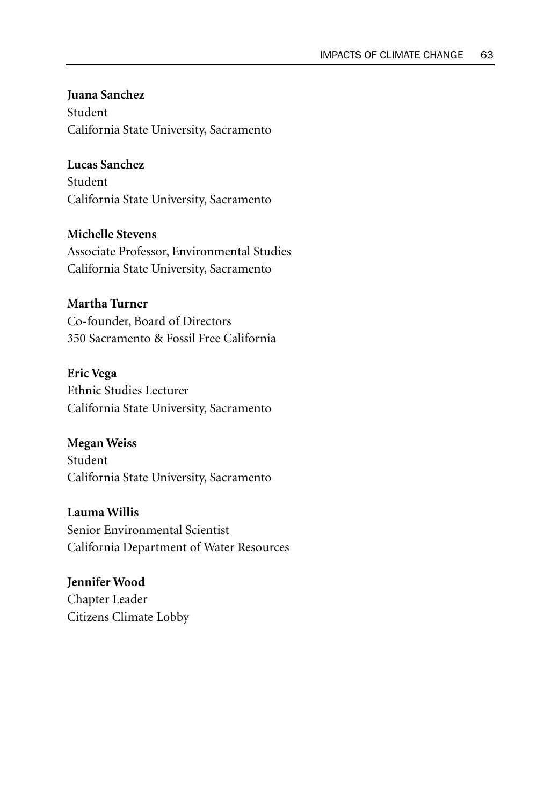**Juana Sanchez** Student California State University, Sacramento

## **Lucas Sanchez**

Student California State University, Sacramento

**Michelle Stevens** 

Associate Professor, Environmental Studies California State University, Sacramento

## **Martha Turner**

Co-founder, Board of Directors 350 Sacramento & Fossil Free California

**Eric Vega**

Ethnic Studies Lecturer California State University, Sacramento

**Megan Weiss** Student California State University, Sacramento

**Lauma Willis** Senior Environmental Scientist California Department of Water Resources

**Jennifer Wood** Chapter Leader Citizens Climate Lobby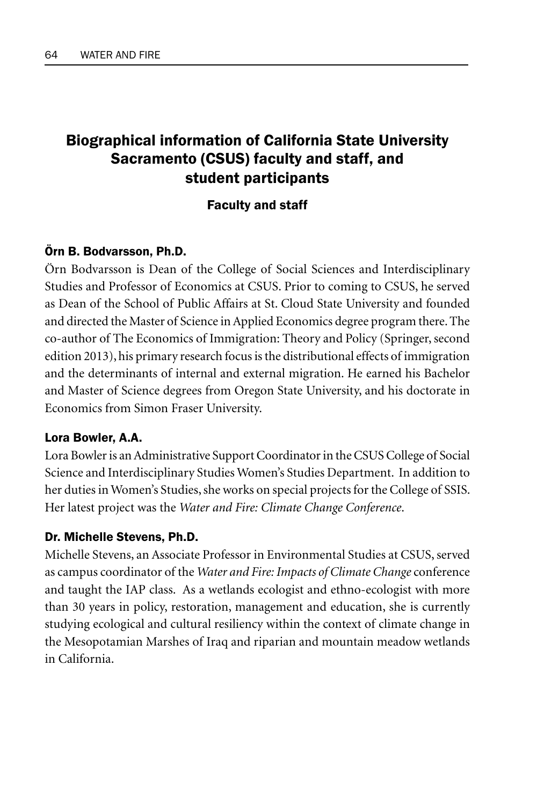# Biographical information of California State University Sacramento (CSUS) faculty and staff, and student participants

## Faculty and staff

## Örn B. Bodvarsson, Ph.D.

Örn Bodvarsson is Dean of the College of Social Sciences and Interdisciplinary Studies and Professor of Economics at CSUS. Prior to coming to CSUS, he served as Dean of the School of Public Affairs at St. Cloud State University and founded and directed the Master of Science in Applied Economics degree program there. The co-author of The Economics of Immigration: Theory and Policy (Springer, second edition 2013), his primary research focus is the distributional effects of immigration and the determinants of internal and external migration. He earned his Bachelor and Master of Science degrees from Oregon State University, and his doctorate in Economics from Simon Fraser University.

## Lora Bowler, A.A.

Lora Bowler is an Administrative Support Coordinator in the CSUS College of Social Science and Interdisciplinary Studies Women's Studies Department. In addition to her duties in Women's Studies, she works on special projects for the College of SSIS. Her latest project was the *Water and Fire: Climate Change Conference*.

## Dr. Michelle Stevens, Ph.D.

Michelle Stevens, an Associate Professor in Environmental Studies at CSUS, served as campus coordinator of the *Water and Fire: Impacts of Climate Change* conference and taught the IAP class. As a wetlands ecologist and ethno-ecologist with more than 30 years in policy, restoration, management and education, she is currently studying ecological and cultural resiliency within the context of climate change in the Mesopotamian Marshes of Iraq and riparian and mountain meadow wetlands in California.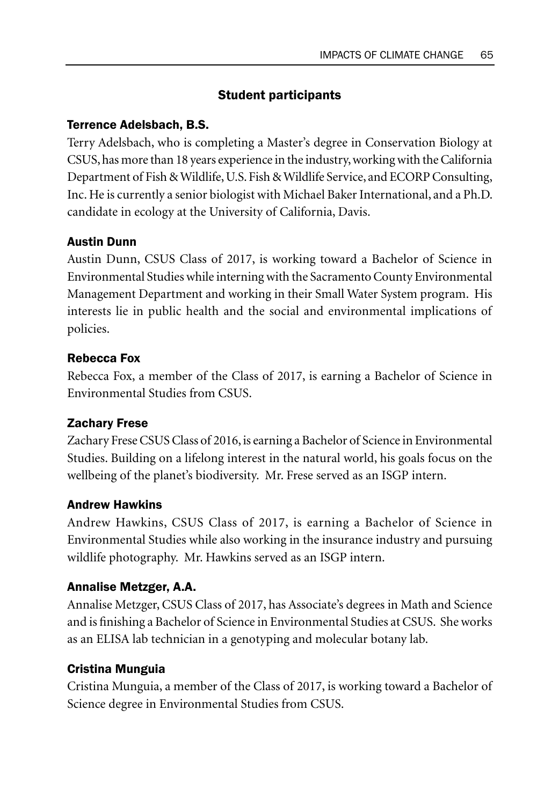# Student participants

## Terrence Adelsbach, B.S.

Terry Adelsbach, who is completing a Master's degree in Conservation Biology at CSUS, has more than 18 years experience in the industry, working with the California Department of Fish & Wildlife, U.S. Fish & Wildlife Service, and ECORP Consulting, Inc. He is currently a senior biologist with Michael Baker International, and a Ph.D. candidate in ecology at the University of California, Davis.

## Austin Dunn

Austin Dunn, CSUS Class of 2017, is working toward a Bachelor of Science in Environmental Studies while interning with the Sacramento County Environmental Management Department and working in their Small Water System program. His interests lie in public health and the social and environmental implications of policies.

## Rebecca Fox

Rebecca Fox, a member of the Class of 2017, is earning a Bachelor of Science in Environmental Studies from CSUS.

## Zachary Frese

Zachary Frese CSUS Class of 2016, is earning a Bachelor of Science in Environmental Studies. Building on a lifelong interest in the natural world, his goals focus on the wellbeing of the planet's biodiversity. Mr. Frese served as an ISGP intern.

## Andrew Hawkins

Andrew Hawkins, CSUS Class of 2017, is earning a Bachelor of Science in Environmental Studies while also working in the insurance industry and pursuing wildlife photography. Mr. Hawkins served as an ISGP intern.

## Annalise Metzger, A.A.

Annalise Metzger, CSUS Class of 2017, has Associate's degrees in Math and Science and is finishing a Bachelor of Science in Environmental Studies at CSUS. She works as an ELISA lab technician in a genotyping and molecular botany lab.

## Cristina Munguia

Cristina Munguia, a member of the Class of 2017, is working toward a Bachelor of Science degree in Environmental Studies from CSUS.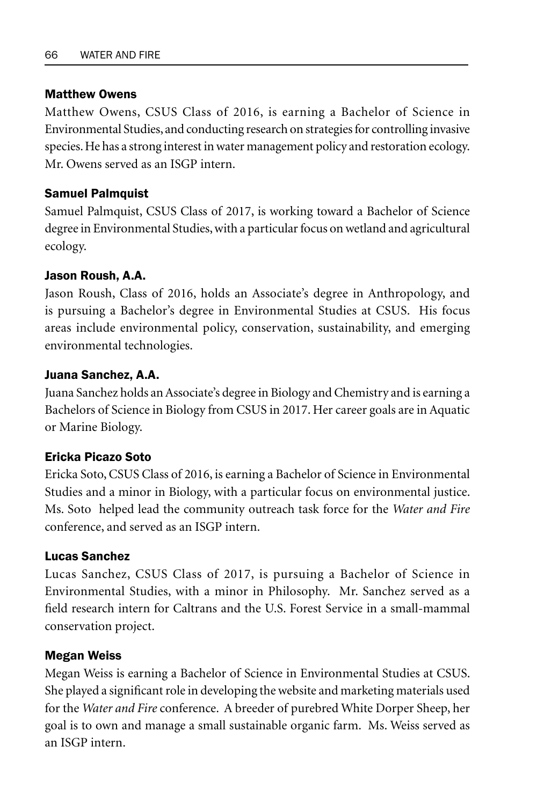#### Matthew Owens

Matthew Owens, CSUS Class of 2016, is earning a Bachelor of Science in Environmental Studies, and conducting research on strategies for controlling invasive species. He has a strong interest in water management policy and restoration ecology. Mr. Owens served as an ISGP intern.

## Samuel Palmquist

Samuel Palmquist, CSUS Class of 2017, is working toward a Bachelor of Science degree in Environmental Studies, with a particular focus on wetland and agricultural ecology.

## Jason Roush, A.A.

Jason Roush, Class of 2016, holds an Associate's degree in Anthropology, and is pursuing a Bachelor's degree in Environmental Studies at CSUS. His focus areas include environmental policy, conservation, sustainability, and emerging environmental technologies.

## Juana Sanchez, A.A.

Juana Sanchez holds an Associate's degree in Biology and Chemistry and is earning a Bachelors of Science in Biology from CSUS in 2017. Her career goals are in Aquatic or Marine Biology.

## Ericka Picazo Soto

Ericka Soto, CSUS Class of 2016, is earning a Bachelor of Science in Environmental Studies and a minor in Biology, with a particular focus on environmental justice. Ms. Soto helped lead the community outreach task force for the *Water and Fire* conference, and served as an ISGP intern.

## Lucas Sanchez

Lucas Sanchez, CSUS Class of 2017, is pursuing a Bachelor of Science in Environmental Studies, with a minor in Philosophy. Mr. Sanchez served as a field research intern for Caltrans and the U.S. Forest Service in a small-mammal conservation project.

## Megan Weiss

Megan Weiss is earning a Bachelor of Science in Environmental Studies at CSUS. She played a significant role in developing the website and marketing materials used for the *Water and Fire* conference. A breeder of purebred White Dorper Sheep, her goal is to own and manage a small sustainable organic farm. Ms. Weiss served as an ISGP intern.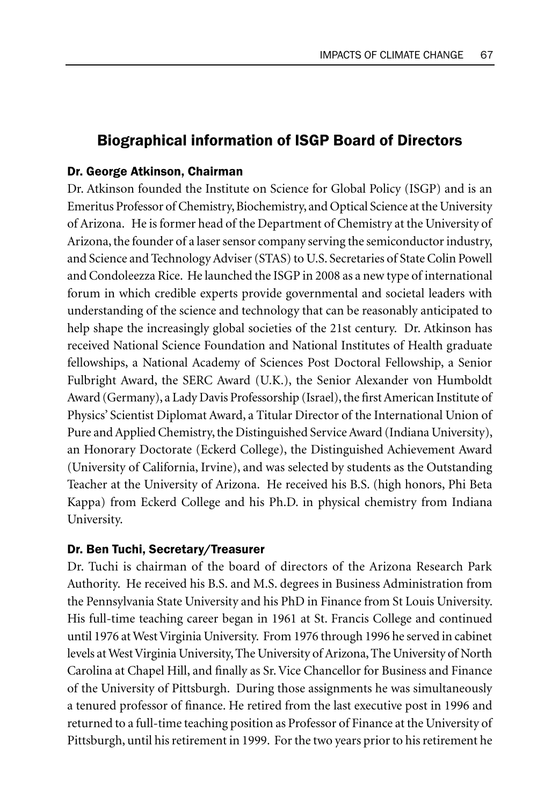# Biographical information of ISGP Board of Directors

#### Dr. George Atkinson, Chairman

Dr. Atkinson founded the Institute on Science for Global Policy (ISGP) and is an Emeritus Professor of Chemistry, Biochemistry, and Optical Science at the University of Arizona. He is former head of the Department of Chemistry at the University of Arizona, the founder of a laser sensor company serving the semiconductor industry, and Science and Technology Adviser (STAS) to U.S. Secretaries of State Colin Powell and Condoleezza Rice. He launched the ISGP in 2008 as a new type of international forum in which credible experts provide governmental and societal leaders with understanding of the science and technology that can be reasonably anticipated to help shape the increasingly global societies of the 21st century. Dr. Atkinson has received National Science Foundation and National Institutes of Health graduate fellowships, a National Academy of Sciences Post Doctoral Fellowship, a Senior Fulbright Award, the SERC Award (U.K.), the Senior Alexander von Humboldt Award (Germany), a Lady Davis Professorship (Israel), the first American Institute of Physics' Scientist Diplomat Award, a Titular Director of the International Union of Pure and Applied Chemistry, the Distinguished Service Award (Indiana University), an Honorary Doctorate (Eckerd College), the Distinguished Achievement Award (University of California, Irvine), and was selected by students as the Outstanding Teacher at the University of Arizona. He received his B.S. (high honors, Phi Beta Kappa) from Eckerd College and his Ph.D. in physical chemistry from Indiana University.

## Dr. Ben Tuchi, Secretary/Treasurer

Dr. Tuchi is chairman of the board of directors of the Arizona Research Park Authority. He received his B.S. and M.S. degrees in Business Administration from the Pennsylvania State University and his PhD in Finance from St Louis University. His full-time teaching career began in 1961 at St. Francis College and continued until 1976 at West Virginia University. From 1976 through 1996 he served in cabinet levels at West Virginia University, The University of Arizona, The University of North Carolina at Chapel Hill, and finally as Sr. Vice Chancellor for Business and Finance of the University of Pittsburgh. During those assignments he was simultaneously a tenured professor of finance. He retired from the last executive post in 1996 and returned to a full-time teaching position as Professor of Finance at the University of Pittsburgh, until his retirement in 1999. For the two years prior to his retirement he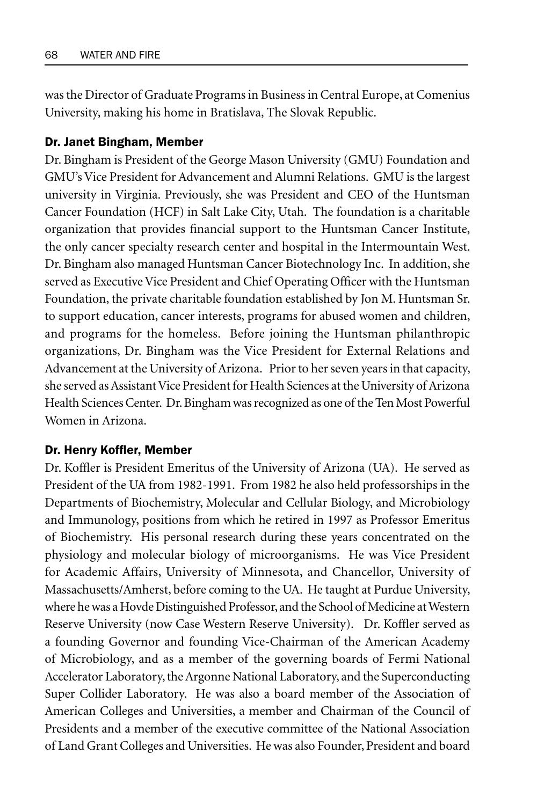was the Director of Graduate Programs in Business in Central Europe, at Comenius University, making his home in Bratislava, The Slovak Republic.

#### Dr. Janet Bingham, Member

Dr. Bingham is President of the George Mason University (GMU) Foundation and GMU's Vice President for Advancement and Alumni Relations. GMU is the largest university in Virginia. Previously, she was President and CEO of the Huntsman Cancer Foundation (HCF) in Salt Lake City, Utah. The foundation is a charitable organization that provides financial support to the Huntsman Cancer Institute, the only cancer specialty research center and hospital in the Intermountain West. Dr. Bingham also managed Huntsman Cancer Biotechnology Inc. In addition, she served as Executive Vice President and Chief Operating Officer with the Huntsman Foundation, the private charitable foundation established by Jon M. Huntsman Sr. to support education, cancer interests, programs for abused women and children, and programs for the homeless. Before joining the Huntsman philanthropic organizations, Dr. Bingham was the Vice President for External Relations and Advancement at the University of Arizona. Prior to her seven years in that capacity, she served as Assistant Vice President for Health Sciences at the University of Arizona Health Sciences Center. Dr. Bingham was recognized as one of the Ten Most Powerful Women in Arizona.

#### Dr. Henry Koffler, Member

Dr. Koffler is President Emeritus of the University of Arizona (UA). He served as President of the UA from 1982-1991. From 1982 he also held professorships in the Departments of Biochemistry, Molecular and Cellular Biology, and Microbiology and Immunology, positions from which he retired in 1997 as Professor Emeritus of Biochemistry. His personal research during these years concentrated on the physiology and molecular biology of microorganisms. He was Vice President for Academic Affairs, University of Minnesota, and Chancellor, University of Massachusetts/Amherst, before coming to the UA. He taught at Purdue University, where he was a Hovde Distinguished Professor, and the School of Medicine at Western Reserve University (now Case Western Reserve University). Dr. Koffler served as a founding Governor and founding Vice-Chairman of the American Academy of Microbiology, and as a member of the governing boards of Fermi National Accelerator Laboratory, the Argonne National Laboratory, and the Superconducting Super Collider Laboratory. He was also a board member of the Association of American Colleges and Universities, a member and Chairman of the Council of Presidents and a member of the executive committee of the National Association of Land Grant Colleges and Universities. He was also Founder, President and board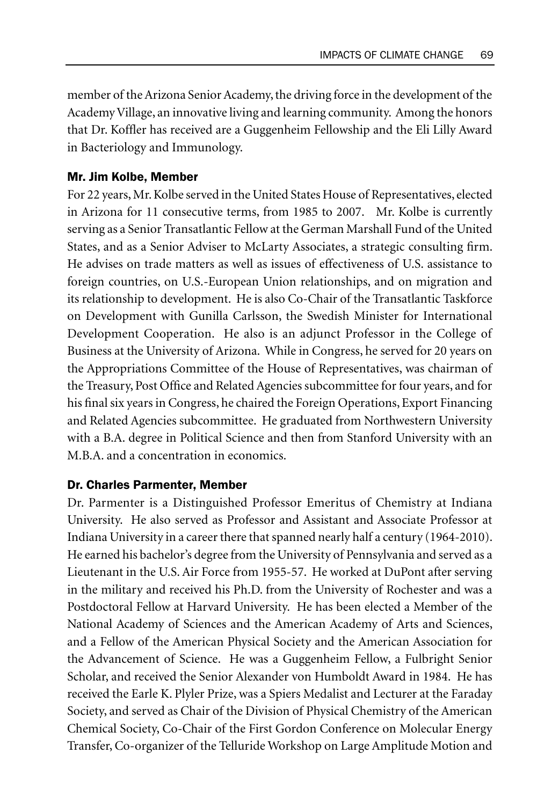member of the Arizona Senior Academy, the driving force in the development of the Academy Village, an innovative living and learning community. Among the honors that Dr. Koffler has received are a Guggenheim Fellowship and the Eli Lilly Award in Bacteriology and Immunology.

# Mr. Jim Kolbe, Member

For 22 years, Mr. Kolbe served in the United States House of Representatives, elected in Arizona for 11 consecutive terms, from 1985 to 2007. Mr. Kolbe is currently serving as a Senior Transatlantic Fellow at the German Marshall Fund of the United States, and as a Senior Adviser to McLarty Associates, a strategic consulting firm. He advises on trade matters as well as issues of effectiveness of U.S. assistance to foreign countries, on U.S.-European Union relationships, and on migration and its relationship to development. He is also Co-Chair of the Transatlantic Taskforce on Development with Gunilla Carlsson, the Swedish Minister for International Development Cooperation. He also is an adjunct Professor in the College of Business at the University of Arizona. While in Congress, he served for 20 years on the Appropriations Committee of the House of Representatives, was chairman of the Treasury, Post Office and Related Agencies subcommittee for four years, and for his final six years in Congress, he chaired the Foreign Operations, Export Financing and Related Agencies subcommittee. He graduated from Northwestern University with a B.A. degree in Political Science and then from Stanford University with an M.B.A. and a concentration in economics.

# Dr. Charles Parmenter, Member

Dr. Parmenter is a Distinguished Professor Emeritus of Chemistry at Indiana University. He also served as Professor and Assistant and Associate Professor at Indiana University in a career there that spanned nearly half a century (1964-2010). He earned his bachelor's degree from the University of Pennsylvania and served as a Lieutenant in the U.S. Air Force from 1955-57. He worked at DuPont after serving in the military and received his Ph.D. from the University of Rochester and was a Postdoctoral Fellow at Harvard University. He has been elected a Member of the National Academy of Sciences and the American Academy of Arts and Sciences, and a Fellow of the American Physical Society and the American Association for the Advancement of Science. He was a Guggenheim Fellow, a Fulbright Senior Scholar, and received the Senior Alexander von Humboldt Award in 1984. He has received the Earle K. Plyler Prize, was a Spiers Medalist and Lecturer at the Faraday Society, and served as Chair of the Division of Physical Chemistry of the American Chemical Society, Co-Chair of the First Gordon Conference on Molecular Energy Transfer, Co-organizer of the Telluride Workshop on Large Amplitude Motion and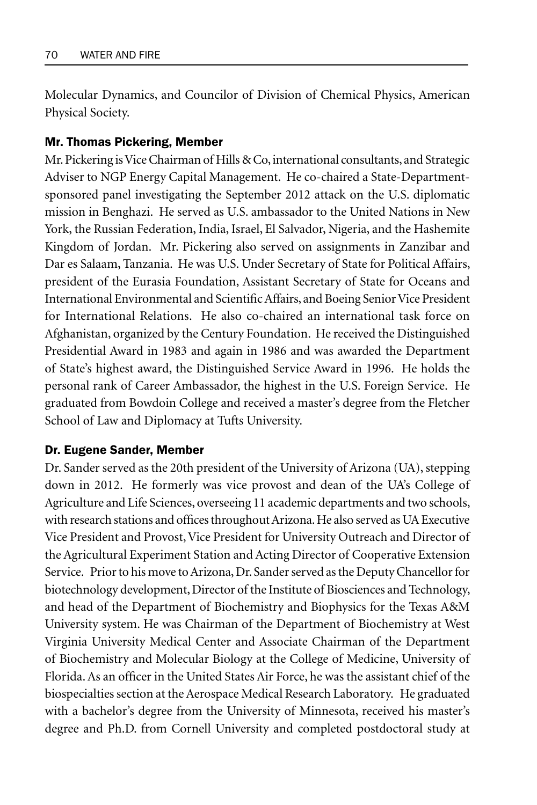Molecular Dynamics, and Councilor of Division of Chemical Physics, American Physical Society.

### Mr. Thomas Pickering, Member

Mr. Pickering is Vice Chairman of Hills & Co, international consultants, and Strategic Adviser to NGP Energy Capital Management. He co-chaired a State-Departmentsponsored panel investigating the September 2012 attack on the U.S. diplomatic mission in Benghazi. He served as U.S. ambassador to the United Nations in New York, the Russian Federation, India, Israel, El Salvador, Nigeria, and the Hashemite Kingdom of Jordan. Mr. Pickering also served on assignments in Zanzibar and Dar es Salaam, Tanzania. He was U.S. Under Secretary of State for Political Affairs, president of the Eurasia Foundation, Assistant Secretary of State for Oceans and International Environmental and Scientific Affairs, and Boeing Senior Vice President for International Relations. He also co-chaired an international task force on Afghanistan, organized by the Century Foundation. He received the Distinguished Presidential Award in 1983 and again in 1986 and was awarded the Department of State's highest award, the Distinguished Service Award in 1996. He holds the personal rank of Career Ambassador, the highest in the U.S. Foreign Service. He graduated from Bowdoin College and received a master's degree from the Fletcher School of Law and Diplomacy at Tufts University.

#### Dr. Eugene Sander, Member

Dr. Sander served as the 20th president of the University of Arizona (UA), stepping down in 2012. He formerly was vice provost and dean of the UA's College of Agriculture and Life Sciences, overseeing 11 academic departments and two schools, with research stations and offices throughout Arizona. He also served as UA Executive Vice President and Provost, Vice President for University Outreach and Director of the Agricultural Experiment Station and Acting Director of Cooperative Extension Service. Prior to his move to Arizona, Dr. Sander served as the Deputy Chancellor for biotechnology development, Director of the Institute of Biosciences and Technology, and head of the Department of Biochemistry and Biophysics for the Texas A&M University system. He was Chairman of the Department of Biochemistry at West Virginia University Medical Center and Associate Chairman of the Department of Biochemistry and Molecular Biology at the College of Medicine, University of Florida. As an officer in the United States Air Force, he was the assistant chief of the biospecialties section at the Aerospace Medical Research Laboratory. He graduated with a bachelor's degree from the University of Minnesota, received his master's degree and Ph.D. from Cornell University and completed postdoctoral study at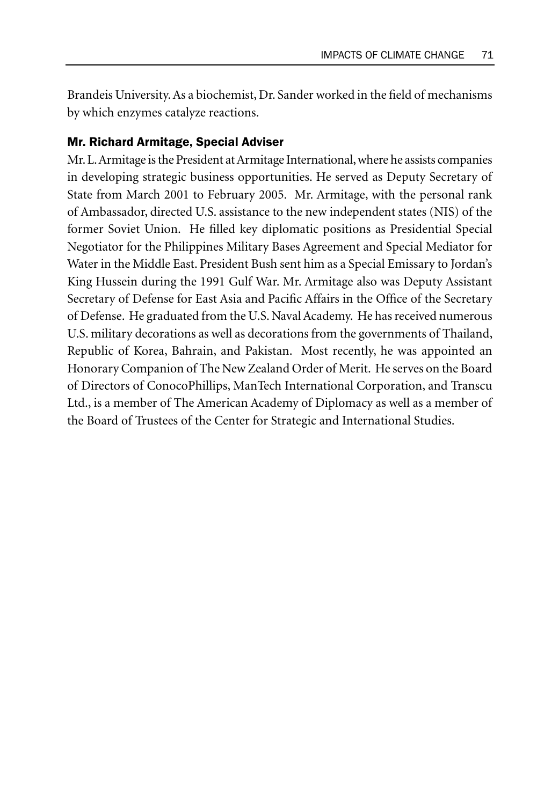Brandeis University. As a biochemist, Dr. Sander worked in the field of mechanisms by which enzymes catalyze reactions.

#### Mr. Richard Armitage, Special Adviser

Mr. L. Armitage is the President at Armitage International, where he assists companies in developing strategic business opportunities. He served as Deputy Secretary of State from March 2001 to February 2005. Mr. Armitage, with the personal rank of Ambassador, directed U.S. assistance to the new independent states (NIS) of the former Soviet Union. He filled key diplomatic positions as Presidential Special Negotiator for the Philippines Military Bases Agreement and Special Mediator for Water in the Middle East. President Bush sent him as a Special Emissary to Jordan's King Hussein during the 1991 Gulf War. Mr. Armitage also was Deputy Assistant Secretary of Defense for East Asia and Pacific Affairs in the Office of the Secretary of Defense. He graduated from the U.S. Naval Academy. He has received numerous U.S. military decorations as well as decorations from the governments of Thailand, Republic of Korea, Bahrain, and Pakistan. Most recently, he was appointed an Honorary Companion of The New Zealand Order of Merit. He serves on the Board of Directors of ConocoPhillips, ManTech International Corporation, and Transcu Ltd., is a member of The American Academy of Diplomacy as well as a member of the Board of Trustees of the Center for Strategic and International Studies.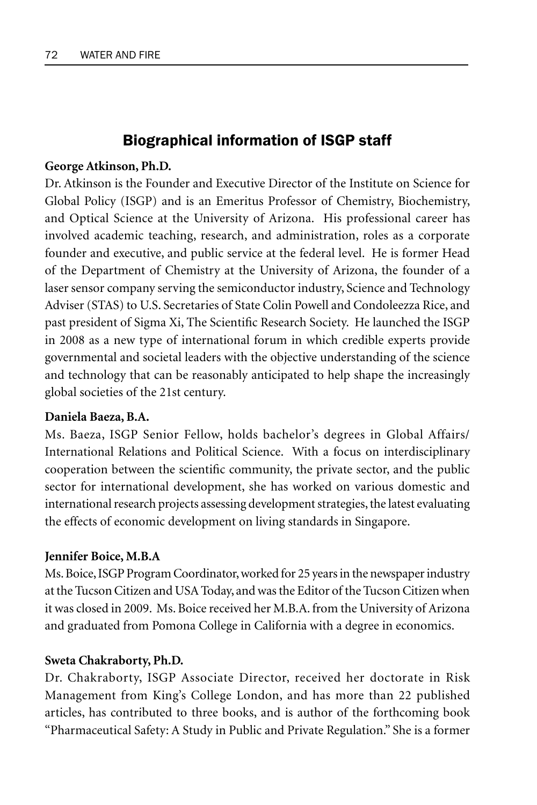# Biographical information of ISGP staff

# **George Atkinson, Ph.D.**

Dr. Atkinson is the Founder and Executive Director of the Institute on Science for Global Policy (ISGP) and is an Emeritus Professor of Chemistry, Biochemistry, and Optical Science at the University of Arizona. His professional career has involved academic teaching, research, and administration, roles as a corporate founder and executive, and public service at the federal level. He is former Head of the Department of Chemistry at the University of Arizona, the founder of a laser sensor company serving the semiconductor industry, Science and Technology Adviser (STAS) to U.S. Secretaries of State Colin Powell and Condoleezza Rice, and past president of Sigma Xi, The Scientific Research Society. He launched the ISGP in 2008 as a new type of international forum in which credible experts provide governmental and societal leaders with the objective understanding of the science and technology that can be reasonably anticipated to help shape the increasingly global societies of the 21st century.

# **Daniela Baeza, B.A.**

Ms. Baeza, ISGP Senior Fellow, holds bachelor's degrees in Global Affairs/ International Relations and Political Science. With a focus on interdisciplinary cooperation between the scientific community, the private sector, and the public sector for international development, she has worked on various domestic and international research projects assessing development strategies, the latest evaluating the effects of economic development on living standards in Singapore.

# **Jennifer Boice, M.B.A**

Ms. Boice, ISGP Program Coordinator, worked for 25 years in the newspaper industry at the Tucson Citizen and USA Today, and was the Editor of the Tucson Citizen when it was closed in 2009. Ms. Boice received her M.B.A. from the University of Arizona and graduated from Pomona College in California with a degree in economics.

# **Sweta Chakraborty, Ph.D.**

Dr. Chakraborty, ISGP Associate Director, received her doctorate in Risk Management from King's College London, and has more than 22 published articles, has contributed to three books, and is author of the forthcoming book "Pharmaceutical Safety: A Study in Public and Private Regulation." She is a former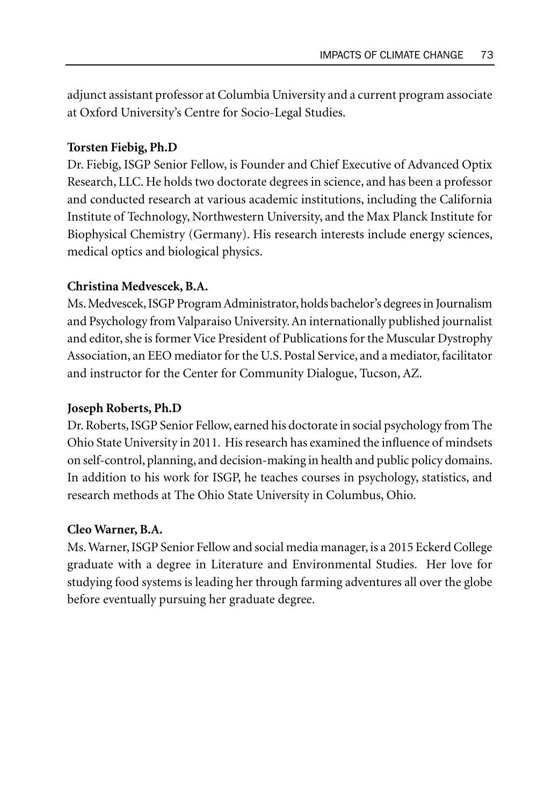adjunct assistant professor at Columbia University and a current program associate at Oxford University's Centre for Socio-Legal Studies.

# **Torsten Fiebig, Ph.D**

Dr. Fiebig, ISGP Senior Fellow, is Founder and Chief Executive of Advanced Optix Research, LLC. He holds two doctorate degrees in science, and has been a professor and conducted research at various academic institutions, including the California Institute of Technology, Northwestern University, and the Max Planck Institute for Biophysical Chemistry (Germany). His research interests include energy sciences, medical optics and biological physics.

# **Christina Medvescek, B.A.**

Ms. Medvescek, ISGP Program Administrator, holds bachelor's degrees in Journalism and Psychology from Valparaiso University. An internationally published journalist and editor, she is former Vice President of Publications for the Muscular Dystrophy Association, an EEO mediator for the U.S. Postal Service, and a mediator, facilitator and instructor for the Center for Community Dialogue, Tucson, AZ.

# **Joseph Roberts, Ph.D**

Dr. Roberts, ISGP Senior Fellow, earned his doctorate in social psychology from The Ohio State University in 2011. His research has examined the influence of mindsets on self-control, planning, and decision-making in health and public policy domains. In addition to his work for ISGP, he teaches courses in psychology, statistics, and research methods at The Ohio State University in Columbus, Ohio.

# **Cleo Warner, B.A.**

Ms. Warner, ISGP Senior Fellow and social media manager, is a 2015 Eckerd College graduate with a degree in Literature and Environmental Studies. Her love for studying food systems is leading her through farming adventures all over the globe before eventually pursuing her graduate degree.